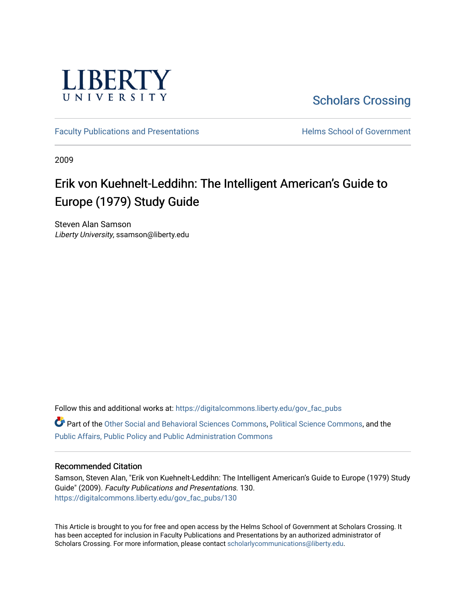

[Scholars Crossing](https://digitalcommons.liberty.edu/) 

[Faculty Publications and Presentations](https://digitalcommons.liberty.edu/gov_fac_pubs) **Exercise School of Government** 

2009

# Erik von Kuehnelt-Leddihn: The Intelligent American's Guide to Europe (1979) Study Guide

Steven Alan Samson Liberty University, ssamson@liberty.edu

Follow this and additional works at: [https://digitalcommons.liberty.edu/gov\\_fac\\_pubs](https://digitalcommons.liberty.edu/gov_fac_pubs?utm_source=digitalcommons.liberty.edu%2Fgov_fac_pubs%2F130&utm_medium=PDF&utm_campaign=PDFCoverPages) Part of the [Other Social and Behavioral Sciences Commons](http://network.bepress.com/hgg/discipline/437?utm_source=digitalcommons.liberty.edu%2Fgov_fac_pubs%2F130&utm_medium=PDF&utm_campaign=PDFCoverPages), [Political Science Commons](http://network.bepress.com/hgg/discipline/386?utm_source=digitalcommons.liberty.edu%2Fgov_fac_pubs%2F130&utm_medium=PDF&utm_campaign=PDFCoverPages), and the [Public Affairs, Public Policy and Public Administration Commons](http://network.bepress.com/hgg/discipline/393?utm_source=digitalcommons.liberty.edu%2Fgov_fac_pubs%2F130&utm_medium=PDF&utm_campaign=PDFCoverPages)

## Recommended Citation

Samson, Steven Alan, "Erik von Kuehnelt-Leddihn: The Intelligent American's Guide to Europe (1979) Study Guide" (2009). Faculty Publications and Presentations. 130. [https://digitalcommons.liberty.edu/gov\\_fac\\_pubs/130](https://digitalcommons.liberty.edu/gov_fac_pubs/130?utm_source=digitalcommons.liberty.edu%2Fgov_fac_pubs%2F130&utm_medium=PDF&utm_campaign=PDFCoverPages)

This Article is brought to you for free and open access by the Helms School of Government at Scholars Crossing. It has been accepted for inclusion in Faculty Publications and Presentations by an authorized administrator of Scholars Crossing. For more information, please contact [scholarlycommunications@liberty.edu.](mailto:scholarlycommunications@liberty.edu)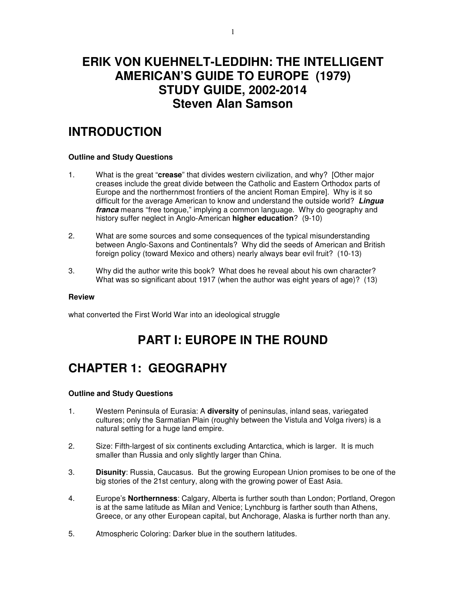## **ERIK VON KUEHNELT-LEDDIHN: THE INTELLIGENT AMERICAN'S GUIDE TO EUROPE (1979) STUDY GUIDE, 2002-2014 Steven Alan Samson**

# **INTRODUCTION**

## **Outline and Study Questions**

- 1. What is the great "**crease**" that divides western civilization, and why? [Other major creases include the great divide between the Catholic and Eastern Orthodox parts of Europe and the northernmost frontiers of the ancient Roman Empire]. Why is it so difficult for the average American to know and understand the outside world? **Lingua franca** means "free tongue," implying a common language. Why do geography and history suffer neglect in Anglo-American **higher education**? (9-10)
- 2. What are some sources and some consequences of the typical misunderstanding between Anglo-Saxons and Continentals? Why did the seeds of American and British foreign policy (toward Mexico and others) nearly always bear evil fruit? (10-13)
- 3. Why did the author write this book? What does he reveal about his own character? What was so significant about 1917 (when the author was eight years of age)? (13)

#### **Review**

what converted the First World War into an ideological struggle

# **PART I: EUROPE IN THE ROUND**

# **CHAPTER 1: GEOGRAPHY**

- 1. Western Peninsula of Eurasia: A **diversity** of peninsulas, inland seas, variegated cultures; only the Sarmatian Plain (roughly between the Vistula and Volga rivers) is a natural setting for a huge land empire.
- 2. Size: Fifth-largest of six continents excluding Antarctica, which is larger. It is much smaller than Russia and only slightly larger than China.
- 3. **Disunity**: Russia, Caucasus. But the growing European Union promises to be one of the big stories of the 21st century, along with the growing power of East Asia.
- 4. Europe's **Northernness**: Calgary, Alberta is further south than London; Portland, Oregon is at the same latitude as Milan and Venice; Lynchburg is farther south than Athens, Greece, or any other European capital, but Anchorage, Alaska is further north than any.
- 5. Atmospheric Coloring: Darker blue in the southern latitudes.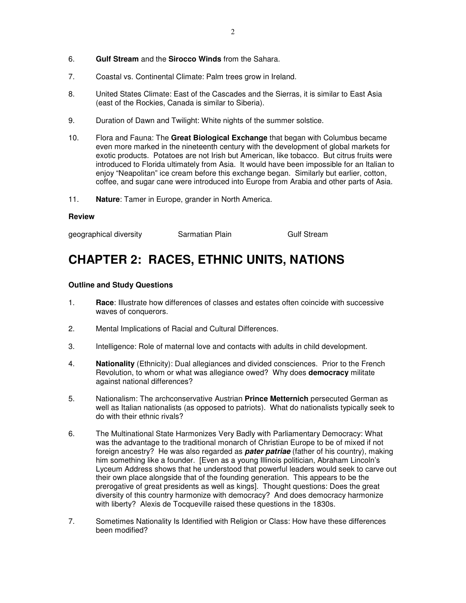- 6. **Gulf Stream** and the **Sirocco Winds** from the Sahara.
- 7. Coastal vs. Continental Climate: Palm trees grow in Ireland.
- 8. United States Climate: East of the Cascades and the Sierras, it is similar to East Asia (east of the Rockies, Canada is similar to Siberia).
- 9. Duration of Dawn and Twilight: White nights of the summer solstice.
- 10. Flora and Fauna: The **Great Biological Exchange** that began with Columbus became even more marked in the nineteenth century with the development of global markets for exotic products. Potatoes are not Irish but American, like tobacco. But citrus fruits were introduced to Florida ultimately from Asia. It would have been impossible for an Italian to enjoy "Neapolitan" ice cream before this exchange began. Similarly but earlier, cotton, coffee, and sugar cane were introduced into Europe from Arabia and other parts of Asia.
- 11. **Nature**: Tamer in Europe, grander in North America.

geographical diversity **Sarmatian Plain** Gulf Stream

# **CHAPTER 2: RACES, ETHNIC UNITS, NATIONS**

- 1. **Race**: Illustrate how differences of classes and estates often coincide with successive waves of conquerors.
- 2. Mental Implications of Racial and Cultural Differences.
- 3. Intelligence: Role of maternal love and contacts with adults in child development.
- 4. **Nationality** (Ethnicity): Dual allegiances and divided consciences. Prior to the French Revolution, to whom or what was allegiance owed? Why does **democracy** militate against national differences?
- 5. Nationalism: The archconservative Austrian **Prince Metternich** persecuted German as well as Italian nationalists (as opposed to patriots). What do nationalists typically seek to do with their ethnic rivals?
- 6. The Multinational State Harmonizes Very Badly with Parliamentary Democracy: What was the advantage to the traditional monarch of Christian Europe to be of mixed if not foreign ancestry? He was also regarded as **pater patriae** (father of his country), making him something like a founder. [Even as a young Illinois politician, Abraham Lincoln's Lyceum Address shows that he understood that powerful leaders would seek to carve out their own place alongside that of the founding generation. This appears to be the prerogative of great presidents as well as kings]. Thought questions: Does the great diversity of this country harmonize with democracy? And does democracy harmonize with liberty? Alexis de Tocqueville raised these questions in the 1830s.
- 7. Sometimes Nationality Is Identified with Religion or Class: How have these differences been modified?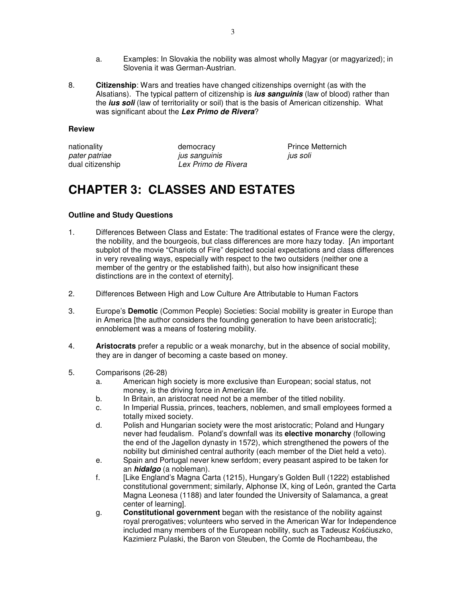- a. Examples: In Slovakia the nobility was almost wholly Magyar (or magyarized); in Slovenia it was German-Austrian.
- 8. **Citizenship**: Wars and treaties have changed citizenships overnight (as with the Alsatians). The typical pattern of citizenship is **ius sanguinis** (law of blood) rather than the **ius soli** (law of territoriality or soil) that is the basis of American citizenship. What was significant about the **Lex Primo de Rivera**?

pater patriae ius sanguinis ius soli ius soli dual citizenship Lex Primo de Rivera

nationality **nationality** democracy **Prince Metternich** 

# **CHAPTER 3: CLASSES AND ESTATES**

- 1. Differences Between Class and Estate: The traditional estates of France were the clergy, the nobility, and the bourgeois, but class differences are more hazy today. [An important subplot of the movie "Chariots of Fire" depicted social expectations and class differences in very revealing ways, especially with respect to the two outsiders (neither one a member of the gentry or the established faith), but also how insignificant these distinctions are in the context of eternity].
- 2. Differences Between High and Low Culture Are Attributable to Human Factors
- 3. Europe's **Demotic** (Common People) Societies: Social mobility is greater in Europe than in America [the author considers the founding generation to have been aristocratic]; ennoblement was a means of fostering mobility.
- 4. **Aristocrats** prefer a republic or a weak monarchy, but in the absence of social mobility, they are in danger of becoming a caste based on money.
- 5. Comparisons (26-28)
	- a. American high society is more exclusive than European; social status, not money, is the driving force in American life.
	- b. In Britain, an aristocrat need not be a member of the titled nobility.
	- c. In Imperial Russia, princes, teachers, noblemen, and small employees formed a totally mixed society.
	- d. Polish and Hungarian society were the most aristocratic; Poland and Hungary never had feudalism. Poland's downfall was its **elective monarchy** (following the end of the Jagellon dynasty in 1572), which strengthened the powers of the nobility but diminished central authority (each member of the Diet held a veto).
	- e. Spain and Portugal never knew serfdom; every peasant aspired to be taken for an **hidalgo** (a nobleman).
	- f. [Like England's Magna Carta (1215), Hungary's Golden Bull (1222) established constitutional government; similarly, Alphonse IX, king of León, granted the Carta Magna Leonesa (1188) and later founded the University of Salamanca, a great center of learning].
	- g. **Constitutional government** began with the resistance of the nobility against royal prerogatives; volunteers who served in the American War for Independence included many members of the European nobility, such as Tadeusz Kośćiuszko, Kazimierz Pulaski, the Baron von Steuben, the Comte de Rochambeau, the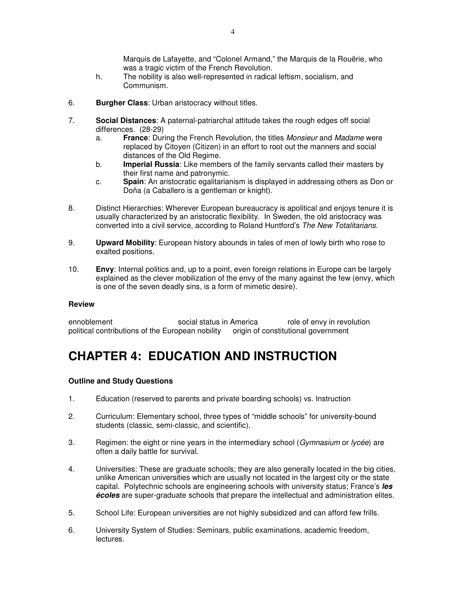Marquis de Lafayette, and "Colonel Armand," the Marquis de la Rouërie, who was a tragic victim of the French Revolution.

- h. The nobility is also well-represented in radical leftism, socialism, and Communism.
- 6. **Burgher Class**: Urban aristocracy without titles.
- 7. **Social Distances**: A paternal-patriarchal attitude takes the rough edges off social differences. (28-29)
	- a. **France**: During the French Revolution, the titles Monsieur and Madame were replaced by Citoyen (Citizen) in an effort to root out the manners and social distances of the Old Regime.
	- b. **Imperial Russia**: Like members of the family servants called their masters by their first name and patronymic.
	- c. **Spain**: An aristocratic egalitarianism is displayed in addressing others as Don or Doña (a Caballero is a gentleman or knight).
- 8. Distinct Hierarchies: Wherever European bureaucracy is apolitical and enjoys tenure it is usually characterized by an aristocratic flexibility. In Sweden, the old aristocracy was converted into a civil service, according to Roland Huntford's The New Totalitarians.
- 9. **Upward Mobility**: European history abounds in tales of men of lowly birth who rose to exalted positions.
- 10. **Envy**: Internal politics and, up to a point, even foreign relations in Europe can be largely explained as the clever mobilization of the envy of the many against the few (envy, which is one of the seven deadly sins, is a form of mimetic desire).

#### **Review**

ennoblement social status in America role of envy in revolution political contributions of the European nobility origin of constitutional government

# **CHAPTER 4: EDUCATION AND INSTRUCTION**

- 1. Education (reserved to parents and private boarding schools) vs. Instruction
- 2. Curriculum: Elementary school, three types of "middle schools" for university-bound students (classic, semi-classic, and scientific).
- 3. Regimen: the eight or nine years in the intermediary school (Gymnasium or lycée) are often a daily battle for survival.
- 4. Universities: These are graduate schools; they are also generally located in the big cities, unlike American universities which are usually not located in the largest city or the state capital. Polytechnic schools are engineering schools with university status; France's **les écoles** are super-graduate schools that prepare the intellectual and administration elites.
- 5. School Life: European universities are not highly subsidized and can afford few frills.
- 6. University System of Studies: Seminars, public examinations, academic freedom, lectures.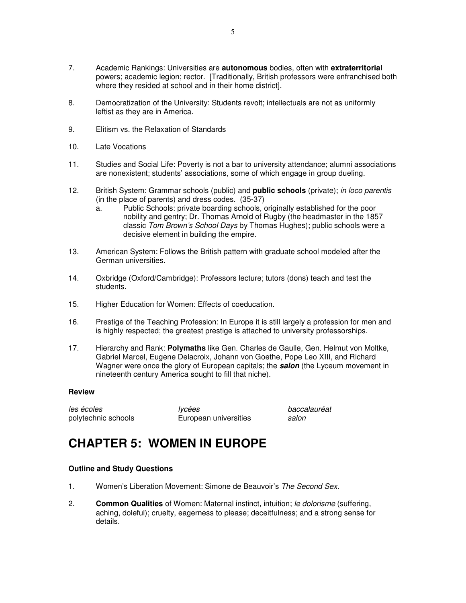- 7. Academic Rankings: Universities are **autonomous** bodies, often with **extraterritorial** powers; academic legion; rector. [Traditionally, British professors were enfranchised both where they resided at school and in their home district].
- 8. Democratization of the University: Students revolt; intellectuals are not as uniformly leftist as they are in America.
- 9. Elitism vs. the Relaxation of Standards
- 10. Late Vocations
- 11. Studies and Social Life: Poverty is not a bar to university attendance; alumni associations are nonexistent; students' associations, some of which engage in group dueling.
- 12. British System: Grammar schools (public) and **public schools** (private); in loco parentis (in the place of parents) and dress codes. (35-37)
	- a. Public Schools: private boarding schools, originally established for the poor nobility and gentry; Dr. Thomas Arnold of Rugby (the headmaster in the 1857 classic Tom Brown's School Days by Thomas Hughes); public schools were a decisive element in building the empire.
- 13. American System: Follows the British pattern with graduate school modeled after the German universities.
- 14. Oxbridge (Oxford/Cambridge): Professors lecture; tutors (dons) teach and test the students.
- 15. Higher Education for Women: Effects of coeducation.
- 16. Prestige of the Teaching Profession: In Europe it is still largely a profession for men and is highly respected; the greatest prestige is attached to university professorships.
- 17. Hierarchy and Rank: **Polymaths** like Gen. Charles de Gaulle, Gen. Helmut von Moltke, Gabriel Marcel, Eugene Delacroix, Johann von Goethe, Pope Leo XIII, and Richard Wagner were once the glory of European capitals; the **salon** (the Lyceum movement in nineteenth century America sought to fill that niche).

les écoles de la provincie de la lycées de la provincie de la partie de la partie de la partie de la partie de polytechnic schools **European universities** salon

## **CHAPTER 5: WOMEN IN EUROPE**

- 1. Women's Liberation Movement: Simone de Beauvoir's The Second Sex.
- 2. **Common Qualities** of Women: Maternal instinct, intuition; le dolorisme (suffering, aching, doleful); cruelty, eagerness to please; deceitfulness; and a strong sense for details.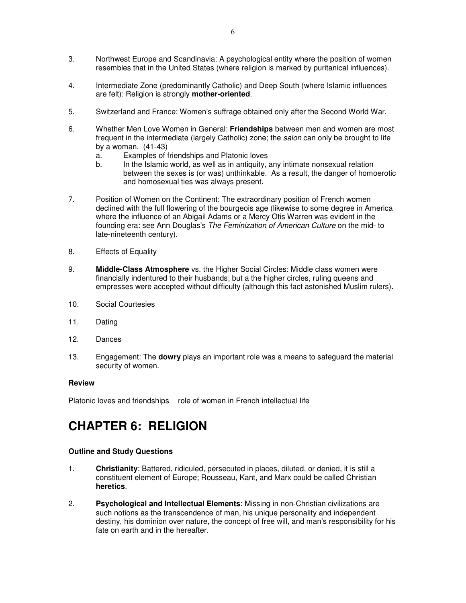- 3. Northwest Europe and Scandinavia: A psychological entity where the position of women resembles that in the United States (where religion is marked by puritanical influences).
- 4. Intermediate Zone (predominantly Catholic) and Deep South (where Islamic influences are felt): Religion is strongly **mother-oriented**.
- 5. Switzerland and France: Women's suffrage obtained only after the Second World War.
- 6. Whether Men Love Women in General: **Friendships** between men and women are most frequent in the intermediate (largely Catholic) zone; the salon can only be brought to life by a woman. (41-43)
	- a. Examples of friendships and Platonic loves<br>h In the Islamic world, as well as in antiquity,
	- In the Islamic world, as well as in antiquity, any intimate nonsexual relation between the sexes is (or was) unthinkable. As a result, the danger of homoerotic and homosexual ties was always present.
- 7. Position of Women on the Continent: The extraordinary position of French women declined with the full flowering of the bourgeois age (likewise to some degree in America where the influence of an Abigail Adams or a Mercy Otis Warren was evident in the founding era: see Ann Douglas's The Feminization of American Culture on the mid- to late-nineteenth century).
- 8. Effects of Equality
- 9. **Middle-Class Atmosphere** vs. the Higher Social Circles: Middle class women were financially indentured to their husbands; but a the higher circles, ruling queens and empresses were accepted without difficulty (although this fact astonished Muslim rulers).
- 10. Social Courtesies
- 11. Dating
- 12. Dances
- 13. Engagement: The **dowry** plays an important role was a means to safeguard the material security of women.

Platonic loves and friendships role of women in French intellectual life

# **CHAPTER 6: RELIGION**

- 1. **Christianity**: Battered, ridiculed, persecuted in places, diluted, or denied, it is still a constituent element of Europe; Rousseau, Kant, and Marx could be called Christian **heretics**.
- 2. **Psychological and Intellectual Elements**: Missing in non-Christian civilizations are such notions as the transcendence of man, his unique personality and independent destiny, his dominion over nature, the concept of free will, and man's responsibility for his fate on earth and in the hereafter.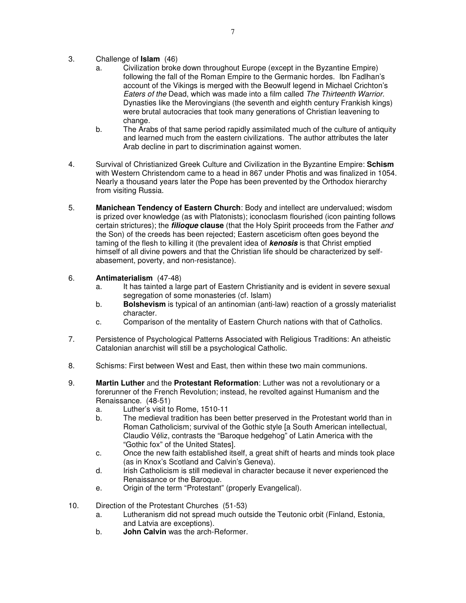- 3. Challenge of **Islam** (46)
	- a. Civilization broke down throughout Europe (except in the Byzantine Empire) following the fall of the Roman Empire to the Germanic hordes. Ibn Fadlhan's account of the Vikings is merged with the Beowulf legend in Michael Crichton's Eaters of the Dead, which was made into a film called The Thirteenth Warrior. Dynasties like the Merovingians (the seventh and eighth century Frankish kings) were brutal autocracies that took many generations of Christian leavening to change.
	- b. The Arabs of that same period rapidly assimilated much of the culture of antiquity and learned much from the eastern civilizations. The author attributes the later Arab decline in part to discrimination against women.
- 4. Survival of Christianized Greek Culture and Civilization in the Byzantine Empire: **Schism** with Western Christendom came to a head in 867 under Photis and was finalized in 1054. Nearly a thousand years later the Pope has been prevented by the Orthodox hierarchy from visiting Russia.
- 5. **Manichean Tendency of Eastern Church**: Body and intellect are undervalued; wisdom is prized over knowledge (as with Platonists); iconoclasm flourished (icon painting follows certain strictures); the **filioque clause** (that the Holy Spirit proceeds from the Father and the Son) of the creeds has been rejected; Eastern asceticism often goes beyond the taming of the flesh to killing it (the prevalent idea of **kenosis** is that Christ emptied himself of all divine powers and that the Christian life should be characterized by selfabasement, poverty, and non-resistance).
- 6. **Antimaterialism** (47-48)
	- a. It has tainted a large part of Eastern Christianity and is evident in severe sexual segregation of some monasteries (cf. Islam)
	- b. **Bolshevism** is typical of an antinomian (anti-law) reaction of a grossly materialist character.
	- c. Comparison of the mentality of Eastern Church nations with that of Catholics.
- 7. Persistence of Psychological Patterns Associated with Religious Traditions: An atheistic Catalonian anarchist will still be a psychological Catholic.
- 8. Schisms: First between West and East, then within these two main communions.
- 9. **Martin Luther** and the **Protestant Reformation**: Luther was not a revolutionary or a forerunner of the French Revolution; instead, he revolted against Humanism and the Renaissance. (48-51)
	- a. Luther's visit to Rome, 1510-11
	- b. The medieval tradition has been better preserved in the Protestant world than in Roman Catholicism; survival of the Gothic style [a South American intellectual, Claudio Véliz, contrasts the "Baroque hedgehog" of Latin America with the "Gothic fox" of the United States].
	- c. Once the new faith established itself, a great shift of hearts and minds took place (as in Knox's Scotland and Calvin's Geneva).
	- d. Irish Catholicism is still medieval in character because it never experienced the Renaissance or the Baroque.
	- e. Origin of the term "Protestant" (properly Evangelical).
- 10. Direction of the Protestant Churches (51-53)
	- a. Lutheranism did not spread much outside the Teutonic orbit (Finland, Estonia, and Latvia are exceptions).
	- b. **John Calvin** was the arch-Reformer.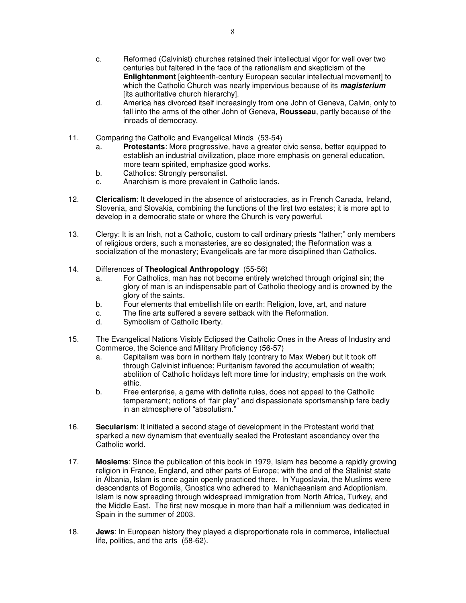- c. Reformed (Calvinist) churches retained their intellectual vigor for well over two centuries but faltered in the face of the rationalism and skepticism of the **Enlightenment** [eighteenth-century European secular intellectual movement] to which the Catholic Church was nearly impervious because of its **magisterium** [its authoritative church hierarchy].
- d. America has divorced itself increasingly from one John of Geneva, Calvin, only to fall into the arms of the other John of Geneva, **Rousseau**, partly because of the inroads of democracy.
- 11. Comparing the Catholic and Evangelical Minds (53-54)
	- a. **Protestants**: More progressive, have a greater civic sense, better equipped to establish an industrial civilization, place more emphasis on general education, more team spirited, emphasize good works.
	- b. Catholics: Strongly personalist.
	- c. Anarchism is more prevalent in Catholic lands.
- 12. **Clericalism**: It developed in the absence of aristocracies, as in French Canada, Ireland, Slovenia, and Slovakia, combining the functions of the first two estates; it is more apt to develop in a democratic state or where the Church is very powerful.
- 13. Clergy: It is an Irish, not a Catholic, custom to call ordinary priests "father;" only members of religious orders, such a monasteries, are so designated; the Reformation was a socialization of the monastery; Evangelicals are far more disciplined than Catholics.

#### 14. Differences of **Theological Anthropology** (55-56)

- a. For Catholics, man has not become entirely wretched through original sin; the glory of man is an indispensable part of Catholic theology and is crowned by the glory of the saints.
- b. Four elements that embellish life on earth: Religion, love, art, and nature
- c. The fine arts suffered a severe setback with the Reformation.
- d. Symbolism of Catholic liberty.
- 15. The Evangelical Nations Visibly Eclipsed the Catholic Ones in the Areas of Industry and Commerce, the Science and Military Proficiency (56-57)
	- a. Capitalism was born in northern Italy (contrary to Max Weber) but it took off through Calvinist influence; Puritanism favored the accumulation of wealth; abolition of Catholic holidays left more time for industry; emphasis on the work ethic.
	- b. Free enterprise, a game with definite rules, does not appeal to the Catholic temperament; notions of "fair play" and dispassionate sportsmanship fare badly in an atmosphere of "absolutism."
- 16. **Secularism**: It initiated a second stage of development in the Protestant world that sparked a new dynamism that eventually sealed the Protestant ascendancy over the Catholic world.
- 17. **Moslems**: Since the publication of this book in 1979, Islam has become a rapidly growing religion in France, England, and other parts of Europe; with the end of the Stalinist state in Albania, Islam is once again openly practiced there. In Yugoslavia, the Muslims were descendants of Bogomils, Gnostics who adhered to Manichaeanism and Adoptionism. Islam is now spreading through widespread immigration from North Africa, Turkey, and the Middle East. The first new mosque in more than half a millennium was dedicated in Spain in the summer of 2003.
- 18. **Jews**: In European history they played a disproportionate role in commerce, intellectual life, politics, and the arts (58-62).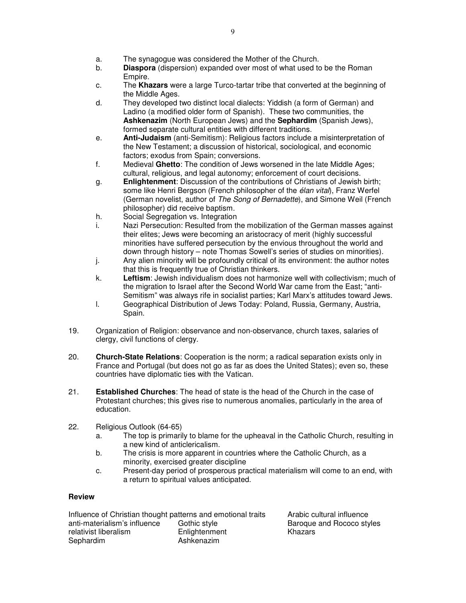- a. The synagogue was considered the Mother of the Church.
- b. **Diaspora** (dispersion) expanded over most of what used to be the Roman Empire.
- c. The **Khazars** were a large Turco-tartar tribe that converted at the beginning of the Middle Ages.
- d. They developed two distinct local dialects: Yiddish (a form of German) and Ladino (a modified older form of Spanish). These two communities, the **Ashkenazim** (North European Jews) and the **Sephardim** (Spanish Jews), formed separate cultural entities with different traditions.
- e. **Anti-Judaism** (anti-Semitism): Religious factors include a misinterpretation of the New Testament; a discussion of historical, sociological, and economic factors; exodus from Spain; conversions.
- f. Medieval **Ghetto**: The condition of Jews worsened in the late Middle Ages; cultural, religious, and legal autonomy; enforcement of court decisions.
- g. **Enlightenment**: Discussion of the contributions of Christians of Jewish birth; some like Henri Bergson (French philosopher of the élan vital), Franz Werfel (German novelist, author of The Song of Bernadette), and Simone Weil (French philosopher) did receive baptism.
- h. Social Segregation vs. Integration
- i. Nazi Persecution: Resulted from the mobilization of the German masses against their elites; Jews were becoming an aristocracy of merit (highly successful minorities have suffered persecution by the envious throughout the world and down through history – note Thomas Sowell's series of studies on minorities).
- j. Any alien minority will be profoundly critical of its environment: the author notes that this is frequently true of Christian thinkers.
- k. **Leftism**: Jewish individualism does not harmonize well with collectivism; much of the migration to Israel after the Second World War came from the East; "anti-Semitism" was always rife in socialist parties; Karl Marx's attitudes toward Jews.
- l. Geographical Distribution of Jews Today: Poland, Russia, Germany, Austria, Spain.
- 19. Organization of Religion: observance and non-observance, church taxes, salaries of clergy, civil functions of clergy.
- 20. **Church-State Relations**: Cooperation is the norm; a radical separation exists only in France and Portugal (but does not go as far as does the United States); even so, these countries have diplomatic ties with the Vatican.
- 21. **Established Churches**: The head of state is the head of the Church in the case of Protestant churches; this gives rise to numerous anomalies, particularly in the area of education.
- 22. Religious Outlook (64-65)
	- a. The top is primarily to blame for the upheaval in the Catholic Church, resulting in a new kind of anticlericalism.
	- b. The crisis is more apparent in countries where the Catholic Church, as a minority, exercised greater discipline
	- c. Present-day period of prosperous practical materialism will come to an end, with a return to spiritual values anticipated.

Influence of Christian thought patterns and emotional traits Arabic cultural influence<br>
anti-materialism's influence Gothic style **Baroque and Rococo** sty relativist liberalism **Enlightenment** Khazars Sephardim **Ashkenazim** 

Gothic style **anti-mater contains in the Baroque and Rococo styles**<br>
Enlightenment **Exercise Style Style Style Styles**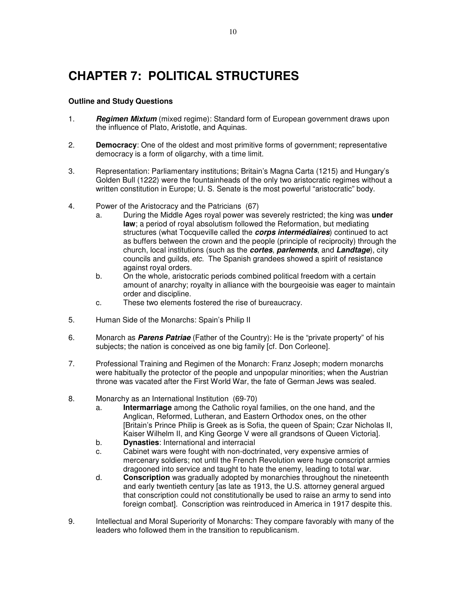# **CHAPTER 7: POLITICAL STRUCTURES**

- 1. **Regimen Mixtum** (mixed regime): Standard form of European government draws upon the influence of Plato, Aristotle, and Aquinas.
- 2. **Democracy**: One of the oldest and most primitive forms of government; representative democracy is a form of oligarchy, with a time limit.
- 3. Representation: Parliamentary institutions; Britain's Magna Carta (1215) and Hungary's Golden Bull (1222) were the fountainheads of the only two aristocratic regimes without a written constitution in Europe; U. S. Senate is the most powerful "aristocratic" body.
- 4. Power of the Aristocracy and the Patricians (67)
	- a. During the Middle Ages royal power was severely restricted; the king was **under law**; a period of royal absolutism followed the Reformation, but mediating structures (what Tocqueville called the **corps intermédiaires**) continued to act as buffers between the crown and the people (principle of reciprocity) through the church, local institutions (such as the **cortes**, **parlements**, and **Landtage**), city councils and guilds, etc. The Spanish grandees showed a spirit of resistance against royal orders.
	- b. On the whole, aristocratic periods combined political freedom with a certain amount of anarchy; royalty in alliance with the bourgeoisie was eager to maintain order and discipline.
	- c. These two elements fostered the rise of bureaucracy.
- 5. Human Side of the Monarchs: Spain's Philip II
- 6. Monarch as **Parens Patriae** (Father of the Country): He is the "private property" of his subjects; the nation is conceived as one big family [cf. Don Corleone].
- 7. Professional Training and Regimen of the Monarch: Franz Joseph; modern monarchs were habitually the protector of the people and unpopular minorities; when the Austrian throne was vacated after the First World War, the fate of German Jews was sealed.
- 8. Monarchy as an International Institution (69-70)
	- a. **Intermarriage** among the Catholic royal families, on the one hand, and the Anglican, Reformed, Lutheran, and Eastern Orthodox ones, on the other [Britain's Prince Philip is Greek as is Sofia, the queen of Spain; Czar Nicholas II, Kaiser Wilhelm II, and King George V were all grandsons of Queen Victoria].
	- b. **Dynasties**: International and interracial
	- c. Cabinet wars were fought with non-doctrinated, very expensive armies of mercenary soldiers; not until the French Revolution were huge conscript armies dragooned into service and taught to hate the enemy, leading to total war.
	- d. **Conscription** was gradually adopted by monarchies throughout the nineteenth and early twentieth century [as late as 1913, the U.S. attorney general argued that conscription could not constitutionally be used to raise an army to send into foreign combat]. Conscription was reintroduced in America in 1917 despite this.
- 9. Intellectual and Moral Superiority of Monarchs: They compare favorably with many of the leaders who followed them in the transition to republicanism.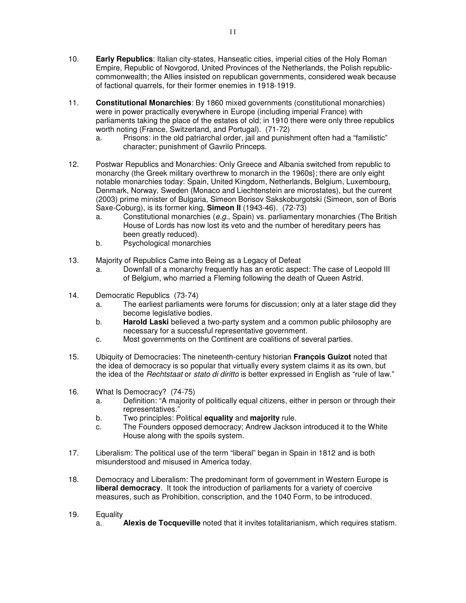- 10. **Early Republics**: Italian city-states, Hanseatic cities, imperial cities of the Holy Roman Empire, Republic of Novgorod, United Provinces of the Netherlands, the Polish republiccommonwealth; the Allies insisted on republican governments, considered weak because of factional quarrels, for their former enemies in 1918-1919.
- 11. **Constitutional Monarchies**: By 1860 mixed governments (constitutional monarchies) were in power practically everywhere in Europe (including imperial France) with parliaments taking the place of the estates of old; in 1910 there were only three republics worth noting (France, Switzerland, and Portugal). (71-72)
	- a. Prisons: in the old patriarchal order, jail and punishment often had a "familistic" character; punishment of Gavrilo Princeps.
- 12. Postwar Republics and Monarchies: Only Greece and Albania switched from republic to monarchy (the Greek military overthrew to monarch in the 1960s}; there are only eight notable monarchies today: Spain, United Kingdom, Netherlands, Belgium, Luxembourg, Denmark, Norway, Sweden (Monaco and Liechtenstein are microstates), but the current (2003) prime minister of Bulgaria, Simeon Borisov Sakskoburgotski (Simeon, son of Boris Saxe-Coburg), is its former king, **Simeon II** (1943-46). (72-73)
	- a. Constitutional monarchies (e.g., Spain) vs. parliamentary monarchies (The British House of Lords has now lost its veto and the number of hereditary peers has been greatly reduced).
	- b. Psychological monarchies
- 13. Majority of Republics Came into Being as a Legacy of Defeat
	- a. Downfall of a monarchy frequently has an erotic aspect: The case of Leopold III of Belgium, who married a Fleming following the death of Queen Astrid.
- 14. Democratic Republics (73-74)
	- a. The earliest parliaments were forums for discussion; only at a later stage did they become legislative bodies.
	- b. **Harold Laski** believed a two-party system and a common public philosophy are necessary for a successful representative government.
	- c. Most governments on the Continent are coalitions of several parties.
- 15. Ubiquity of Democracies: The nineteenth-century historian **François Guizot** noted that the idea of democracy is so popular that virtually every system claims it as its own, but the idea of the *Rechtstaat* or *stato di diritto* is better expressed in English as "rule of law."
- 16. What Is Democracy? (74-75)
	- a. Definition: "A majority of politically equal citizens, either in person or through their representatives."
	- b. Two principles: Political **equality** and **majority** rule.
	- c. The Founders opposed democracy; Andrew Jackson introduced it to the White House along with the spoils system.
- 17. Liberalism: The political use of the term "liberal" began in Spain in 1812 and is both misunderstood and misused in America today.
- 18. Democracy and Liberalism: The predominant form of government in Western Europe is **liberal democracy.** It took the introduction of parliaments for a variety of coercive measures, such as Prohibition, conscription, and the 1040 Form, to be introduced.
- 19. Equality
	- a. **Alexis de Tocqueville** noted that it invites totalitarianism, which requires statism.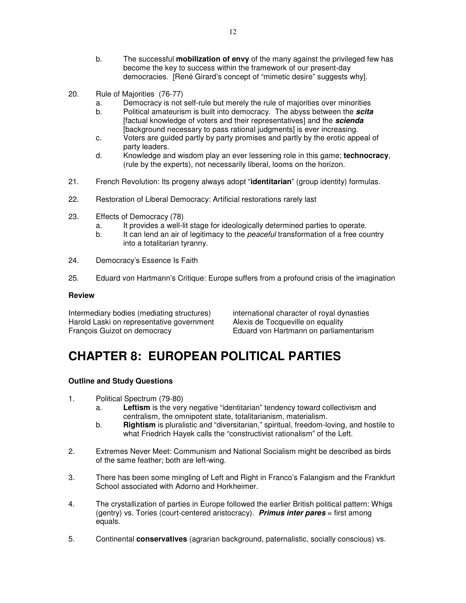- b. The successful **mobilization of envy** of the many against the privileged few has become the key to success within the framework of our present-day democracies. [René Girard's concept of "mimetic desire" suggests why].
- 20. Rule of Majorities (76-77)
	- a. Democracy is not self-rule but merely the rule of majorities over minorities
	- b. Political amateurism is built into democracy. The abyss between the **scita** [factual knowledge of voters and their representatives] and the **scienda** [background necessary to pass rational judgments] is ever increasing.
	- c. Voters are guided partly by party promises and partly by the erotic appeal of party leaders.
	- d. Knowledge and wisdom play an ever lessening role in this game; **technocracy**, (rule by the experts), not necessarily liberal, looms on the horizon.
- 21. French Revolution: Its progeny always adopt "**identitarian**" (group identity) formulas.
- 22. Restoration of Liberal Democracy: Artificial restorations rarely last
- 23. Effects of Democracy (78)
	- a. It provides a well-lit stage for ideologically determined parties to operate.
	- b. It can lend an air of legitimacy to the *peaceful* transformation of a free country into a totalitarian tyranny.
- 24. Democracy's Essence Is Faith
- 25. Eduard von Hartmann's Critique: Europe suffers from a profound crisis of the imagination

Intermediary bodies (mediating structures) international character of royal dynasties Harold Laski on representative government Alexis de Tocqueville on equality François Guizot on democracy Eduard von Hartmann on parliamentarism

# **CHAPTER 8: EUROPEAN POLITICAL PARTIES**

- 1. Political Spectrum (79-80)
	- a. **Leftism** is the very negative "identitarian" tendency toward collectivism and centralism, the omnipotent state, totalitarianism, materialism.
	- b. **Rightism** is pluralistic and "diversitarian," spiritual, freedom-loving, and hostile to what Friedrich Hayek calls the "constructivist rationalism" of the Left.
- 2. Extremes Never Meet: Communism and National Socialism might be described as birds of the same feather; both are left-wing.
- 3. There has been some mingling of Left and Right in Franco's Falangism and the Frankfurt School associated with Adorno and Horkheimer.
- 4. The crystallization of parties in Europe followed the earlier British political pattern: Whigs (gentry) vs. Tories (court-centered aristocracy). **Primus inter pares** = first among equals.
- 5. Continental **conservatives** (agrarian background, paternalistic, socially conscious) vs.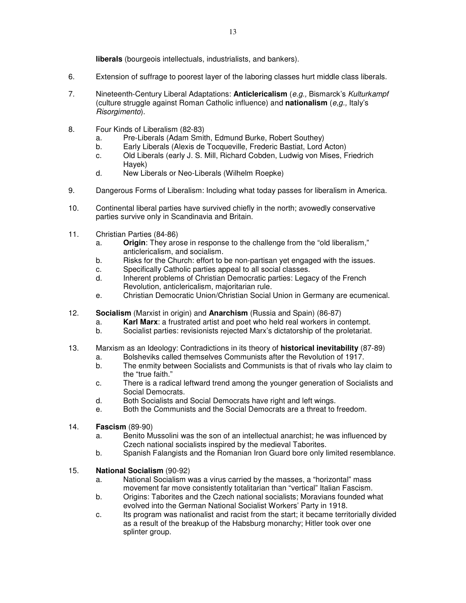**liberals** (bourgeois intellectuals, industrialists, and bankers).

- 6. Extension of suffrage to poorest layer of the laboring classes hurt middle class liberals.
- 7. Nineteenth-Century Liberal Adaptations: **Anticlericalism** (e.g., Bismarck's Kulturkampf (culture struggle against Roman Catholic influence) and **nationalism** (e,g., Italy's Risorgimento).
- 8. Four Kinds of Liberalism (82-83)
	- a. Pre-Liberals (Adam Smith, Edmund Burke, Robert Southey)
	- b. Early Liberals (Alexis de Tocqueville, Frederic Bastiat, Lord Acton)
	- c. Old Liberals (early J. S. Mill, Richard Cobden, Ludwig von Mises, Friedrich Hayek)
	- d. New Liberals or Neo-Liberals (Wilhelm Roepke)
- 9. Dangerous Forms of Liberalism: Including what today passes for liberalism in America.
- 10. Continental liberal parties have survived chiefly in the north; avowedly conservative parties survive only in Scandinavia and Britain.
- 11. Christian Parties (84-86)
	- a. **Origin**: They arose in response to the challenge from the "old liberalism," anticlericalism, and socialism.
	- b. Risks for the Church: effort to be non-partisan yet engaged with the issues.
	- c. Specifically Catholic parties appeal to all social classes.
	- d. Inherent problems of Christian Democratic parties: Legacy of the French Revolution, anticlericalism, majoritarian rule.
	- e. Christian Democratic Union/Christian Social Union in Germany are ecumenical.
- 12. **Socialism** (Marxist in origin) and **Anarchism** (Russia and Spain) (86-87)
	- a. **Karl Marx**: a frustrated artist and poet who held real workers in contempt.
	- b. Socialist parties: revisionists rejected Marx's dictatorship of the proletariat.
- 13. Marxism as an Ideology: Contradictions in its theory of **historical inevitability** (87-89)
	- a. Bolsheviks called themselves Communists after the Revolution of 1917.
	- b. The enmity between Socialists and Communists is that of rivals who lay claim to the "true faith."
	- c. There is a radical leftward trend among the younger generation of Socialists and Social Democrats.
	- d. Both Socialists and Social Democrats have right and left wings.
	- e. Both the Communists and the Social Democrats are a threat to freedom.
- 14. **Fascism** (89-90)
	- a. Benito Mussolini was the son of an intellectual anarchist; he was influenced by Czech national socialists inspired by the medieval Taborites.
	- b. Spanish Falangists and the Romanian Iron Guard bore only limited resemblance.
- 15. **National Socialism** (90-92)
	- a. National Socialism was a virus carried by the masses, a "horizontal" mass movement far move consistently totalitarian than "vertical" Italian Fascism.
	- b. Origins: Taborites and the Czech national socialists; Moravians founded what evolved into the German National Socialist Workers' Party in 1918.
	- c. Its program was nationalist and racist from the start; it became territorially divided as a result of the breakup of the Habsburg monarchy; Hitler took over one splinter group.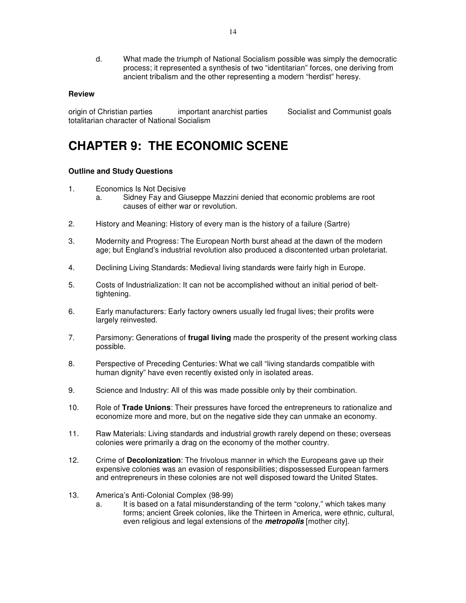d. What made the triumph of National Socialism possible was simply the democratic process; it represented a synthesis of two "identitarian" forces, one deriving from ancient tribalism and the other representing a modern "herdist" heresy.

#### **Review**

origin of Christian parties important anarchist parties Socialist and Communist goals totalitarian character of National Socialism

## **CHAPTER 9: THE ECONOMIC SCENE**

- 1. Economics Is Not Decisive
	- a. Sidney Fay and Giuseppe Mazzini denied that economic problems are root causes of either war or revolution.
- 2. History and Meaning: History of every man is the history of a failure (Sartre)
- 3. Modernity and Progress: The European North burst ahead at the dawn of the modern age; but England's industrial revolution also produced a discontented urban proletariat.
- 4. Declining Living Standards: Medieval living standards were fairly high in Europe.
- 5. Costs of Industrialization: It can not be accomplished without an initial period of belttightening.
- 6. Early manufacturers: Early factory owners usually led frugal lives; their profits were largely reinvested.
- 7. Parsimony: Generations of **frugal living** made the prosperity of the present working class possible.
- 8. Perspective of Preceding Centuries: What we call "living standards compatible with human dignity" have even recently existed only in isolated areas.
- 9. Science and Industry: All of this was made possible only by their combination.
- 10. Role of **Trade Unions**: Their pressures have forced the entrepreneurs to rationalize and economize more and more, but on the negative side they can unmake an economy.
- 11. Raw Materials: Living standards and industrial growth rarely depend on these; overseas colonies were primarily a drag on the economy of the mother country.
- 12. Crime of **Decolonization**: The frivolous manner in which the Europeans gave up their expensive colonies was an evasion of responsibilities; dispossessed European farmers and entrepreneurs in these colonies are not well disposed toward the United States.
- 13. America's Anti-Colonial Complex (98-99)
	- a. It is based on a fatal misunderstanding of the term "colony," which takes many forms; ancient Greek colonies, like the Thirteen in America, were ethnic, cultural, even religious and legal extensions of the **metropolis** [mother city].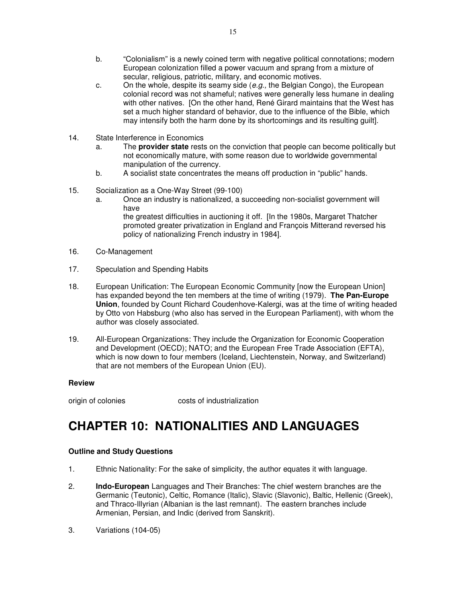- b. "Colonialism" is a newly coined term with negative political connotations; modern European colonization filled a power vacuum and sprang from a mixture of secular, religious, patriotic, military, and economic motives.
- c. On the whole, despite its seamy side  $(e.g.,$  the Belgian Congo), the European colonial record was not shameful; natives were generally less humane in dealing with other natives. [On the other hand, René Girard maintains that the West has set a much higher standard of behavior, due to the influence of the Bible, which may intensify both the harm done by its shortcomings and its resulting guilt].
- 14. State Interference in Economics
	- a. The **provider state** rests on the conviction that people can become politically but not economically mature, with some reason due to worldwide governmental manipulation of the currency.
	- b. A socialist state concentrates the means off production in "public" hands.
- 15. Socialization as a One-Way Street (99-100)
	- a. Once an industry is nationalized, a succeeding non-socialist government will have the greatest difficulties in auctioning it off. [In the 1980s, Margaret Thatcher

promoted greater privatization in England and François Mitterand reversed his policy of nationalizing French industry in 1984].

- 16. Co-Management
- 17. Speculation and Spending Habits
- 18. European Unification: The European Economic Community [now the European Union] has expanded beyond the ten members at the time of writing (1979). **The Pan-Europe Union**, founded by Count Richard Coudenhove-Kalergi, was at the time of writing headed by Otto von Habsburg (who also has served in the European Parliament), with whom the author was closely associated.
- 19. All-European Organizations: They include the Organization for Economic Cooperation and Development (OECD); NATO; and the European Free Trade Association (EFTA), which is now down to four members (Iceland, Liechtenstein, Norway, and Switzerland) that are not members of the European Union (EU).

#### **Review**

origin of colonies costs of industrialization

## **CHAPTER 10: NATIONALITIES AND LANGUAGES**

- 1. Ethnic Nationality: For the sake of simplicity, the author equates it with language.
- 2. **Indo-European** Languages and Their Branches: The chief western branches are the Germanic (Teutonic), Celtic, Romance (Italic), Slavic (Slavonic), Baltic, Hellenic (Greek), and Thraco-Illyrian (Albanian is the last remnant). The eastern branches include Armenian, Persian, and Indic (derived from Sanskrit).
- 3. Variations (104-05)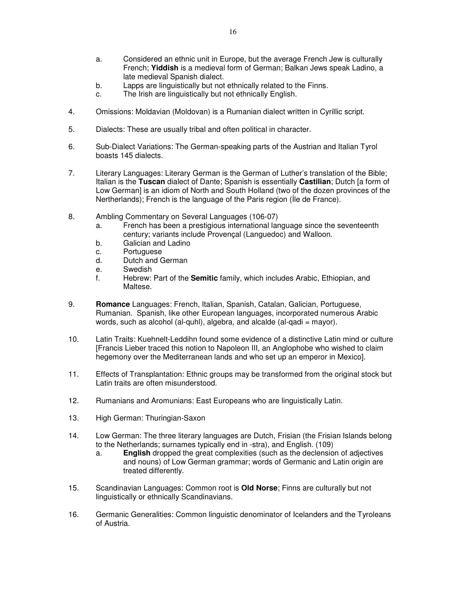- a. Considered an ethnic unit in Europe, but the average French Jew is culturally French; **Yiddish** is a medieval form of German; Balkan Jews speak Ladino, a late medieval Spanish dialect.
- b. Lapps are linguistically but not ethnically related to the Finns.
- c. The Irish are linguistically but not ethnically English.
- 4. Omissions: Moldavian (Moldovan) is a Rumanian dialect written in Cyrillic script.
- 5. Dialects: These are usually tribal and often political in character.
- 6. Sub-Dialect Variations: The German-speaking parts of the Austrian and Italian Tyrol boasts 145 dialects.
- 7. Literary Languages: Literary German is the German of Luther's translation of the Bible; Italian is the **Tuscan** dialect of Dante; Spanish is essentially **Castilian**; Dutch [a form of Low German] is an idiom of North and South Holland (two of the dozen provinces of the Nertherlands); French is the language of the Paris region (Íle de France).
- 8. Ambling Commentary on Several Languages (106-07)
	- a. French has been a prestigious international language since the seventeenth century; variants include Provençal (Languedoc) and Walloon.
	- b. Galician and Ladino
	- c. Portuguese
	- d. Dutch and German
	- e. Swedish
	- f. Hebrew: Part of the **Semitic** family, which includes Arabic, Ethiopian, and Maltese.
- 9. **Romance** Languages: French, Italian, Spanish, Catalan, Galician, Portuguese, Rumanian. Spanish, like other European languages, incorporated numerous Arabic words, such as alcohol (al-quhl), algebra, and alcalde (al-qadi = mayor).
- 10. Latin Traits: Kuehnelt-Leddihn found some evidence of a distinctive Latin mind or culture [Francis Lieber traced this notion to Napoleon III, an Anglophobe who wished to claim hegemony over the Mediterranean lands and who set up an emperor in Mexico].
- 11. Effects of Transplantation: Ethnic groups may be transformed from the original stock but Latin traits are often misunderstood.
- 12. Rumanians and Aromunians: East Europeans who are linguistically Latin.
- 13. High German: Thuringian-Saxon
- 14. Low German: The three literary languages are Dutch, Frisian (the Frisian Islands belong to the Netherlands; surnames typically end in -stra), and English. (109)
	- a. **English** dropped the great complexities (such as the declension of adjectives and nouns) of Low German grammar; words of Germanic and Latin origin are treated differently.
- 15. Scandinavian Languages: Common root is **Old Norse**; Finns are culturally but not linguistically or ethnically Scandinavians.
- 16. Germanic Generalities: Common linguistic denominator of Icelanders and the Tyroleans of Austria.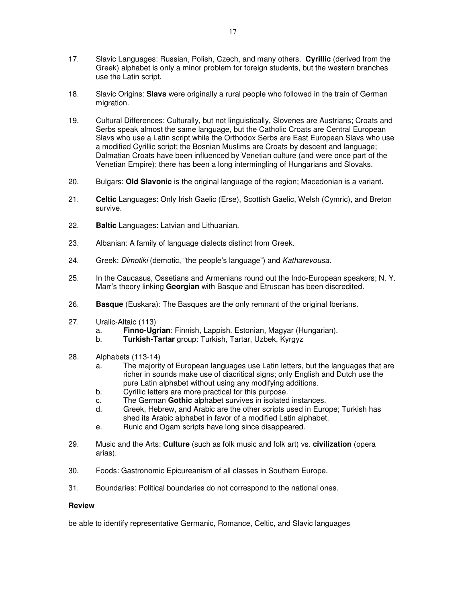- 17. Slavic Languages: Russian, Polish, Czech, and many others. **Cyrillic** (derived from the Greek) alphabet is only a minor problem for foreign students, but the western branches use the Latin script.
- 18. Slavic Origins: **Slavs** were originally a rural people who followed in the train of German migration.
- 19. Cultural Differences: Culturally, but not linguistically, Slovenes are Austrians; Croats and Serbs speak almost the same language, but the Catholic Croats are Central European Slavs who use a Latin script while the Orthodox Serbs are East European Slavs who use a modified Cyrillic script; the Bosnian Muslims are Croats by descent and language; Dalmatian Croats have been influenced by Venetian culture (and were once part of the Venetian Empire); there has been a long intermingling of Hungarians and Slovaks.
- 20. Bulgars: **Old Slavonic** is the original language of the region; Macedonian is a variant.
- 21. **Celtic** Languages: Only Irish Gaelic (Erse), Scottish Gaelic, Welsh (Cymric), and Breton survive.
- 22. **Baltic** Languages: Latvian and Lithuanian.
- 23. Albanian: A family of language dialects distinct from Greek.
- 24. Greek: Dimotiki (demotic, "the people's language") and Katharevousa.
- 25. In the Caucasus, Ossetians and Armenians round out the Indo-European speakers; N. Y. Marr's theory linking **Georgian** with Basque and Etruscan has been discredited.
- 26. **Basque** (Euskara): The Basques are the only remnant of the original Iberians.
- 27. Uralic-Altaic (113)
	- a. **Finno-Ugrian**: Finnish, Lappish. Estonian, Magyar (Hungarian).
	- b. **Turkish-Tartar** group: Turkish, Tartar, Uzbek, Kyrgyz
- 28. Alphabets (113-14)
	- a. The majority of European languages use Latin letters, but the languages that are richer in sounds make use of diacritical signs; only English and Dutch use the pure Latin alphabet without using any modifying additions.
	- b. Cyrillic letters are more practical for this purpose.
	- c. The German **Gothic** alphabet survives in isolated instances.
	- d. Greek, Hebrew, and Arabic are the other scripts used in Europe; Turkish has shed its Arabic alphabet in favor of a modified Latin alphabet.
	- e. Runic and Ogam scripts have long since disappeared.
- 29. Music and the Arts: **Culture** (such as folk music and folk art) vs. **civilization** (opera arias).
- 30. Foods: Gastronomic Epicureanism of all classes in Southern Europe.
- 31. Boundaries: Political boundaries do not correspond to the national ones.

be able to identify representative Germanic, Romance, Celtic, and Slavic languages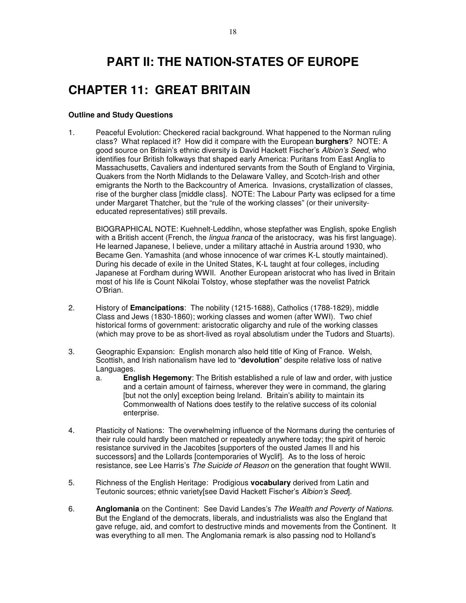# **PART II: THE NATION-STATES OF EUROPE**

# **CHAPTER 11: GREAT BRITAIN**

#### **Outline and Study Questions**

1. Peaceful Evolution: Checkered racial background. What happened to the Norman ruling class? What replaced it? How did it compare with the European **burghers**? NOTE: A good source on Britain's ethnic diversity is David Hackett Fischer's Albion's Seed, who identifies four British folkways that shaped early America: Puritans from East Anglia to Massachusetts, Cavaliers and indentured servants from the South of England to Virginia, Quakers from the North Midlands to the Delaware Valley, and Scotch-Irish and other emigrants the North to the Backcountry of America. Invasions, crystallization of classes, rise of the burgher class [middle class]. NOTE: The Labour Party was eclipsed for a time under Margaret Thatcher, but the "rule of the working classes" (or their universityeducated representatives) still prevails.

BIOGRAPHICAL NOTE: Kuehnelt-Leddihn, whose stepfather was English, spoke English with a British accent (French, the lingua franca of the aristocracy, was his first language). He learned Japanese, I believe, under a military attaché in Austria around 1930, who Became Gen. Yamashita (and whose innocence of war crimes K-L stoutly maintained). During his decade of exile in the United States, K-L taught at four colleges, including Japanese at Fordham during WWII. Another European aristocrat who has lived in Britain most of his life is Count Nikolai Tolstoy, whose stepfather was the novelist Patrick O'Brian.

- 2. History of **Emancipations**: The nobility (1215-1688), Catholics (1788-1829), middle Class and Jews (1830-1860); working classes and women (after WWI). Two chief historical forms of government: aristocratic oligarchy and rule of the working classes (which may prove to be as short-lived as royal absolutism under the Tudors and Stuarts).
- 3. Geographic Expansion: English monarch also held title of King of France. Welsh, Scottish, and Irish nationalism have led to "**devolution**" despite relative loss of native Languages.
	- a. **English Hegemony**: The British established a rule of law and order, with justice and a certain amount of fairness, wherever they were in command, the glaring [but not the only] exception being Ireland. Britain's ability to maintain its Commonwealth of Nations does testify to the relative success of its colonial enterprise.
- 4. Plasticity of Nations: The overwhelming influence of the Normans during the centuries of their rule could hardly been matched or repeatedly anywhere today; the spirit of heroic resistance survived in the Jacobites [supporters of the ousted James II and his successors] and the Lollards [contemporaries of Wyclif]. As to the loss of heroic resistance, see Lee Harris's The Suicide of Reason on the generation that fought WWII.
- 5. Richness of the English Heritage: Prodigious **vocabulary** derived from Latin and Teutonic sources; ethnic variety[see David Hackett Fischer's Albion's Seed.
- 6. **Anglomania** on the Continent: See David Landes's The Wealth and Poverty of Nations. But the England of the democrats, liberals, and industrialists was also the England that gave refuge, aid, and comfort to destructive minds and movements from the Continent. It was everything to all men. The Anglomania remark is also passing nod to Holland's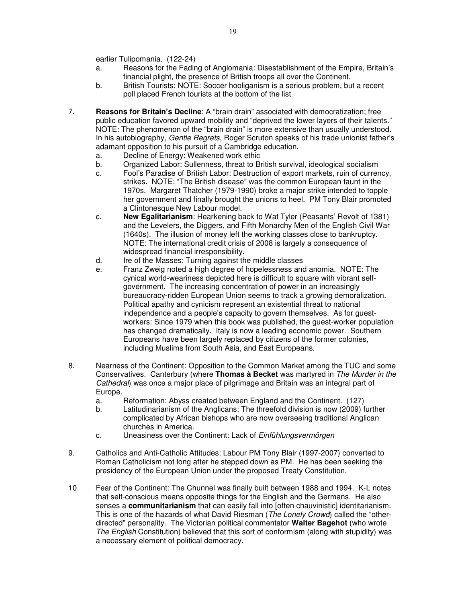earlier Tulipomania. (122-24)

- a. Reasons for the Fading of Anglomania: Disestablishment of the Empire, Britain's financial plight, the presence of British troops all over the Continent.
- b. British Tourists: NOTE: Soccer hooliganism is a serious problem, but a recent poll placed French tourists at the bottom of the list.
- 7. **Reasons for Britain's Decline**: A "brain drain" associated with democratization; free public education favored upward mobility and "deprived the lower layers of their talents." NOTE: The phenomenon of the "brain drain" is more extensive than usually understood. In his autobiography, Gentle Regrets, Roger Scruton speaks of his trade unionist father's adamant opposition to his pursuit of a Cambridge education.
	- a. Decline of Energy: Weakened work ethic
	- b. Organized Labor: Sullenness, threat to British survival, ideological socialism
	- c. Fool's Paradise of British Labor: Destruction of export markets, ruin of currency, strikes. NOTE: "The British disease" was the common European taunt in the 1970s. Margaret Thatcher (1979-1990) broke a major strike intended to topple her government and finally brought the unions to heel. PM Tony Blair promoted a Clintonesque New Labour model.
	- c. **New Egalitarianism**: Hearkening back to Wat Tyler (Peasants' Revolt of 1381) and the Levelers, the Diggers, and Fifth Monarchy Men of the English Civil War (1640s). The illusion of money left the working classes close to bankruptcy. NOTE: The international credit crisis of 2008 is largely a consequence of widespread financial irresponsibility.
	- d. Ire of the Masses: Turning against the middle classes
	- e. Franz Zweig noted a high degree of hopelessness and anomia. NOTE: The cynical world-weariness depicted here is difficult to square with vibrant selfgovernment. The increasing concentration of power in an increasingly bureaucracy-ridden European Union seems to track a growing demoralization. Political apathy and cynicism represent an existential threat to national independence and a people's capacity to govern themselves. As for guestworkers: Since 1979 when this book was published, the guest-worker population has changed dramatically. Italy is now a leading economic power. Southern Europeans have been largely replaced by citizens of the former colonies, including Muslims from South Asia, and East Europeans.
- 8. Nearness of the Continent: Opposition to the Common Market among the TUC and some Conservatives. Canterbury (where **Thomas à Becket** was martyred in The Murder in the Cathedral) was once a major place of pilgrimage and Britain was an integral part of Europe.
	- a. Reformation: Abyss created between England and the Continent. (127)
	- b. Latitudinarianism of the Anglicans: The threefold division is now (2009) further complicated by African bishops who are now overseeing traditional Anglican churches in America.
	- c. Uneasiness over the Continent: Lack of Einfühlungsvermörgen
- 9. Catholics and Anti-Catholic Attitudes: Labour PM Tony Blair (1997-2007) converted to Roman Catholicism not long after he stepped down as PM. He has been seeking the presidency of the European Union under the proposed Treaty Constitution.
- 10. Fear of the Continent: The Chunnel was finally built between 1988 and 1994. K-L notes that self-conscious means opposite things for the English and the Germans. He also senses a **communitarianism** that can easily fall into [often chauvinistic] identitarianism. This is one of the hazards of what David Riesman (The Lonely Crowd) called the "otherdirected" personality. The Victorian political commentator **Walter Bagehot** (who wrote The English Constitution) believed that this sort of conformism (along with stupidity) was a necessary element of political democracy.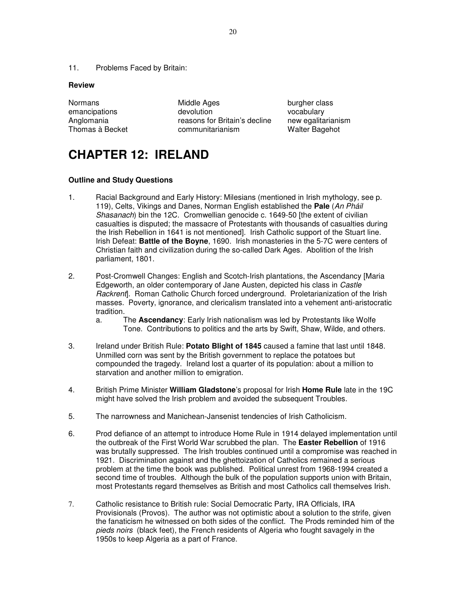11. Problems Faced by Britain:

#### **Review**

| Normans         | Middle Ages                   | bι |
|-----------------|-------------------------------|----|
| emancipations   | devolution                    | v  |
| Anglomania      | reasons for Britain's decline | n  |
| Thomas à Becket | communitarianism              | w  |

urgher class ocabulary ew egalitarianism Valter Bagehot

# **CHAPTER 12: IRELAND**

- 1. Racial Background and Early History: Milesians (mentioned in Irish mythology, see p. 119), Celts, Vikings and Danes, Norman English established the **Pale** (An Pháil Shasanach) bin the 12C. Cromwellian genocide c. 1649-50 [the extent of civilian casualties is disputed; the massacre of Protestants with thousands of casualties during the Irish Rebellion in 1641 is not mentioned]. Irish Catholic support of the Stuart line. Irish Defeat: **Battle of the Boyne**, 1690. Irish monasteries in the 5-7C were centers of Christian faith and civilization during the so-called Dark Ages. Abolition of the Irish parliament, 1801.
- 2. Post-Cromwell Changes: English and Scotch-Irish plantations, the Ascendancy [Maria Edgeworth, an older contemporary of Jane Austen, depicted his class in Castle Rackrentl. Roman Catholic Church forced underground. Proletarianization of the Irish masses. Poverty, ignorance, and clericalism translated into a vehement anti-aristocratic tradition.
	- a. The **Ascendancy**: Early Irish nationalism was led by Protestants like Wolfe Tone. Contributions to politics and the arts by Swift, Shaw, Wilde, and others.
- 3. Ireland under British Rule: **Potato Blight of 1845** caused a famine that last until 1848. Unmilled corn was sent by the British government to replace the potatoes but compounded the tragedy. Ireland lost a quarter of its population: about a million to starvation and another million to emigration.
- 4. British Prime Minister **William Gladstone**'s proposal for Irish **Home Rule** late in the 19C might have solved the Irish problem and avoided the subsequent Troubles.
- 5. The narrowness and Manichean-Jansenist tendencies of Irish Catholicism.
- 6. Prod defiance of an attempt to introduce Home Rule in 1914 delayed implementation until the outbreak of the First World War scrubbed the plan. The **Easter Rebellion** of 1916 was brutally suppressed. The Irish troubles continued until a compromise was reached in 1921. Discrimination against and the ghettoization of Catholics remained a serious problem at the time the book was published. Political unrest from 1968-1994 created a second time of troubles. Although the bulk of the population supports union with Britain, most Protestants regard themselves as British and most Catholics call themselves Irish.
- 7. Catholic resistance to British rule: Social Democratic Party, IRA Officials, IRA Provisionals (Provos). The author was not optimistic about a solution to the strife, given the fanaticism he witnessed on both sides of the conflict. The Prods reminded him of the pieds noirs (black feet), the French residents of Algeria who fought savagely in the 1950s to keep Algeria as a part of France.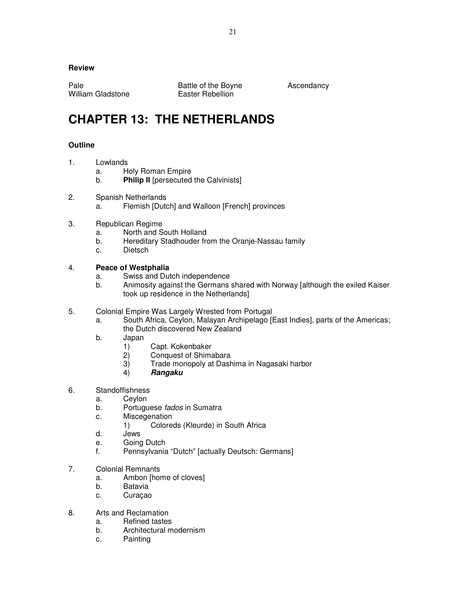William Gladstone **Easter Rebellion** 

Pale Battle of the Boyne Ascendancy

# **CHAPTER 13: THE NETHERLANDS**

## **Outline**

- 1. Lowlands
	- a. Holy Roman Empire
	- b. **Philip II** [persecuted the Calvinists]
- 2. Spanish Netherlands
	- a. Flemish [Dutch] and Walloon [French] provinces
- 3. Republican Regime
	- a. North and South Holland
	- b. Hereditary Stadhouder from the Oranje-Nassau family
	- c. Dietsch

## 4. **Peace of Westphalia**

- a. Swiss and Dutch independence
- b. Animosity against the Germans shared with Norway [although the exiled Kaiser took up residence in the Netherlands]
- 5. Colonial Empire Was Largely Wrested from Portugal
	- a. South Africa, Ceylon, Malayan Archipelago [East Indies], parts of the Americas; the Dutch discovered New Zealand
	- b. Japan
		- 1) Capt. Kokenbaker
		- 2) Conquest of Shimabara
		- 3) Trade monopoly at Dashima in Nagasaki harbor<br>4) Rangaku
		- 4) **Rangaku**
- 6. Standoffishness
	- a. Ceylon
	- b. Portuguese *fados* in Sumatra
	- c. Miscegenation
		- 1) Coloreds (Kleurde) in South Africa
	- d. Jews
	- e. Going Dutch
	- f. Pennsylvania "Dutch" [actually Deutsch: Germans]
- 7. Colonial Remnants
	- a. Ambon [home of cloves]
	- b. Batavia
	- c. Curaçao
- 8. Arts and Reclamation
	- a. Refined tastes
	- b. Architectural modernism
	- c. Painting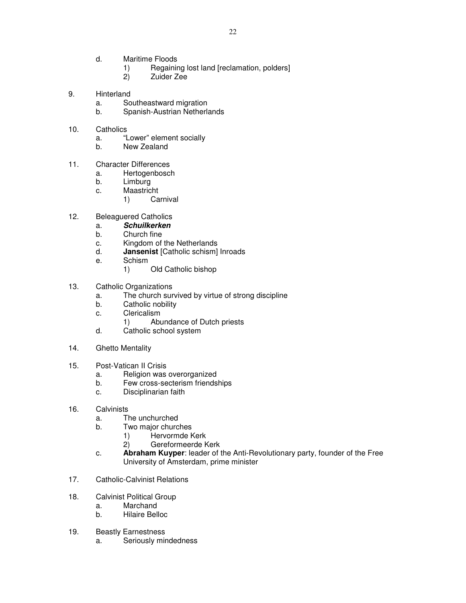- d. Maritime Floods
	- 1) Regaining lost land [reclamation, polders]<br>2) Zuider Zee
	- 2) Zuider Zee
- 9. Hinterland
	- a. Southeastward migration
	- b. Spanish-Austrian Netherlands
- 10. Catholics
	- a. "Lower" element socially
	- b. New Zealand
- 11. Character Differences
	- a. Hertogenbosch
	- b. Limburg
	- c. Maastricht
		- 1) Carnival
- 12. Beleaguered Catholics
	- a. **Schuilkerken**
	- b. Church fine
	- c. Kingdom of the Netherlands
	- d. **Jansenist** [Catholic schism] Inroads
	- e. Schism
		- 1) Old Catholic bishop
- 13. Catholic Organizations
	- a. The church survived by virtue of strong discipline
	- b. Catholic nobility
	- c. Clericalism
		- 1) Abundance of Dutch priests
	- d. Catholic school system
- 14. Ghetto Mentality
- 15. Post-Vatican II Crisis
	- a. Religion was overorganized
	- b. Few cross-secterism friendships
	- c. Disciplinarian faith
- 16. Calvinists
	- a. The unchurched
	- b. Two major churches
		- 1) Hervormde Kerk
		- 2) Gereformeerde Kerk
	- c. **Abraham Kuyper**: leader of the Anti-Revolutionary party, founder of the Free University of Amsterdam, prime minister
- 17. Catholic-Calvinist Relations
- 18. Calvinist Political Group
	- a. Marchand
	- b. Hilaire Belloc
- 19. Beastly Earnestness
	- a. Seriously mindedness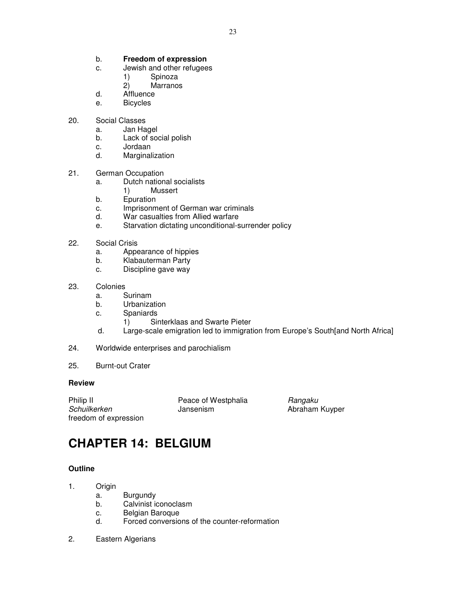#### b. **Freedom of expression**

- c. Jewish and other refugees
	- 1) Spinoza<br>2) Marranos
	- **Marranos**
- d. Affluence
- e. Bicycles
- 20. Social Classes
	- a. Jan Hagel
	- b. Lack of social polish
	- c. Jordaan
	- d. Marginalization
- 21. German Occupation
	- a. Dutch national socialists
		- 1) Mussert
	- b. Epuration
	- c. Imprisonment of German war criminals
	- d. War casualties from Allied warfare
	- e. Starvation dictating unconditional-surrender policy
- 22. Social Crisis
	- a. Appearance of hippies
	- b. Klabauterman Party
	- c. Discipline gave way
- 23. Colonies
	- a. Surinam
	- b. Urbanization
	- c. Spaniards
		- 1) Sinterklaas and Swarte Pieter
	- d. Large-scale emigration led to immigration from Europe's South[and North Africa]
- 24. Worldwide enterprises and parochialism
- 25. Burnt-out Crater

#### **Review**

Philip II **Peace of Westphalia** Rangaku Schuilkerken **Jansenism** Jansenism Abraham Kuyper freedom of expression

# **CHAPTER 14: BELGIUM**

## **Outline**

- 1. Origin
	- a. Burgundy
	- b. Calvinist iconoclasm
	- c. Belgian Baroque
	- d. Forced conversions of the counter-reformation
- 2. Eastern Algerians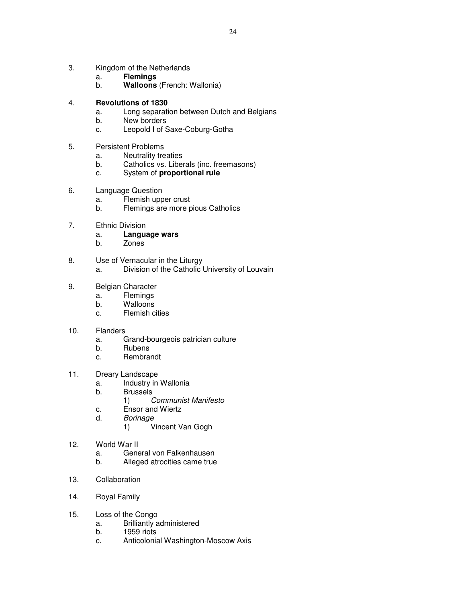- 3. Kingdom of the Netherlands
	- a. **Flemings**
	- b. **Walloons** (French: Wallonia)
- 4. **Revolutions of 1830**
	- a. Long separation between Dutch and Belgians
	- b. New borders
	- c. Leopold I of Saxe-Coburg-Gotha
- 5. Persistent Problems
	- a. Neutrality treaties
	- b. Catholics vs. Liberals (inc. freemasons)
	- c. System of **proportional rule**
- 6. Language Question
	- a. Flemish upper crust
	- b. Flemings are more pious Catholics
- 7. Ethnic Division
	- a. **Language wars**
		- **Zones**
- 8. Use of Vernacular in the Liturgy
	- a. Division of the Catholic University of Louvain
- 9. Belgian Character
	- a. Flemings
		- b. Walloons
		- c. Flemish cities
- 10. Flanders
	- a. Grand-bourgeois patrician culture
	- b. Rubens
	- c. Rembrandt
- 11. Dreary Landscape
	- a. Industry in Wallonia
	- b. Brussels
		- 1) Communist Manifesto
	- c. Ensor and Wiertz
	- d. Borinage
		- 1) Vincent Van Gogh
- 12. World War II
	- a. General von Falkenhausen
	- b. Alleged atrocities came true
- 13. Collaboration
- 14. Royal Family
- 15. Loss of the Congo
	- a. Brilliantly administered
	- b. 1959 riots
	- c. Anticolonial Washington-Moscow Axis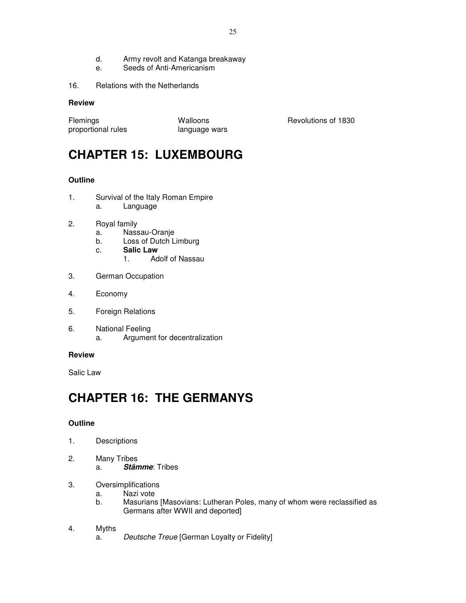- d. Army revolt and Katanga breakaway
- e. Seeds of Anti-Americanism
- 16. Relations with the Netherlands

| <b>Flemings</b>    | Walloons      |
|--------------------|---------------|
| proportional rules | language wars |

Revolutions of 1830

# **CHAPTER 15: LUXEMBOURG**

## **Outline**

- 1. Survival of the Italy Roman Empire a. Language
- 2. Royal family
	- a. Nassau-Oranje
	- b. Loss of Dutch Limburg
	- c. **Salic Law**
		- 1. Adolf of Nassau
- 3. German Occupation
- 4. Economy
- 5. Foreign Relations
- 6. National Feeling a. Argument for decentralization

## **Review**

Salic Law

# **CHAPTER 16: THE GERMANYS**

## **Outline**

- 1. Descriptions
- 2. Many Tribes a. **Stämme**: Tribes
- 3. Oversimplifications
	- a. Nazi vote
	- b. Masurians [Masovians: Lutheran Poles, many of whom were reclassified as Germans after WWII and deported]
- 4. Myths
	- a. Deutsche Treue [German Loyalty or Fidelity]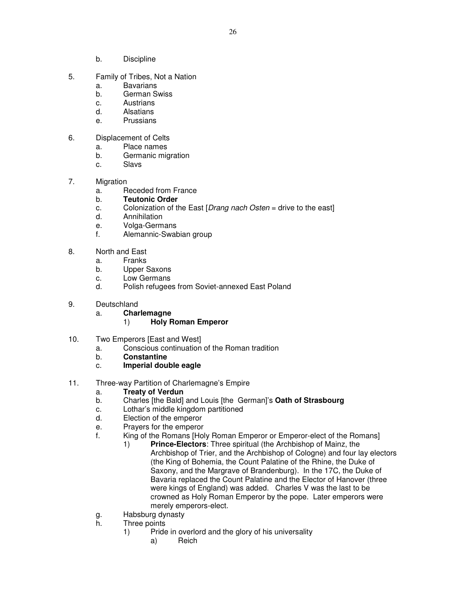- b. Discipline
- 5. Family of Tribes, Not a Nation
	- a. Bavarians
	- b. German Swiss
	- c. Austrians
	- d. Alsatians
	- e. Prussians
- 6. Displacement of Celts
	- a. Place names
	- b. Germanic migration
	- c. Slavs
- 7. Migration
	- a. Receded from France
	- b. **Teutonic Order**
	- c. Colonization of the East [Drang nach Osten = drive to the east]
	- d. Annihilation
	- e. Volga-Germans
	- f. Alemannic-Swabian group
- 8. North and East
	- a. Franks
	- b. Upper Saxons
	- c. Low Germans
	- d. Polish refugees from Soviet-annexed East Poland
- 9. Deutschland
	- a. **Charlemagne**

## 1) **Holy Roman Emperor**

- 10. Two Emperors [East and West]
	- a. Conscious continuation of the Roman tradition
	- b. **Constantine**
	- c. **Imperial double eagle**
- 11. Three-way Partition of Charlemagne's Empire
	- a. **Treaty of Verdun**
	- b. Charles [the Bald] and Louis [the German]'s **Oath of Strasbourg**
	- c. Lothar's middle kingdom partitioned
	- d. Election of the emperor
	- e. Prayers for the emperor
	- f. King of the Romans [Holy Roman Emperor or Emperor-elect of the Romans]
		- 1) **Prince-Electors**: Three spiritual (the Archbishop of Mainz, the Archbishop of Trier, and the Archbishop of Cologne) and four lay electors (the King of Bohemia, the Count Palatine of the Rhine, the Duke of Saxony, and the Margrave of Brandenburg). In the 17C, the Duke of Bavaria replaced the Count Palatine and the Elector of Hanover (three were kings of England) was added. Charles V was the last to be crowned as Holy Roman Emperor by the pope. Later emperors were merely emperors-elect.
	- g. Habsburg dynasty
	- h. Three points
		- 1) Pride in overlord and the glory of his universality
			- a) Reich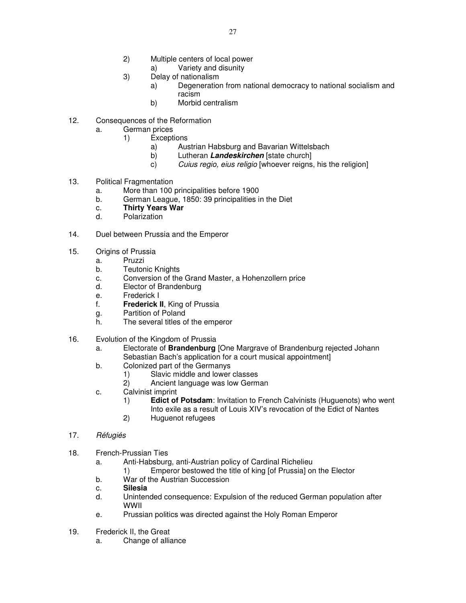- 2) Multiple centers of local power
	- a) Variety and disunity
- 3) Delay of nationalism
	- a) Degeneration from national democracy to national socialism and racism
	- b) Morbid centralism
- 12. Consequences of the Reformation
	- a. German prices
		- 1) Exceptions
			- a) Austrian Habsburg and Bavarian Wittelsbach
			- b) Lutheran **Landeskirchen** [state church]
			- c) Cuius regio, eius religio [whoever reigns, his the religion]
- 13. Political Fragmentation
	- a. More than 100 principalities before 1900
	- b. German League, 1850: 39 principalities in the Diet
	- c. **Thirty Years War**
	- d. Polarization
- 14. Duel between Prussia and the Emperor
- 15. Origins of Prussia
	- a. Pruzzi
		- b. Teutonic Knights
	- c. Conversion of the Grand Master, a Hohenzollern price
	- d. Elector of Brandenburg
	- e. Frederick I
	- f. **Frederick II**, King of Prussia
	- g. Partition of Poland
	- h. The several titles of the emperor
- 16. Evolution of the Kingdom of Prussia
	- a. Electorate of **Brandenburg** [One Margrave of Brandenburg rejected Johann Sebastian Bach's application for a court musical appointment]
	- b. Colonized part of the Germanys
		- 1) Slavic middle and lower classes
		- 2) Ancient language was low German
	- c. Calvinist imprint
		- 1) **Edict of Potsdam**: Invitation to French Calvinists (Huguenots) who went Into exile as a result of Louis XIV's revocation of the Edict of Nantes
		- 2) Huguenot refugees
- 17. Réfugiés
- 18. French-Prussian Ties
	- a. Anti-Habsburg, anti-Austrian policy of Cardinal Richelieu
		- 1) Emperor bestowed the title of king [of Prussia] on the Elector
	- b. War of the Austrian Succession
	- c. **Silesia**
	- d. Unintended consequence: Expulsion of the reduced German population after WWII
	- e. Prussian politics was directed against the Holy Roman Emperor
- 19. Frederick II, the Great
	- a. Change of alliance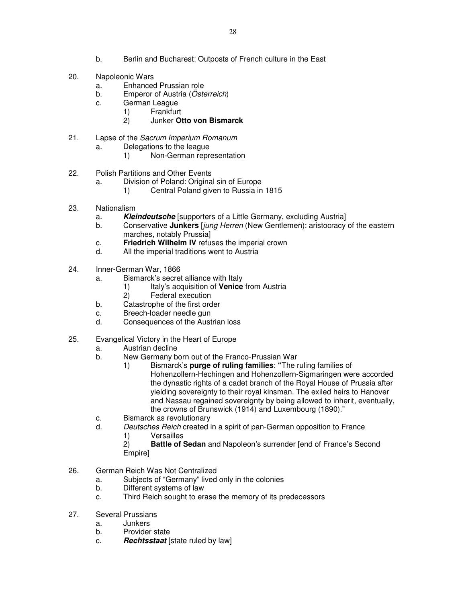- b. Berlin and Bucharest: Outposts of French culture in the East
- 20. Napoleonic Wars
	- a. Enhanced Prussian role
	- b. Emperor of Austria (Österreich)
	- c. German League
		- 1) Frankfurt
			- 2) Junker **Otto von Bismarck**
- 21. Lapse of the Sacrum Imperium Romanum
	- a. Delegations to the league<br>1) Non-German repre
		- 1) Non-German representation
- 22. Polish Partitions and Other Events
	- a. Division of Poland: Original sin of Europe
		- 1) Central Poland given to Russia in 1815
- 23. Nationalism
	- a. **Kleindeutsche** [supporters of a Little Germany, excluding Austria]
	- b. Conservative **Junkers** [jung Herren (New Gentlemen): aristocracy of the eastern marches, notably Prussia]
	- c. **Friedrich Wilhelm IV** refuses the imperial crown
	- d. All the imperial traditions went to Austria
- 24. Inner-German War, 1866
	- a. Bismarck's secret alliance with Italy
		- 1) Italy's acquisition of **Venice** from Austria
		- 2) Federal execution
	- b. Catastrophe of the first order
	- c. Breech-loader needle gun
	- d. Consequences of the Austrian loss
- 25. Evangelical Victory in the Heart of Europe
	- a. Austrian decline
	- b. New Germany born out of the Franco-Prussian War
		- 1) Bismarck's **purge of ruling families**: **"**The ruling families of Hohenzollern-Hechingen and Hohenzollern-Sigmaringen were accorded the dynastic rights of a cadet branch of the Royal House of Prussia after yielding sovereignty to their royal kinsman. The exiled heirs to Hanover and Nassau regained sovereignty by being allowed to inherit, eventually, the crowns of Brunswick (1914) and Luxembourg (1890)."
	- c. Bismarck as revolutionary
	- d. Deutsches Reich created in a spirit of pan-German opposition to France
		- 1) Versailles
		- 2) **Battle of Sedan** and Napoleon's surrender [end of France's Second Empire]
- 26. German Reich Was Not Centralized
	- a. Subjects of "Germany" lived only in the colonies
	- b. Different systems of law
	- c. Third Reich sought to erase the memory of its predecessors
- 27. Several Prussians
	- a. Junkers
	- b. Provider state
	- c. **Rechtsstaat** [state ruled by law]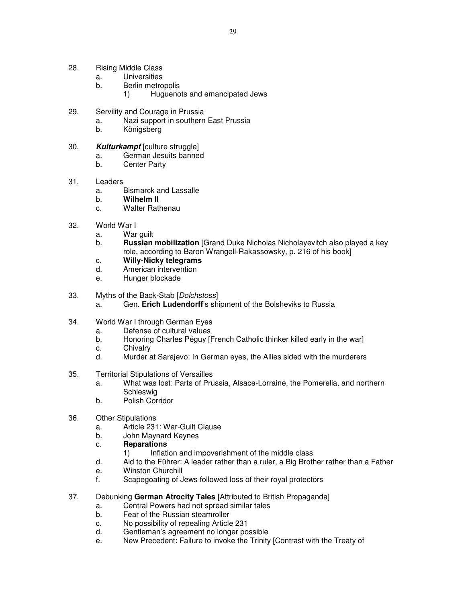- 28. Rising Middle Class
	- a. Universities
	- b. Berlin metropolis
		- 1) Huguenots and emancipated Jews
- 29. Servility and Courage in Prussia
	- a. Nazi support in southern East Prussia
	- b. Königsberg
- 30. **Kulturkampf** [culture struggle]
	- a. German Jesuits banned
	- b. Center Party
- 31. Leaders
	- a. Bismarck and Lassalle
	- b. **Wilhelm II**
	- c. Walter Rathenau
- 32. World War I
	- a. War guilt
	- b. **Russian mobilization** [Grand Duke Nicholas Nicholayevitch also played a key role, according to Baron Wrangell-Rakassowsky, p. 216 of his book]
	- c. **Willy-Nicky telegrams**
	- d. American intervention
	- e. Hunger blockade
- 33. Myths of the Back-Stab [Dolchstoss]
	- a. Gen. **Erich Ludendorff**'s shipment of the Bolsheviks to Russia
- 34. World War I through German Eyes
	- a. Defense of cultural values
	- b, Honoring Charles Péguy [French Catholic thinker killed early in the war]
	- c. Chivalry
	- d. Murder at Sarajevo: In German eyes, the Allies sided with the murderers
- 35. Territorial Stipulations of Versailles
	- a. What was lost: Parts of Prussia, Alsace-Lorraine, the Pomerelia, and northern **Schleswig**
	- b. Polish Corridor
- 36. Other Stipulations
	- a. Article 231: War-Guilt Clause
	- b. John Maynard Keynes
	- c. **Reparations**
		- 1) Inflation and impoverishment of the middle class
	- d. Aid to the Führer: A leader rather than a ruler, a Big Brother rather than a Father
	- e. Winston Churchill
	- f. Scapegoating of Jews followed loss of their royal protectors
- 37. Debunking **German Atrocity Tales** [Attributed to British Propaganda]
	- a. Central Powers had not spread similar tales
	- b. Fear of the Russian steamroller
	- c. No possibility of repealing Article 231
	- d. Gentleman's agreement no longer possible
	- e. New Precedent: Failure to invoke the Trinity [Contrast with the Treaty of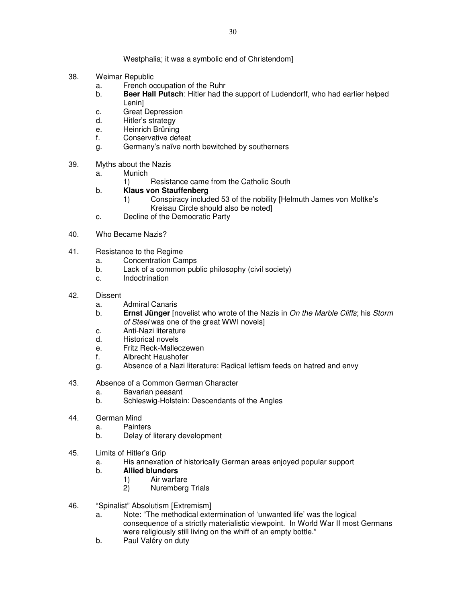Westphalia; it was a symbolic end of Christendom]

- 38. Weimar Republic
	- a. French occupation of the Ruhr
	- b. **Beer Hall Putsch**: Hitler had the support of Ludendorff, who had earlier helped Lenin]
	- c. Great Depression
	- d. Hitler's strategy
	- e. Heinrich Brüning
	- f. Conservative defeat
	- g. Germany's naïve north bewitched by southerners
- 39. Myths about the Nazis
	- a. Munich
		- 1) Resistance came from the Catholic South
	- b. **Klaus von Stauffenberg** 
		- 1) Conspiracy included 53 of the nobility [Helmuth James von Moltke's Kreisau Circle should also be noted]
	- c. Decline of the Democratic Party
- 40. Who Became Nazis?
- 41. Resistance to the Regime
	- a. Concentration Camps
	- b. Lack of a common public philosophy (civil society)
	- c. Indoctrination
- 42. Dissent
	- a. Admiral Canaris
	- b. **Ernst Jünger** [novelist who wrote of the Nazis in On the Marble Cliffs; his Storm of Steel was one of the great WWI novels]
	- c. Anti-Nazi literature
	- d. Historical novels
	- e. Fritz Reck-Malleczewen
	- f. Albrecht Haushofer
	- g. Absence of a Nazi literature: Radical leftism feeds on hatred and envy
- 43. Absence of a Common German Character
	- a. Bavarian peasant
	- b. Schleswig-Holstein: Descendants of the Angles
- 44. German Mind
	- a. Painters
	- b. Delay of literary development
- 45. Limits of Hitler's Grip
	- a. His annexation of historically German areas enjoyed popular support
	- b. **Allied blunders**
		- 1) Air warfare
		- 2) Nuremberg Trials
- 46. "Spinalist" Absolutism [Extremism]
	- a. Note: "The methodical extermination of 'unwanted life' was the logical consequence of a strictly materialistic viewpoint. In World War II most Germans were religiously still living on the whiff of an empty bottle."
	- b. Paul Valéry on duty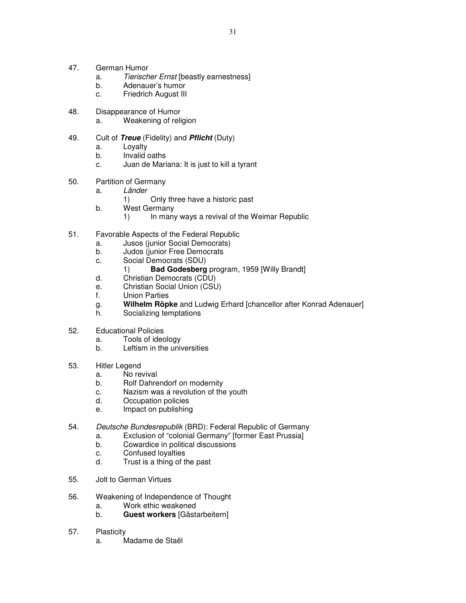- 47. German Humor
	- a. Tierischer Ernst [beastly earnestness]
	- b. Adenauer's humor
	- c. Friedrich August III
- 48. Disappearance of Humor
	- a. Weakening of religion
- 49. Cult of **Treue** (Fidelity) and **Pflicht** (Duty)
	- a. Loyalty
		- b. Invalid oaths
		- c. Juan de Mariana: It is just to kill a tyrant
- 50. Partition of Germany
	- a. Länder
		- 1) Only three have a historic past
	- b. West Germany
		- 1) In many ways a revival of the Weimar Republic
- 51. Favorable Aspects of the Federal Republic
	- a. Jusos (junior Social Democrats)
	- b. Judos (junior Free Democrats
	- c. Social Democrats (SDU)
		- 1) **Bad Godesberg** program, 1959 [Willy Brandt]
	- d. Christian Democrats (CDU)
	- e. Christian Social Union (CSU)
	- f. Union Parties
	- g. **Wilhelm Röpke** and Ludwig Erhard [chancellor after Konrad Adenauer]
	- h. Socializing temptations
- 52. Educational Policies
	- a. Tools of ideology
	- b. Leftism in the universities
- 53. Hitler Legend
	- a. No revival
	- b. Rolf Dahrendorf on modernity
	- c. Nazism was a revolution of the youth
	- d. Occupation policies
	- e. Impact on publishing
- 54. Deutsche Bundesrepublik (BRD): Federal Republic of Germany
	- a. Exclusion of "colonial Germany" [former East Prussia]
		- b. Cowardice in political discussions
		- c. Confused loyalties
		- d. Trust is a thing of the past
- 55. Jolt to German Virtues
- 56. Weakening of Independence of Thought
	- a. Work ethic weakened
	- b. **Guest workers** [Gästarbeitern]
- 57. Plasticity
	- a. Madame de Staël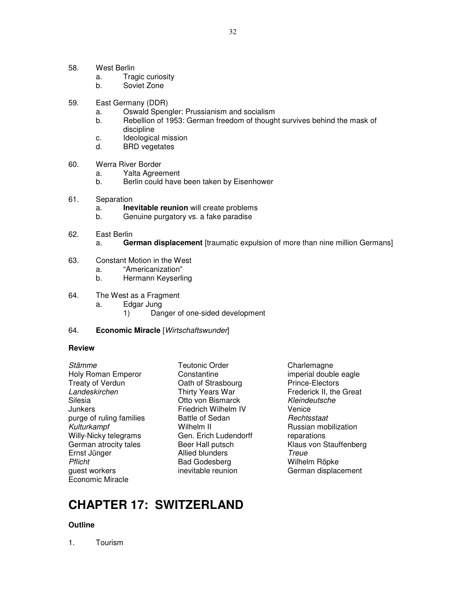- 58. West Berlin
	- a. Tragic curiosity
	- b. Soviet Zone
- 59. East Germany (DDR)
	- a. Oswald Spengler: Prussianism and socialism
	- b. Rebellion of 1953: German freedom of thought survives behind the mask of discipline
	- c. Ideological mission
	- d. BRD vegetates
- 60. Werra River Border
	- a. Yalta Agreement
	- b. Berlin could have been taken by Eisenhower
- 61. Separation
	- a. **Inevitable reunion** will create problems
	- b. Genuine purgatory vs. a fake paradise
- 62. East Berlin
	- a. **German displacement** [traumatic expulsion of more than nine million Germans]
- 63. Constant Motion in the West
	- a. "Americanization"
	- b. Hermann Keyserling
- 64. The West as a Fragment
	- a. Edgar Jung
		- 1) Danger of one-sided development
- 64. **Economic Miracle** [Wirtschaftswunder]

Holy Roman Emperor **Constantine** imperial double eagle Treaty of Verdun **Cath of Strasbourg** Prince-Electors Landeskirchen Thirty Years War Frederick II, the Great Silesia Otto von Bismarck Kleindeutsche Junkers Friedrich Wilhelm IV Venice purge of ruling families and Battle of Sedan and Bachtsstaat Rechtsstaat Controllering Russian mot<br>Final Russian motography of the Mulhelm II Kulturkampf **Wilhelm II** Russian mobilization Willy-Nicky telegrams Gen. Erich Ludendorff reparations Ernst Jünger **Allied blunders** Treue Pflicht **Bad Godesberg** Wilhelm Röpke guest workers inevitable reunion German displacement Economic Miracle

Stämme Teutonic Order Charlemagne

German atrocity tales **Beer Hall putsch** Klaus von Stauffenberg

# **CHAPTER 17: SWITZERLAND**

## **Outline**

1. Tourism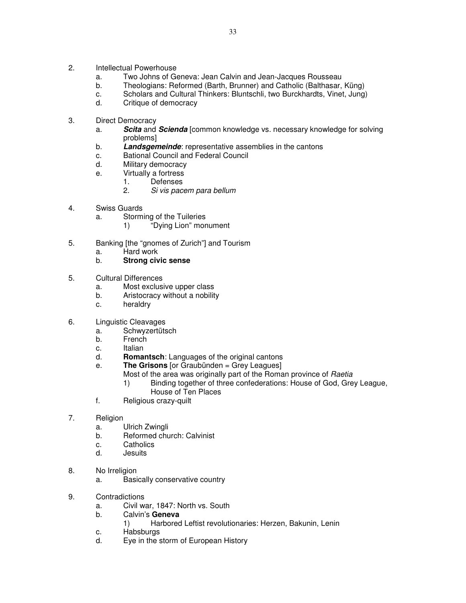- 2. Intellectual Powerhouse
	- a. Two Johns of Geneva: Jean Calvin and Jean-Jacques Rousseau
	- b. Theologians: Reformed (Barth, Brunner) and Catholic (Balthasar, Küng)
	- c. Scholars and Cultural Thinkers: Bluntschli, two Burckhardts, Vinet, Jung)
	- d. Critique of democracy
- 3. Direct Democracy
	- a. **Scita** and **Scienda** [common knowledge vs. necessary knowledge for solving problems]
	- b. **Landsgemeinde**: representative assemblies in the cantons
	- c. Bational Council and Federal Council
	- d. Military democracy
	- e. Virtually a fortress
		- 1. Defenses
			- 2. Si vis pacem para bellum
- 4. Swiss Guards
	- a. Storming of the Tuileries
		- 1) "Dying Lion" monument
- 5. Banking [the "gnomes of Zurich"] and Tourism
	-
	- a. Hard work<br>b. **Strong civ Strong civic sense**
- 5. Cultural Differences
	- a. Most exclusive upper class
	- b. Aristocracy without a nobility
	- c. heraldry
- 6. Linguistic Cleavages
	- a. Schwyzertütsch
	- b. French
	- c. Italian
	- d. **Romantsch**: Languages of the original cantons
	- e. **The Grisons** [or Graubünden = Grey Leagues]
		- Most of the area was originally part of the Roman province of Raetia
		- 1) Binding together of three confederations: House of God, Grey League, House of Ten Places
	- f. Religious crazy-quilt
- 7. Religion
	- a. Ulrich Zwingli
	- b. Reformed church: Calvinist
	- c. Catholics
	- d. Jesuits
- 8. No Irreligion
	- a. Basically conservative country
- 9. Contradictions
	- a. Civil war, 1847: North vs. South
	- b. Calvin's **Geneva**
		- 1) Harbored Leftist revolutionaries: Herzen, Bakunin, Lenin
	- c. Habsburgs
	- d. Eye in the storm of European History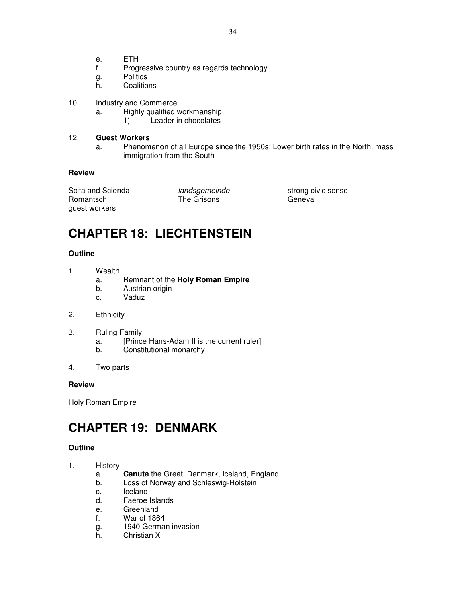- e. ETH
- f. Progressive country as regards technology
- g. Politics
- h. Coalitions
- 10. Industry and Commerce
	- a. Highly qualified workmanship
		- 1) Leader in chocolates

## 12. **Guest Workers**

a. Phenomenon of all Europe since the 1950s: Lower birth rates in the North, mass immigration from the South

## **Review**

Scita and Scienda **interest and andsgemeinde** strong civic sense Romantsch The Grisons Geneva guest workers

# **CHAPTER 18: LIECHTENSTEIN**

## **Outline**

- 1. Wealth
	- a. Remnant of the **Holy Roman Empire**
	- b. Austrian origin
	- c. Vaduz
- 2. Ethnicity
- 3. Ruling Family
	- a. [Prince Hans-Adam II is the current ruler]
	- b. Constitutional monarchy
- 4. Two parts

## **Review**

Holy Roman Empire

# **CHAPTER 19: DENMARK**

## **Outline**

- 1. History
	- a. **Canute** the Great: Denmark, Iceland, England
	- b. Loss of Norway and Schleswig-Holstein
	- c. Iceland
	- d. Faeroe Islands
	- e. Greenland
	- f. War of 1864
	- g. 1940 German invasion
	- h. Christian X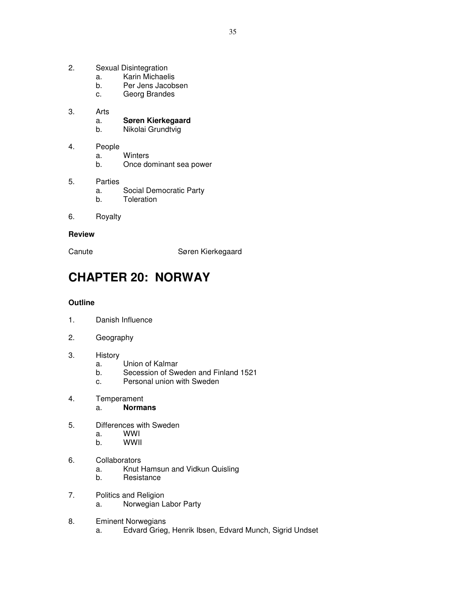- 2. Sexual Disintegration
- a. Karin Michaelis
	- b. Per Jens Jacobsen
	- c. Georg Brandes
- 3. Arts

a. **Søren Kierkegaard**

- b. Nikolai Grundtvig
- 4. People
	- a. Winters
	- b. Once dominant sea power
- 5. Parties a. Social Democratic Party
	- b. Toleration
- 6. Royalty

#### **Review**

Canute **Søren Kierkegaard** 

# **CHAPTER 20: NORWAY**

## **Outline**

- 1. Danish Influence
- 2. Geography
- 3. History
	- a. Union of Kalmar
	- b. Secession of Sweden and Finland 1521
	- c. Personal union with Sweden
- 4. Temperament
	- a. **Normans**
- 5. Differences with Sweden
	- a. WWI
	- b. WWII
- 6. Collaborators
	- a. Knut Hamsun and Vidkun Quisling
	- b. Resistance
- 7. Politics and Religion a. Norwegian Labor Party
- 8. Eminent Norwegians a. Edvard Grieg, Henrik Ibsen, Edvard Munch, Sigrid Undset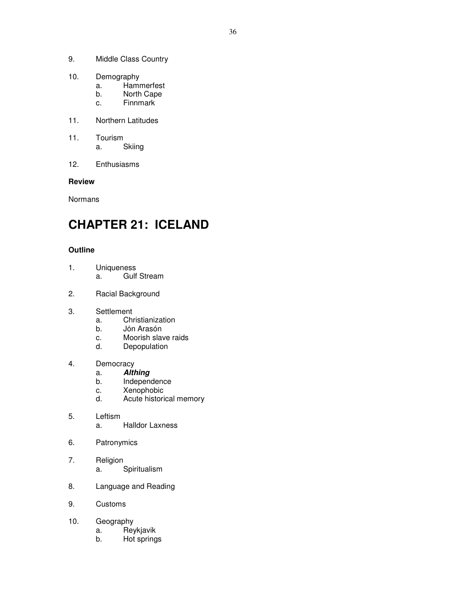- 9. Middle Class Country
- 10. Demography
	- a. Hammerfest
	- b. North Cape
	- c. Finnmark
- 11. Northern Latitudes
- 11. Tourism a. Skiing
- 12. Enthusiasms

Normans

# **CHAPTER 21: ICELAND**

- 1. Uniqueness a. Gulf Stream
- 2. Racial Background
- 3. Settlement
	- a. Christianization
	- b. Jón Arasón
	- c. Moorish slave raids
	- d. Depopulation
- 4. Democracy
	- a. **Althing**
	- Independence
	- c. Xenophobic<br>d. Acute historie
	- Acute historical memory
- 5. Leftism a. Halldor Laxness
- 6. Patronymics
- 7. Religion a. Spiritualism
- 8. Language and Reading
- 9. Customs
- 10. Geography
	- a. Reykjavik
	- b. Hot springs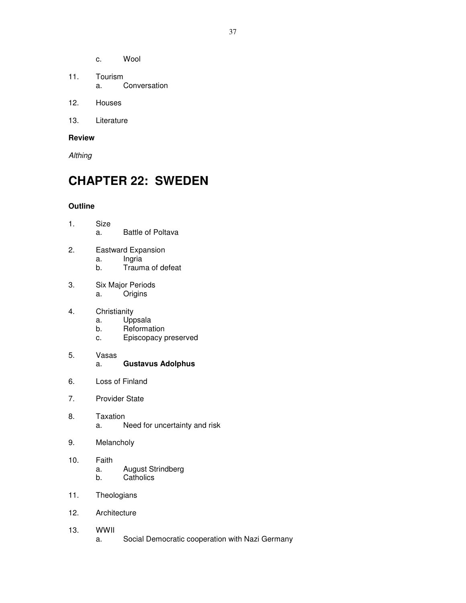- c. Wool
- 11. Tourism a. Conversation
- 12. Houses
- 13. Literature

**Althing** 

## **CHAPTER 22: SWEDEN**

- 1. Size a. Battle of Poltava
- 2. Eastward Expansion
	- a. Ingria
	- b. Trauma of defeat
- 3. Six Major Periods a. Origins
- 4. Christianity
	- a. Uppsala
	- b. Reformation
	- c. Episcopacy preserved
- 5. Vasas a. **Gustavus Adolphus**
- 6. Loss of Finland
- 7. Provider State
- 8. Taxation a. Need for uncertainty and risk
- 9. Melancholy
- 10. Faith a. August Strindberg<br>b. Catholics **Catholics**
- 11. Theologians
- 12. Architecture
- 13. WWII
	- a. Social Democratic cooperation with Nazi Germany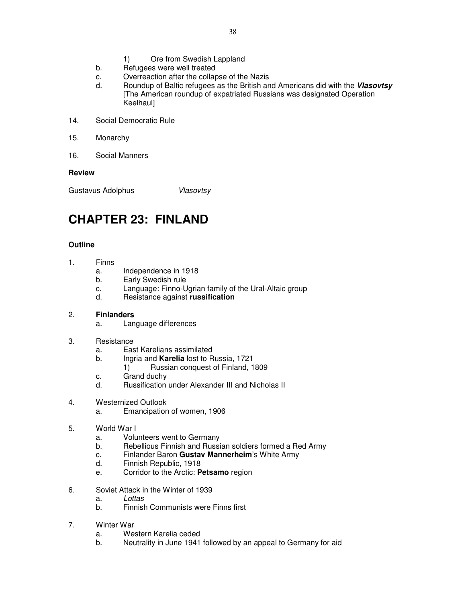- 1) Ore from Swedish Lappland
- b. Refugees were well treated
- c. Overreaction after the collapse of the Nazis
- d. Roundup of Baltic refugees as the British and Americans did with the **Vlasovtsy**  [The American roundup of expatriated Russians was designated Operation **Keelhaull**
- 14. Social Democratic Rule
- 15. Monarchy
- 16. Social Manners

Gustavus Adolphus **Vlasovtsy** 

## **CHAPTER 23: FINLAND**

- 1. Finns
	- a. Independence in 1918
	- b. Early Swedish rule
	- c. Language: Finno-Ugrian family of the Ural-Altaic group
	- d. Resistance against **russification**
- 2. **Finlanders**
	- a. Language differences
- 3. Resistance
	- a. East Karelians assimilated
	- b. Ingria and **Karelia** lost to Russia, 1721
		- 1) Russian conquest of Finland, 1809
	- c. Grand duchy
	- d. Russification under Alexander III and Nicholas II
- 4. Westernized Outlook
	- a. Emancipation of women, 1906
- 5. World War I
	- a. Volunteers went to Germany
	- b. Rebellious Finnish and Russian soldiers formed a Red Army
	- c. Finlander Baron **Gustav Mannerheim**'s White Army
	- d. Finnish Republic, 1918
	- e. Corridor to the Arctic: **Petsamo** region
- 6. Soviet Attack in the Winter of 1939
	- a. Lottas
	- b. Finnish Communists were Finns first
- 7. Winter War
	- a. Western Karelia ceded
	- b. Neutrality in June 1941 followed by an appeal to Germany for aid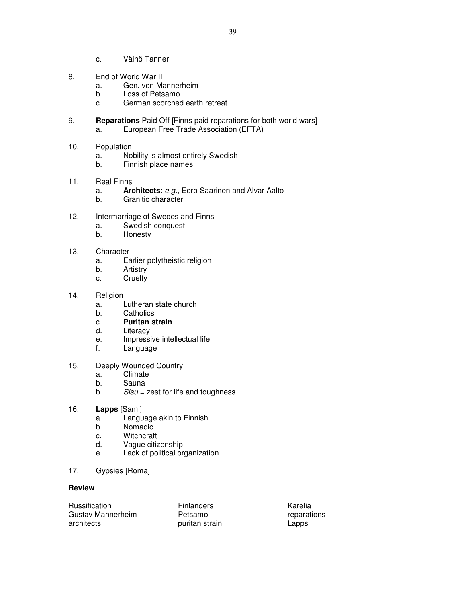- c. Väinö Tanner
- 8. End of World War II
	- a. Gen. von Mannerheim
	- b. Loss of Petsamo
	- c. German scorched earth retreat
- 9. **Reparations** Paid Off [Finns paid reparations for both world wars] a. European Free Trade Association (EFTA)
- 10. Population
	- a. Nobility is almost entirely Swedish<br>b. Finnish place names
	- Finnish place names
- 11. Real Finns
	- a. **Architects**: e.g., Eero Saarinen and Alvar Aalto
	- b. Granitic character
- 12. Intermarriage of Swedes and Finns
	- a. Swedish conquest<br>b. Honesty
	- **Honesty**
- 13. Character
	- a. Earlier polytheistic religion
	- b. Artistry
	- c. Cruelty
- 14. Religion
	- a. Lutheran state church
	- b. Catholics
	- c. **Puritan strain**
	- d. Literacy
	- e. Impressive intellectual life
	- f. Language
- 15. Deeply Wounded Country
	- a. Climate
	- b. Sauna
	- b.  $Sisu = zest$  for life and toughness
- 16. **Lapps** [Sami]
	- a. Language akin to Finnish
	- b. Nomadic
	- c. Witchcraft
	- d. Vague citizenship
	- e. Lack of political organization
- 17. Gypsies [Roma]

| <b>Russification</b> | <b>Finlanders</b> | Karelia     |
|----------------------|-------------------|-------------|
| Gustav Mannerheim    | Petsamo           | reparations |
| architects           | puritan strain    | Lapps       |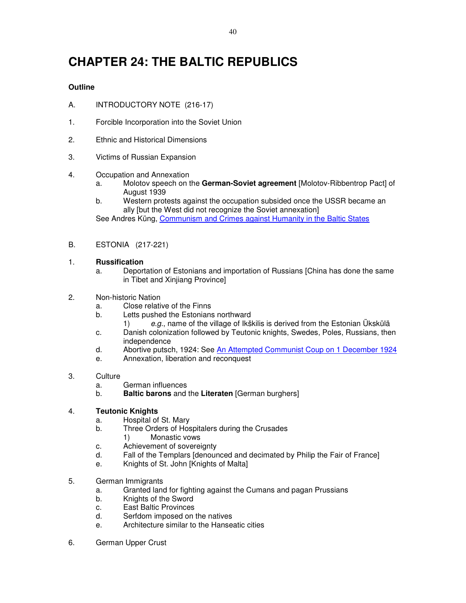# **CHAPTER 24: THE BALTIC REPUBLICS**

## **Outline**

- A. INTRODUCTORY NOTE (216-17)
- 1. Forcible Incorporation into the Soviet Union
- 2. Ethnic and Historical Dimensions
- 3. Victims of Russian Expansion
- 4. Occupation and Annexation
	- a. Molotov speech on the **German-Soviet agreement** [Molotov-Ribbentrop Pact] of August 1939
	- b. Western protests against the occupation subsided once the USSR became an ally [but the West did not recognize the Soviet annexation] See Andres Küng, Communism and Crimes against Humanity in the Baltic States
- B. ESTONIA (217-221)
- 1. **Russification**
	- a. Deportation of Estonians and importation of Russians [China has done the same in Tibet and Xinjiang Province]
- 2. Non-historic Nation
	- a. Close relative of the Finns
	- b. Letts pushed the Estonians northward
		- 1) e.g., name of the village of Ikškilis is derived from the Estonian Ükskülä
	- c. Danish colonization followed by Teutonic knights, Swedes, Poles, Russians, then independence
	- d. Abortive putsch, 1924: See An Attempted Communist Coup on 1 December 1924
	- e. Annexation, liberation and reconquest
- 3. Culture
	- a. German influences
	- b. **Baltic barons** and the **Literaten** [German burghers]

## 4. **Teutonic Knights**

- a. Hospital of St. Mary
- b. Three Orders of Hospitalers during the Crusades
	- 1) Monastic vows
- c. Achievement of sovereignty
- d. Fall of the Templars [denounced and decimated by Philip the Fair of France]
- e. Knights of St. John [Knights of Malta]
- 5. German Immigrants
	- a. Granted land for fighting against the Cumans and pagan Prussians
	- b. Knights of the Sword
	- c. East Baltic Provinces
	- d. Serfdom imposed on the natives
	- e. Architecture similar to the Hanseatic cities
- 6. German Upper Crust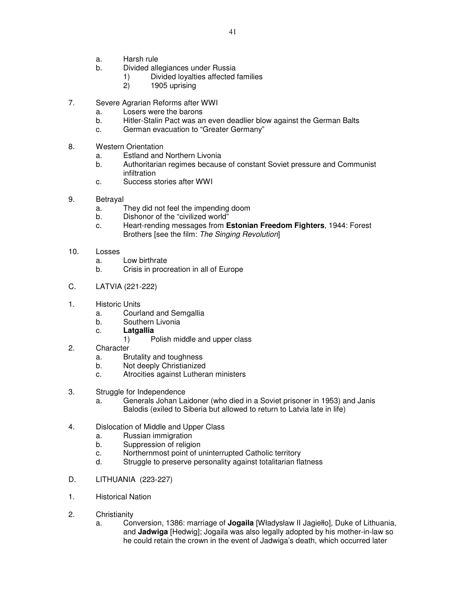- a. Harsh rule
- b. Divided allegiances under Russia
	- 1) Divided loyalties affected families
	- 2) 1905 uprising
- 7. Severe Agrarian Reforms after WWI
	- a. Losers were the barons
	- b. Hitler-Stalin Pact was an even deadlier blow against the German Balts
	- c. German evacuation to "Greater Germany"
- 8. Western Orientation
	- a. Estland and Northern Livonia
	- b. Authoritarian regimes because of constant Soviet pressure and Communist infiltration
	- c. Success stories after WWI
- 9. Betrayal
	- a. They did not feel the impending doom
	- b. Dishonor of the "civilized world"
	- c. Heart-rending messages from **Estonian Freedom Fighters**, 1944: Forest Brothers [see the film: The Singing Revolution]
- 10. Losses
	- a. Low birthrate
	- b. Crisis in procreation in all of Europe
- C. LATVIA (221-222)
- 1. Historic Units
	- a. Courland and Semgallia
	- b. Southern Livonia
	- c. **Latgallia**
		- 1) Polish middle and upper class
- 2. Character
	- a. Brutality and toughness
	- b. Not deeply Christianized
	- c. Atrocities against Lutheran ministers
- 3. Struggle for Independence
	- a. Generals Johan Laidoner (who died in a Soviet prisoner in 1953) and Janis Balodis (exiled to Siberia but allowed to return to Latvia late in life)
- 4. Dislocation of Middle and Upper Class
	- a. Russian immigration
	- b. Suppression of religion
	- c. Northernmost point of uninterrupted Catholic territory
	- d. Struggle to preserve personality against totalitarian flatness
- D. LITHUANIA (223-227)
- 1. Historical Nation
- 2. Christianity
	- a. Conversion, 1386: marriage of **Jogaila** [Władysław II Jagiełło], Duke of Lithuania, and **Jadwiga** [Hedwig]; Jogaila was also legally adopted by his mother-in-law so he could retain the crown in the event of Jadwiga's death, which occurred later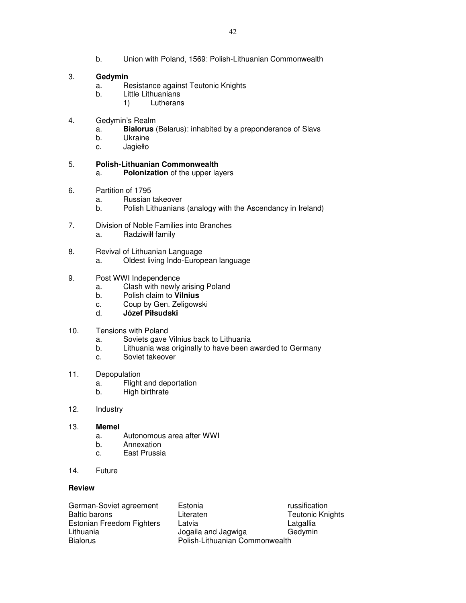b. Union with Poland, 1569: Polish-Lithuanian Commonwealth

### 3. **Gedymin**

- a. Resistance against Teutonic Knights
- b. Little Lithuanians
	- 1) Lutherans
- 4. Gedymin's Realm
	- a. **Bialorus** (Belarus): inhabited by a preponderance of Slavs
	- b. Ukraine
	- c. Jagiełło

## 5. **Polish-Lithuanian Commonwealth**

- a. **Polonization** of the upper layers
- 6. Partition of 1795
	- a. Russian takeover
	- b. Polish Lithuanians (analogy with the Ascendancy in Ireland)
- 7. Division of Noble Families into Branches a. Radziwiłł family
- 8. Revival of Lithuanian Language a. Oldest living Indo-European language
- 9. Post WWI Independence
	- a. Clash with newly arising Poland
	- b. Polish claim to **Vilnius**
	- c. Coup by Gen. Zeligowski
	- d. **Józef Piłsudski**
- 10. Tensions with Poland
	- a. Soviets gave Vilnius back to Lithuania
	- b. Lithuania was originally to have been awarded to Germany
	- c. Soviet takeover
- 11. Depopulation
	- a. Flight and deportation
	- b. High birthrate
- 12. Industry
- 13. **Memel** 
	- a. Autonomous area after WWI
	- b. Annexation
	- c. East Prussia
- 14. Future

#### **Review**

| German-Soviet agreement   | F  |
|---------------------------|----|
| <b>Baltic barons</b>      | Н  |
| Estonian Freedom Fighters | L. |
| Lithuania                 | J۱ |
| <b>Bialorus</b>           |    |

Estonia **Estonia** russification iteraten **Euse Literaten Euse Literaten Euse Literaten** Teutonic Knights Estonian Freedom Fighters Latvia Latgallia ogaila and Jagwiga **Olish-Lithuanian Commonwealth**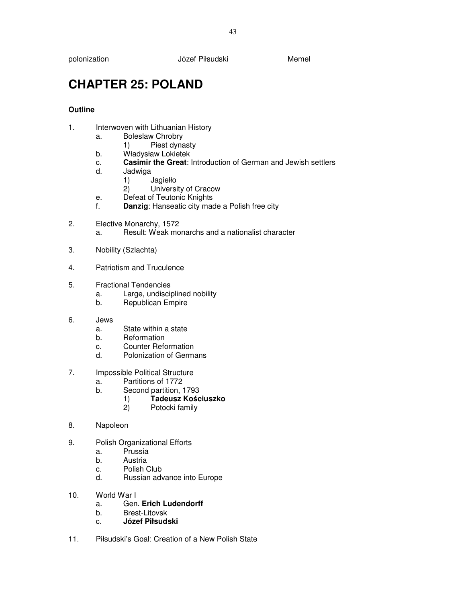polonization Józef Piłsudski Memel

# **CHAPTER 25: POLAND**

- 1. Interwoven with Lithuanian History
	- a. Boleslaw Chrobry
	- 1) Piest dynasty<br>b. Władysław Lokietek
	- Władysław Lokietek
	- c. **Casimir the Great**: Introduction of German and Jewish settlers
	- d. Jadwiga
		- 1) Jagiełło<br>2) Universi
		- University of Cracow
	- e. Defeat of Teutonic Knights
	- f. **Danzig**: Hanseatic city made a Polish free city
- 2. Elective Monarchy, 1572 a. Result: Weak monarchs and a nationalist character
- 3. Nobility (Szlachta)
- 4. Patriotism and Truculence
- 5. Fractional Tendencies
	- a. Large, undisciplined nobility
	- b. Republican Empire
- 6. Jews
	- a. State within a state
	- b. Reformation
	- c. Counter Reformation
	- d. Polonization of Germans
- 7. Impossible Political Structure
	- a. Partitions of 1772
	- b. Second partition, 1793
		- 1) **Tadeusz Ko**ś**ciuszko**
			- Potocki family
- 8. Napoleon
- 9. Polish Organizational Efforts
	- a. Prussia
	- b. Austria
	- c. Polish Club
	- d. Russian advance into Europe
- 10. World War I
	- a. Gen. **Erich Ludendorff**
	- b. Brest-Litovsk
	- c. **Józef Piłsudski**
- 11. Piłsudski's Goal: Creation of a New Polish State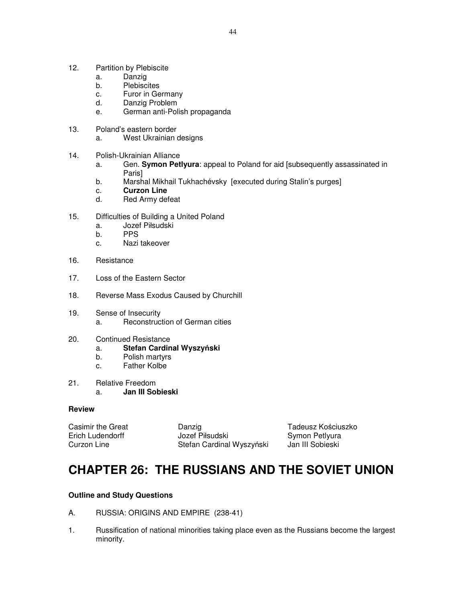- 12. Partition by Plebiscite
	- a. Danzig
	- b. Plebiscites
	- c. Furor in Germany
	- d. Danzig Problem
	- e. German anti-Polish propaganda
- 13. Poland's eastern border
	- a. West Ukrainian designs
- 14. Polish-Ukrainian Alliance
	- a. Gen. **Symon Petlyura**: appeal to Poland for aid [subsequently assassinated in Paris]
	- b. Marshal Mikhail Tukhachévsky [executed during Stalin's purges]
	- c. **Curzon Line**
	- d. Red Army defeat
- 15. Difficulties of Building a United Poland
	- a. Jozef Piłsudski
	- b. PPS
	- c. Nazi takeover
- 16. Resistance
- 17. Loss of the Eastern Sector
- 18. Reverse Mass Exodus Caused by Churchill
- 19. Sense of Insecurity a. Reconstruction of German cities
- 20. Continued Resistance
	- a. **Stefan Cardinal Wyszy**ń**ski**
	- b. Polish martyrs
	- c. Father Kolbe
- 21. Relative Freedom a. **Jan III Sobieski**

| Casimir the Great | Danzig                    | Tadeusz Kościuszko |
|-------------------|---------------------------|--------------------|
| Erich Ludendorff  | Jozef Piłsudski           | Symon Petlyura     |
| Curzon Line       | Stefan Cardinal Wyszyński | Jan III Sobieski   |

## **CHAPTER 26: THE RUSSIANS AND THE SOVIET UNION**

## **Outline and Study Questions**

- A. RUSSIA: ORIGINS AND EMPIRE (238-41)
- 1. Russification of national minorities taking place even as the Russians become the largest minority.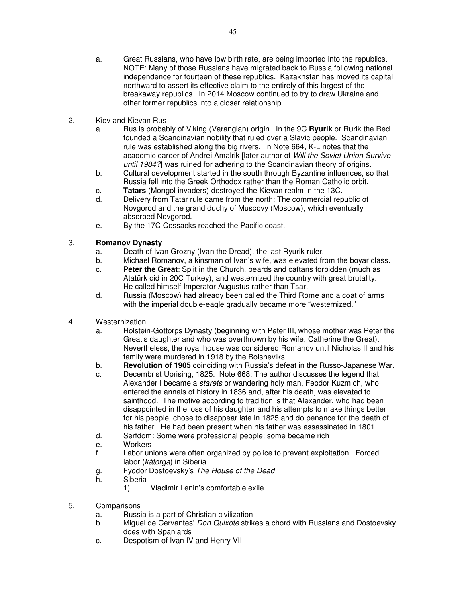- a. Great Russians, who have low birth rate, are being imported into the republics. NOTE: Many of those Russians have migrated back to Russia following national independence for fourteen of these republics. Kazakhstan has moved its capital northward to assert its effective claim to the entirely of this largest of the breakaway republics. In 2014 Moscow continued to try to draw Ukraine and other former republics into a closer relationship.
- 2. Kiev and Kievan Rus
	- a. Rus is probably of Viking (Varangian) origin. In the 9C **Ryurik** or Rurik the Red founded a Scandinavian nobility that ruled over a Slavic people. Scandinavian rule was established along the big rivers. In Note 664, K-L notes that the academic career of Andrei Amalrik [later author of Will the Soviet Union Survive until 1984?] was ruined for adhering to the Scandinavian theory of origins.
	- b. Cultural development started in the south through Byzantine influences, so that Russia fell into the Greek Orthodox rather than the Roman Catholic orbit.
	- c. **Tatars** (Mongol invaders) destroyed the Kievan realm in the 13C.
	- d. Delivery from Tatar rule came from the north: The commercial republic of Novgorod and the grand duchy of Muscovy (Moscow), which eventually absorbed Novgorod.
	- e. By the 17C Cossacks reached the Pacific coast.

## 3. **Romanov Dynasty**

- a. Death of Ivan Grozny (Ivan the Dread), the last Ryurik ruler.
- b. Michael Romanov, a kinsman of Ivan's wife, was elevated from the boyar class.
- c. **Peter the Great**: Split in the Church, beards and caftans forbidden (much as Atatürk did in 20C Turkey), and westernized the country with great brutality. He called himself Imperator Augustus rather than Tsar.
- d. Russia (Moscow) had already been called the Third Rome and a coat of arms with the imperial double-eagle gradually became more "westernized."
- 4. Westernization
	- a. Holstein-Gottorps Dynasty (beginning with Peter III, whose mother was Peter the Great's daughter and who was overthrown by his wife, Catherine the Great). Nevertheless, the royal house was considered Romanov until Nicholas II and his family were murdered in 1918 by the Bolsheviks.
	- b. **Revolution of 1905** coinciding with Russia's defeat in the Russo-Japanese War.
	- c. Decembrist Uprising, 1825. Note 668: The author discusses the legend that Alexander I became a starets or wandering holy man, Feodor Kuzmich, who entered the annals of history in 1836 and, after his death, was elevated to sainthood. The motive according to tradition is that Alexander, who had been disappointed in the loss of his daughter and his attempts to make things better for his people, chose to disappear late in 1825 and do penance for the death of his father. He had been present when his father was assassinated in 1801.
	- d. Serfdom: Some were professional people; some became rich
	- e. Workers
	- f. Labor unions were often organized by police to prevent exploitation. Forced labor (kátorga) in Siberia.
	- g. Fyodor Dostoevsky's The House of the Dead
	- h. Siberia
		- 1) Vladimir Lenin's comfortable exile
- 5. Comparisons
	- a. Russia is a part of Christian civilization
	- b. Miguel de Cervantes' Don Quixote strikes a chord with Russians and Dostoevsky does with Spaniards
	- c. Despotism of Ivan IV and Henry VIII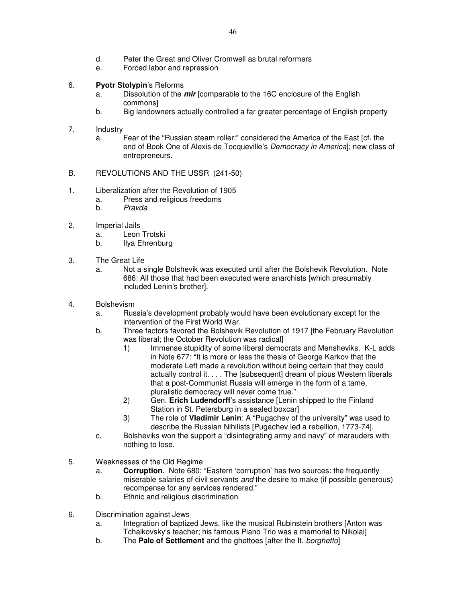- d. Peter the Great and Oliver Cromwell as brutal reformers
- e. Forced labor and repression

## 6. **Pyotr Stolypin**'s Reforms

- a. Dissolution of the **mir** [comparable to the 16C enclosure of the English commons]
- b. Big landowners actually controlled a far greater percentage of English property
- 7. Industry
	- a. Fear of the "Russian steam roller:" considered the America of the East [cf. the end of Book One of Alexis de Tocqueville's Democracy in America]; new class of entrepreneurs.
- B. REVOLUTIONS AND THE USSR (241-50)
- 1. Liberalization after the Revolution of 1905
	- a. Press and religious freedoms
	- b. Pravda
- 2. Imperial Jails
	- a. Leon Trotski
	- b. Ilya Ehrenburg
- 3. The Great Life
	- a. Not a single Bolshevik was executed until after the Bolshevik Revolution. Note 686: All those that had been executed were anarchists [which presumably included Lenin's brother].
- 4. Bolshevism
	- a. Russia's development probably would have been evolutionary except for the intervention of the First World War.
	- b. Three factors favored the Bolshevik Revolution of 1917 [the February Revolution was liberal; the October Revolution was radical]
		- 1) Immense stupidity of some liberal democrats and Mensheviks. K-L adds in Note 677: "It is more or less the thesis of George Karkov that the moderate Left made a revolution without being certain that they could actually control it. . . . The [subsequent] dream of pious Western liberals that a post-Communist Russia will emerge in the form of a tame, pluralistic democracy will never come true."
		- 2) Gen. **Erich Ludendorff**'s assistance [Lenin shipped to the Finland Station in St. Petersburg in a sealed boxcar]
		- 3) The role of **Vladimir Lenin**: A "Pugachev of the university" was used to describe the Russian Nihilists [Pugachev led a rebellion, 1773-74].
	- c. Bolsheviks won the support a "disintegrating army and navy" of marauders with nothing to lose.
- 5. Weaknesses of the Old Regime
	- a. **Corruption**. Note 680: "Eastern 'corruption' has two sources: the frequently miserable salaries of civil servants and the desire to make (if possible generous) recompense for any services rendered."
	- b. Ethnic and religious discrimination
- 6. Discrimination against Jews
	- a. Integration of baptized Jews, like the musical Rubinstein brothers [Anton was Tchaikovsky's teacher; his famous Piano Trio was a memorial to Nikolai]
	- b. The **Pale of Settlement** and the ghettoes [after the It. borghetto]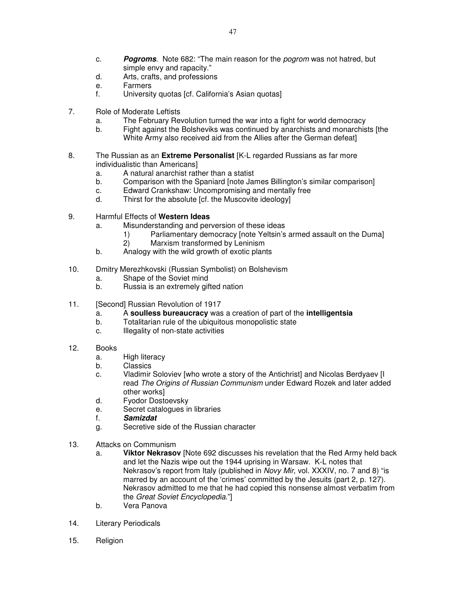- c. **Pogroms**. Note 682: "The main reason for the pogrom was not hatred, but simple envy and rapacity."
- d. Arts, crafts, and professions
- e. Farmers
- f. University quotas [cf. California's Asian quotas]
- 7. Role of Moderate Leftists
	- a. The February Revolution turned the war into a fight for world democracy
	- b. Fight against the Bolsheviks was continued by anarchists and monarchists [the White Army also received aid from the Allies after the German defeat]
- 8. The Russian as an **Extreme Personalist** [K-L regarded Russians as far more individualistic than Americans]
	- a. A natural anarchist rather than a statist
	- b. Comparison with the Spaniard [note James Billington's similar comparison]
	- c. Edward Crankshaw: Uncompromising and mentally free
	- d. Thirst for the absolute [cf. the Muscovite ideology]
- 9. Harmful Effects of **Western Ideas** 
	- a. Misunderstanding and perversion of these ideas
		- 1) Parliamentary democracy [note Yeltsin's armed assault on the Duma]
		- 2) Marxism transformed by Leninism
	- b. Analogy with the wild growth of exotic plants
- 10. Dmitry Merezhkovski (Russian Symbolist) on Bolshevism
	- a. Shape of the Soviet mind
	- b. Russia is an extremely gifted nation
- 11. [Second] Russian Revolution of 1917
	- a. A **soulless bureaucracy** was a creation of part of the **intelligentsia**
	- b. Totalitarian rule of the ubiquitous monopolistic state
	- c. Illegality of non-state activities
- 12. Books
	- a. High literacy
	- b. Classics
	- c. Vladimir Soloviev [who wrote a story of the Antichrist] and Nicolas Berdyaev [I read The Origins of Russian Communism under Edward Rozek and later added other works]
	- d. Fyodor Dostoevsky
	- e. Secret catalogues in libraries
	- f. **Samizdat**
	- g. Secretive side of the Russian character
- 13. Attacks on Communism
	- a. **Viktor Nekrasov** [Note 692 discusses his revelation that the Red Army held back and let the Nazis wipe out the 1944 uprising in Warsaw. K-L notes that Nekrasov's report from Italy (published in Novy Mir, vol. XXXIV, no. 7 and 8) "is marred by an account of the 'crimes' committed by the Jesuits (part 2, p. 127). Nekrasov admitted to me that he had copied this nonsense almost verbatim from the Great Soviet Encyclopedia."]
	- b. Vera Panova
- 14. Literary Periodicals
- 15. Religion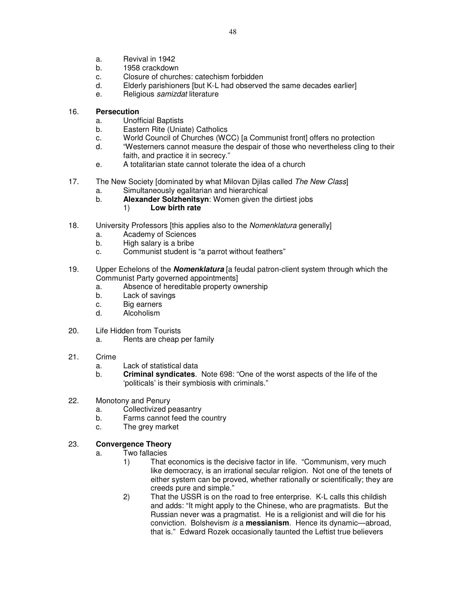- a. Revival in 1942
- b. 1958 crackdown
- c. Closure of churches: catechism forbidden
- d. Elderly parishioners [but K-L had observed the same decades earlier]
- e. Religious samizdat literature

#### 16. **Persecution**

- a. Unofficial Baptists
- b. Eastern Rite (Uniate) Catholics
- c. World Council of Churches (WCC) [a Communist front] offers no protection
- d. "Westerners cannot measure the despair of those who nevertheless cling to their faith, and practice it in secrecy."
- e. A totalitarian state cannot tolerate the idea of a church
- 17. The New Society [dominated by what Milovan Diilas called The New Class]
	- a. Simultaneously egalitarian and hierarchical
	- b. **Alexander Solzhenitsyn**: Women given the dirtiest jobs
		- 1) **Low birth rate**
- 18. University Professors [this applies also to the Nomenklatura generally]
	- a. Academy of Sciences
	- b. High salary is a bribe
	- c. Communist student is "a parrot without feathers"
- 19. Upper Echelons of the **Nomenklatura** [a feudal patron-client system through which the Communist Party governed appointments]
	- a. Absence of hereditable property ownership
	- b. Lack of savings
	- c. Big earners
	- d. Alcoholism
- 20. Life Hidden from Tourists
	- a. Rents are cheap per family
- 21. Crime
	- a. Lack of statistical data
	- b. **Criminal syndicates**.Note 698: "One of the worst aspects of the life of the 'politicals' is their symbiosis with criminals."
- 22. Monotony and Penury
	- a. Collectivized peasantry
	- b. Farms cannot feed the country
	- c. The grey market

## 23. **Convergence Theory**

- a. Two fallacies
	- 1) That economics is the decisive factor in life. "Communism, very much like democracy, is an irrational secular religion. Not one of the tenets of either system can be proved, whether rationally or scientifically; they are creeds pure and simple."
	- 2) That the USSR is on the road to free enterprise. K-L calls this childish and adds: "It might apply to the Chinese, who are pragmatists. But the Russian never was a pragmatist. He is a religionist and will die for his conviction. Bolshevism is a **messianism**. Hence its dynamic—abroad, that is." Edward Rozek occasionally taunted the Leftist true believers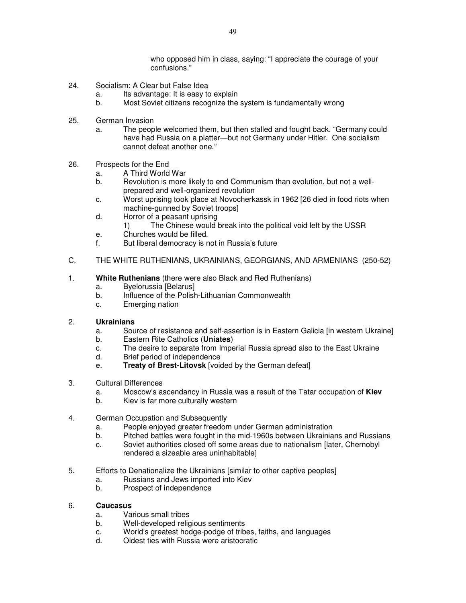who opposed him in class, saying: "I appreciate the courage of your confusions."

- 24. Socialism: A Clear but False Idea
	- a. Its advantage: It is easy to explain
	- b. Most Soviet citizens recognize the system is fundamentally wrong
- 25. German Invasion
	- a. The people welcomed them, but then stalled and fought back. "Germany could have had Russia on a platter—but not Germany under Hitler. One socialism cannot defeat another one."
- 26. Prospects for the End
	- a. A Third World War
	- b. Revolution is more likely to end Communism than evolution, but not a wellprepared and well-organized revolution
	- c. Worst uprising took place at Novocherkassk in 1962 [26 died in food riots when machine-gunned by Soviet troops]
	- d. Horror of a peasant uprising
		- 1) The Chinese would break into the political void left by the USSR
	- e. Churches would be filled.
	- f. But liberal democracy is not in Russia's future
- C. THE WHITE RUTHENIANS, UKRAINIANS, GEORGIANS, AND ARMENIANS (250-52)

#### 1. **White Ruthenians** (there were also Black and Red Ruthenians)

- a. Byelorussia [Belarus]
- b. Influence of the Polish-Lithuanian Commonwealth
- c. Emerging nation

#### 2. **Ukrainians**

- a. Source of resistance and self-assertion is in Eastern Galicia [in western Ukraine]
- b. Eastern Rite Catholics (**Uniates**)
- c. The desire to separate from Imperial Russia spread also to the East Ukraine
- d. Brief period of independence
- e. **Treaty of Brest-Litovsk** [voided by the German defeat]
- 3. Cultural Differences
	- a. Moscow's ascendancy in Russia was a result of the Tatar occupation of **Kiev**
	- b. Kiev is far more culturally western
- 4. German Occupation and Subsequently
	- a. People enjoyed greater freedom under German administration
	- b. Pitched battles were fought in the mid-1960s between Ukrainians and Russians
	- c. Soviet authorities closed off some areas due to nationalism [later, Chernobyl rendered a sizeable area uninhabitable]
- 5. Efforts to Denationalize the Ukrainians [similar to other captive peoples]
	- a. Russians and Jews imported into Kiev
	- b. Prospect of independence

#### 6. **Caucasus**

- a. Various small tribes
- b. Well-developed religious sentiments
- c. World's greatest hodge-podge of tribes, faiths, and languages
- d. Oldest ties with Russia were aristocratic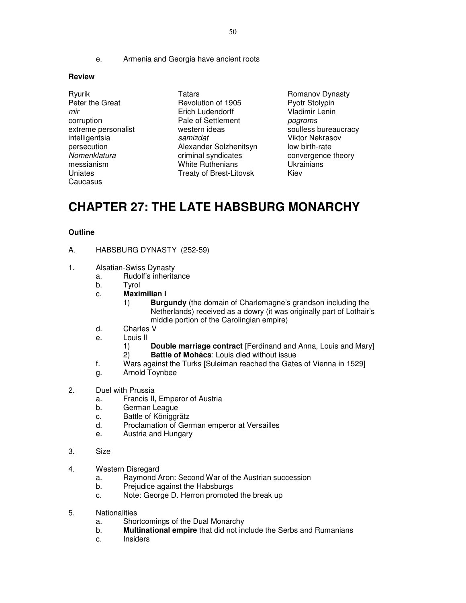e. Armenia and Georgia have ancient roots

#### **Review**

- Ryurik Tatars Tatars Romanov Dynasty **Caucasus**
- Peter the Great **Revolution of 1905** Pyotr Stolypin mir Erich Ludendorff Vladimir Lenin corruption **Pale of Settlement** *pogroms* extreme personalist extreme western ideas soulless bureaucracy intelligentsia **samizdat** Samizdat Viktor Nekrasov persecution **Alexander Solzhenitsyn** low birth-rate<br>
Nomenklatura criminal syndicates convergence criminal syndicates convergence theory messianism **White Ruthenians** Ukrainians Uniates **Treaty of Brest-Litovsk** Kiev

# **CHAPTER 27: THE LATE HABSBURG MONARCHY**

- A. HABSBURG DYNASTY (252-59)
- 1. Alsatian-Swiss Dynasty
	- a. Rudolf's inheritance
	- b. Tyrol
	- c. **Maximilian I** 
		- 1) **Burgundy** (the domain of Charlemagne's grandson including the Netherlands) received as a dowry (it was originally part of Lothair's middle portion of the Carolingian empire)
	- d. Charles V
	- e. Louis II
		- 1) **Double marriage contract** [Ferdinand and Anna, Louis and Mary]
		- 2) **Battle of Mohács**: Louis died without issue
	- f. Wars against the Turks [Suleiman reached the Gates of Vienna in 1529]
	- g. Arnold Toynbee
- 2. Duel with Prussia
	- a. Francis II, Emperor of Austria
	- b. German League
	- c. Battle of Königgrätz
	- d. Proclamation of German emperor at Versailles
	- e. Austria and Hungary
- 3. Size
- 4. Western Disregard
	- a. Raymond Aron: Second War of the Austrian succession
	- b. Prejudice against the Habsburgs
	- c. Note: George D. Herron promoted the break up
- 5. Nationalities
	- a. Shortcomings of the Dual Monarchy
	- b. **Multinational empire** that did not include the Serbs and Rumanians
	- c. Insiders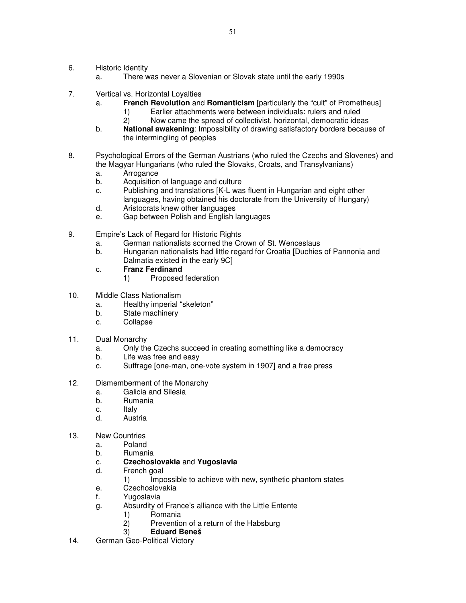- 6. Historic Identity
	- a. There was never a Slovenian or Slovak state until the early 1990s
- 7. Vertical vs. Horizontal Loyalties
	- a. **French Revolution** and **Romanticism** [particularly the "cult" of Prometheus]
		- 1) Earlier attachments were between individuals: rulers and ruled
		- 2) Now came the spread of collectivist, horizontal, democratic ideas
	- b. **National awakening**: Impossibility of drawing satisfactory borders because of the intermingling of peoples
- 8. Psychological Errors of the German Austrians (who ruled the Czechs and Slovenes) and the Magyar Hungarians (who ruled the Slovaks, Croats, and Transylvanians)
	- a. Arrogance
	- b. Acquisition of language and culture
	- c. Publishing and translations [K-L was fluent in Hungarian and eight other languages, having obtained his doctorate from the University of Hungary)
	- d. Aristocrats knew other languages
	- e. Gap between Polish and English languages
- 9. Empire's Lack of Regard for Historic Rights
	- a. German nationalists scorned the Crown of St. Wenceslaus
	- b. Hungarian nationalists had little regard for Croatia [Duchies of Pannonia and Dalmatia existed in the early 9C]
	- c. **Franz Ferdinand**
		- 1) Proposed federation
- 10. Middle Class Nationalism
	- a. Healthy imperial "skeleton"
	- b. State machinery
	- c. Collapse
- 11. Dual Monarchy
	- a. Only the Czechs succeed in creating something like a democracy
	- b. Life was free and easy
	- c. Suffrage [one-man, one-vote system in 1907] and a free press
- 12. Dismemberment of the Monarchy
	- a. Galicia and Silesia
	- b. Rumania
	- c. Italy
	- d. Austria
- 13. New Countries
	- a. Poland
	- b. Rumania
	- c. **Czechoslovakia** and **Yugoslavia**
	- d. French goal
		- 1) Impossible to achieve with new, synthetic phantom states
	- e. Czechoslovakia
	- f. Yugoslavia
	- g. Absurdity of France's alliance with the Little Entente
		- 1) Romania
		- Prevention of a return of the Habsburg
		- 3) **Eduard Beneš**
- 14. German Geo-Political Victory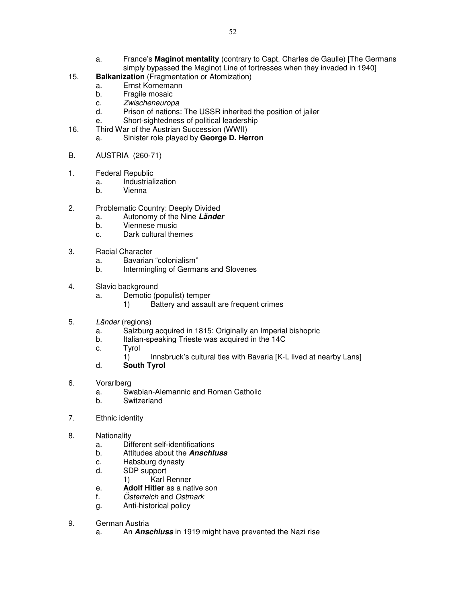- a. France's **Maginot mentality** (contrary to Capt. Charles de Gaulle) [The Germans simply bypassed the Maginot Line of fortresses when they invaded in 1940]
- 15. **Balkanization** (Fragmentation or Atomization)
	- a. Ernst Kornemann
	- b. Fragile mosaic
	- c. Zwischeneuropa
	- d. Prison of nations: The USSR inherited the position of jailer
	- e. Short-sightedness of political leadership
- 16. Third War of the Austrian Succession (WWII)
	- a. Sinister role played by **George D. Herron**
- B. AUSTRIA (260-71)
- 1. Federal Republic
	- a. Industrialization
	- b. Vienna
- 2. Problematic Country: Deeply Divided
	- a. Autonomy of the Nine **Länder**
	- b. Viennese music
	- c. Dark cultural themes
- 3. Racial Character
	- a. Bavarian "colonialism"
	- b. Intermingling of Germans and Slovenes
- 4. Slavic background
	- a. Demotic (populist) temper
		- 1) Battery and assault are frequent crimes
- 5. Länder (regions)
	- a. Salzburg acquired in 1815: Originally an Imperial bishopric
	- b. Italian-speaking Trieste was acquired in the 14C
	- c. Tyrol
		- 1) Innsbruck's cultural ties with Bavaria [K-L lived at nearby Lans]
	- d. **South Tyrol**
- 6. Vorarlberg
	- a. Swabian-Alemannic and Roman Catholic
	- b. Switzerland
- 7. Ethnic identity
- 8. Nationality
	- a. Different self-identifications
	- b. Attitudes about the **Anschluss**
	- c. Habsburg dynasty
	- d. SDP support
		- 1) Karl Renner
	- e. **Adolf Hitler** as a native son
	- f. Österreich and Ostmark
	- g. Anti-historical policy
- 9. German Austria
	- a. An **Anschluss** in 1919 might have prevented the Nazi rise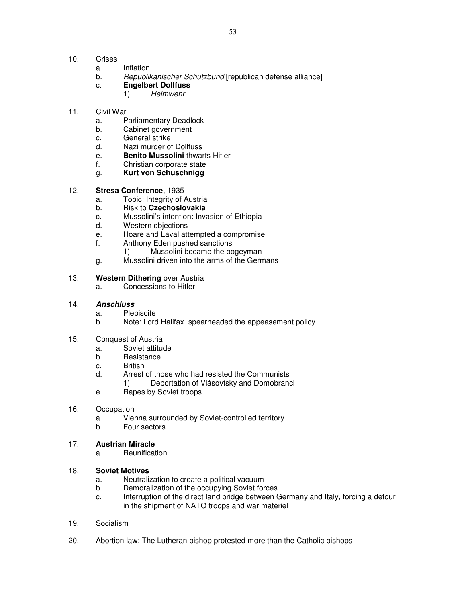- 10. Crises
	- a. Inflation
	- b. Republikanischer Schutzbund [republican defense alliance]
	- c. **Engelbert Dollfuss**
		- 1) Heimwehr
- 11. Civil War
	- a. Parliamentary Deadlock
	- b. Cabinet government
	- c. General strike
	- d. Nazi murder of Dollfuss
	- e. **Benito Mussolini** thwarts Hitler
	- f. Christian corporate state
	- g. **Kurt von Schuschnigg**

### 12. **Stresa Conference**, 1935

- a. Topic: Integrity of Austria
- b. Risk to **Czechoslovakia**
- c. Mussolini's intention: Invasion of Ethiopia
- d. Western objections
- e. Hoare and Laval attempted a compromise
- f. Anthony Eden pushed sanctions
	- 1) Mussolini became the bogeyman
- g. Mussolini driven into the arms of the Germans

### 13. **Western Dithering** over Austria

a. Concessions to Hitler

#### 14. **Anschluss**

- a. Plebiscite
- b. Note: Lord Halifax spearheaded the appeasement policy
- 15. Conquest of Austria
	- a. Soviet attitude
	- b. Resistance
	- c. British
	- d. Arrest of those who had resisted the Communists
		- 1) Deportation of Vlásovtsky and Domobranci
	- e. Rapes by Soviet troops

#### 16. Occupation

- a. Vienna surrounded by Soviet-controlled territory
- b. Four sectors

#### 17. **Austrian Miracle**

a. Reunification

#### 18. **Soviet Motives**

- a. Neutralization to create a political vacuum
- b. Demoralization of the occupying Soviet forces
- c. Interruption of the direct land bridge between Germany and Italy, forcing a detour in the shipment of NATO troops and war matériel
- 19. Socialism
- 20. Abortion law: The Lutheran bishop protested more than the Catholic bishops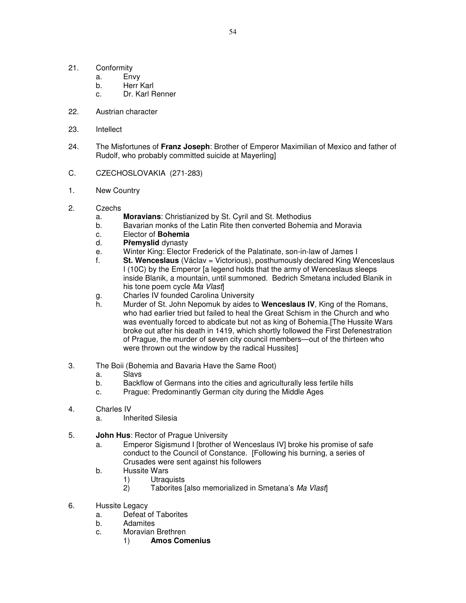- 21. Conformity
	- a. Envy
	- b. Herr Karl
	- c. Dr. Karl Renner
- 22. Austrian character
- 23. Intellect
- 24. The Misfortunes of **Franz Joseph**: Brother of Emperor Maximilian of Mexico and father of Rudolf, who probably committed suicide at Mayerling]
- C. CZECHOSLOVAKIA (271-283)
- 1. New Country
- 2. Czechs
	- a. **Moravians**: Christianized by St. Cyril and St. Methodius
	- b. Bavarian monks of the Latin Rite then converted Bohemia and Moravia
	- c. Elector of **Bohemia**
	- d. **P**ř**emyslid** dynasty
	- e. Winter King: Elector Frederick of the Palatinate, son-in-law of James I
	- f. **St. Wenceslaus** (Václav = Victorious), posthumously declared King Wenceslaus I (10C) by the Emperor [a legend holds that the army of Wenceslaus sleeps inside Blanik, a mountain, until summoned. Bedrich Smetana included Blanik in his tone poem cycle Ma Vlast
	- g. Charles IV founded Carolina University
	- h. Murder of St. John Nepomuk by aides to **Wenceslaus IV**, King of the Romans, who had earlier tried but failed to heal the Great Schism in the Church and who was eventually forced to abdicate but not as king of Bohemia.[The Hussite Wars broke out after his death in 1419, which shortly followed the First Defenestration of Prague, the murder of seven city council members—out of the thirteen who were thrown out the window by the radical Hussites]
- 3. The Boii (Bohemia and Bavaria Have the Same Root)
	- a. Slavs
	- b. Backflow of Germans into the cities and agriculturally less fertile hills
	- c. Prague: Predominantly German city during the Middle Ages
- 4. Charles IV
	- a. Inherited Silesia
- 5. **John Hus**: Rector of Prague University
	- a. Emperor Sigismund I [brother of Wenceslaus IV] broke his promise of safe conduct to the Council of Constance. [Following his burning, a series of Crusades were sent against his followers
	- b. Hussite Wars
		- 1) Utraquists
		- 2) Taborites [also memorialized in Smetana's Ma Vlast]
- 6. Hussite Legacy
	- a. Defeat of Taborites
	- b. Adamites
	- c. Moravian Brethren
		- 1) **Amos Comenius**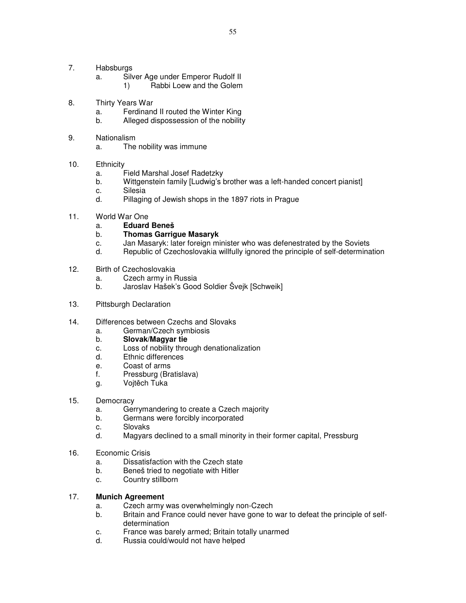- 7. Habsburgs
	- a. Silver Age under Emperor Rudolf II
		- 1) Rabbi Loew and the Golem
- 8. Thirty Years War
	- a. Ferdinand II routed the Winter King
	- b. Alleged dispossession of the nobility
- 9. Nationalism
	- a. The nobility was immune
- 10. Ethnicity
	- a. Field Marshal Josef Radetzky
	- b. Wittgenstein family [Ludwig's brother was a left-handed concert pianist]
	- c. Silesia
	- d. Pillaging of Jewish shops in the 1897 riots in Prague
- 11. World War One
	- a. **Eduard Beneš**
	- b. **Thomas Garrigue Masaryk**
	- c. Jan Masaryk: later foreign minister who was defenestrated by the Soviets
	- d. Republic of Czechoslovakia willfully ignored the principle of self-determination
- 12. Birth of Czechoslovakia
	- a. Czech army in Russia
	- b. Jaroslav Hašek's Good Soldier Švejk [Schweik]
- 13. Pittsburgh Declaration
- 14. Differences between Czechs and Slovaks
	- a. German/Czech symbiosis
	- b. **Slovak/Magyar tie**
	- c. Loss of nobility through denationalization
	- d. Ethnic differences
	- e. Coast of arms
	- f. Pressburg (Bratislava)
	- g. Vojtěch Tuka
- 15. Democracy
	- a. Gerrymandering to create a Czech majority
	- b. Germans were forcibly incorporated
	- c. Slovaks
	- d. Magyars declined to a small minority in their former capital, Pressburg
- 16. Economic Crisis
	- a. Dissatisfaction with the Czech state
	- b. Beneš tried to negotiate with Hitler
	- c. Country stillborn

#### 17. **Munich Agreement**

- a. Czech army was overwhelmingly non-Czech
- b. Britain and France could never have gone to war to defeat the principle of selfdetermination
- c. France was barely armed; Britain totally unarmed
- d. Russia could/would not have helped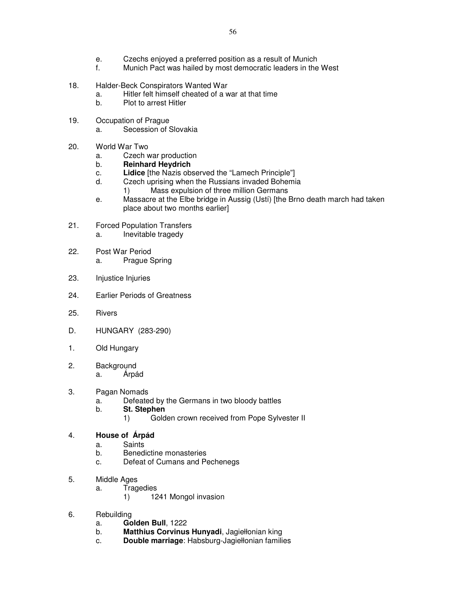- e. Czechs enjoyed a preferred position as a result of Munich
- f. Munich Pact was hailed by most democratic leaders in the West
- 18. Halder-Beck Conspirators Wanted War
	- a. Hitler felt himself cheated of a war at that time
	- b. Plot to arrest Hitler
- 19. Occupation of Prague
	- a. Secession of Slovakia
- 20. World War Two
	- a. Czech war production
	- b. **Reinhard Heydrich**
	- c. **Lidice** [the Nazis observed the "Lamech Principle"]
	- d. Czech uprising when the Russians invaded Bohemia
		- 1) Mass expulsion of three million Germans
	- e. Massacre at the Elbe bridge in Aussig (Ustí) [the Brno death march had taken place about two months earlier]
- 21. Forced Population Transfers a. Inevitable tragedy
- 22. Post War Period a. Prague Spring
- 23. Injustice Injuries
- 24. Earlier Periods of Greatness
- 25. Rivers
- D. HUNGARY (283-290)
- 1. Old Hungary
- 2. Background a. Árpád
- 3. Pagan Nomads
	- a. Defeated by the Germans in two bloody battles
	- b. **St. Stephen**
		- 1) Golden crown received from Pope Sylvester II

## 4. **House of Árpád**

- a. Saints
- b. Benedictine monasteries
- c. Defeat of Cumans and Pechenegs
- 5. Middle Ages
	- a. Tragedies
		- 1) 1241 Mongol invasion
- 6. Rebuilding
	- a. **Golden Bull**, 1222
	- b. **Matthius Corvinus Hunyadi**, Jagiełłonian king
	- c. **Double marriage**: Habsburg-Jagiełłonian families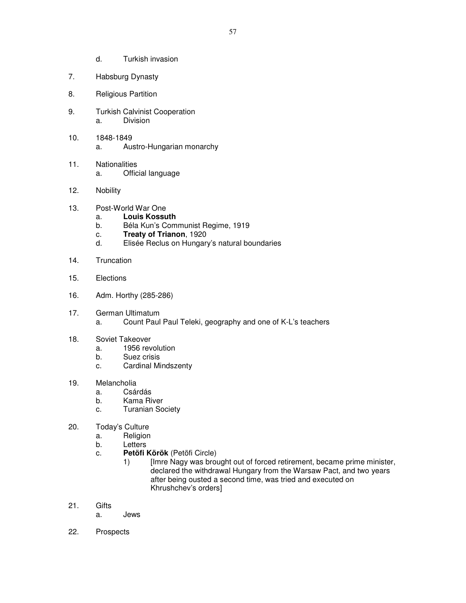- d. Turkish invasion
- 7. Habsburg Dynasty
- 8. Religious Partition
- 9. Turkish Calvinist Cooperation a. Division
- 10. 1848-1849 a. Austro-Hungarian monarchy
- 11. Nationalities a. Official language
- 12. Nobility
- 13. Post-World War One
	- a. **Louis Kossuth**
	- b. Béla Kun's Communist Regime, 1919
	- c. **Treaty of Trianon**, 1920
	- d. Elisée Reclus on Hungary's natural boundaries
- 14. Truncation
- 15. Elections
- 16. Adm. Horthy (285-286)
- 17. German Ultimatum a. Count Paul Paul Teleki, geography and one of K-L's teachers
- 18. Soviet Takeover
	- a. 1956 revolution
	- b. Suez crisis
	- c. Cardinal Mindszenty
- 19. Melancholia
	- a. Csárdás
	- b. Kama River
	- c. Turanian Society
- 20. Today's Culture
	- a. Religion
	- b. Letters
	- c. **Petöfi Körök** (Petöfi Circle)
		- 1) [Imre Nagy was brought out of forced retirement, became prime minister, declared the withdrawal Hungary from the Warsaw Pact, and two years after being ousted a second time, was tried and executed on Khrushchev's orders]
- 21. Gifts
	- a. Jews
- 22. Prospects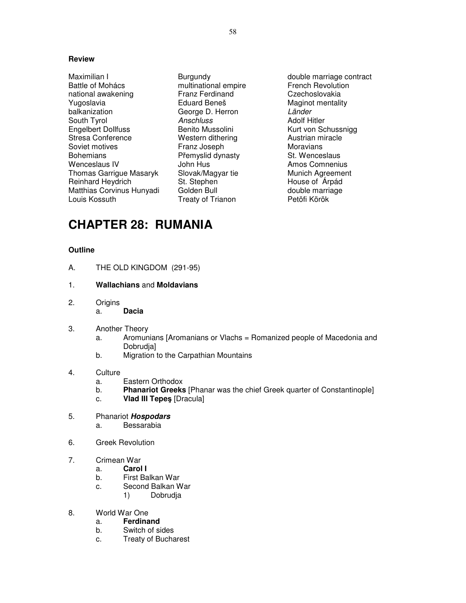Maximilian I Burgundy double marriage contract<br>
Battle of Mohács extint in multinational empire extract French Revolution Battle of Mohács multinational empire national awakening Franz Ferdinand Czechoslovakia Yugoslavia **Eduard Beneš** Maginot mentality balkanization George D. Herron Länder South Tyrol **Anschluss** Anschluss **Anschluss** Adolf Hitler Engelbert Dollfuss **Benito Mussolini** Kurt von Schussnigg<br>Stresa Conference **Britter Western dithering** Austrian miracle Stresa Conference Soviet motives Franz Joseph Moravians Bohemians Přemyslid dynasty<br>Wenceslaus IV Mentes John Hus Thomas Garrigue Masaryk Slovak/Magyar tie Munich Agreement<br>Reinhard Heydrich St. Stephen St. Stephen House of Árpád Reinhard Heydrich St. Stephen Matthias Corvinus Hunyadi Golden Bull **Container and Convention** double marriage Louis Kossuth Treaty of Trianon Petöfi Körök

Amos Comnenius

# **CHAPTER 28: RUMANIA**

## **Outline**

- A. THE OLD KINGDOM (291-95)
- 1. **Wallachians** and **Moldavians**
- 2. Origins
	- a. **Dacia**
- 3. Another Theory
	- a. Aromunians [Aromanians or Vlachs = Romanized people of Macedonia and Dobrudja]
	- b. Migration to the Carpathian Mountains

### 4. Culture

- a. Eastern Orthodox
- b. **Phanariot Greeks** [Phanar was the chief Greek quarter of Constantinople]
- c. **Vlad III Tepe**ş [Dracula]
- 5. Phanariot **Hospodars** a. Bessarabia
- 6. Greek Revolution
- 7. Crimean War
	- a. **Carol I**
	- b. First Balkan War
	- c. Second Balkan War
		- 1) Dobrudja
- 8. World War One
	- a. **Ferdinand**
	- b. Switch of sides
	- c. Treaty of Bucharest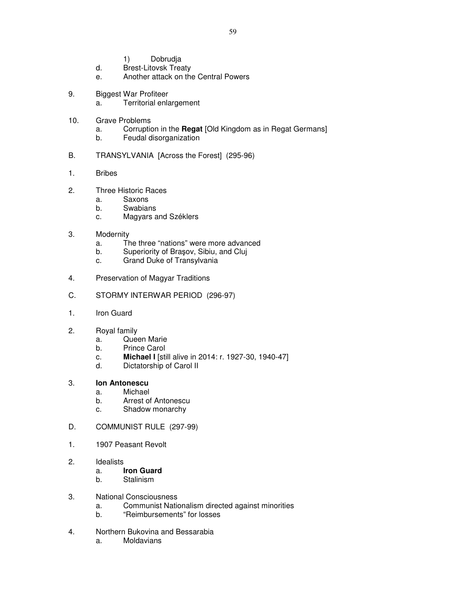- 1) Dobrudja
- d. Brest-Litovsk Treaty
- e. Another attack on the Central Powers
- 9. Biggest War Profiteer
	- a. Territorial enlargement
- 10. Grave Problems
	- a. Corruption in the **Regat** [Old Kingdom as in Regat Germans]
	- b. Feudal disorganization
- B. TRANSYLVANIA [Across the Forest] (295-96)
- 1. Bribes
- 2. Three Historic Races
	- a. Saxons
	- b. Swabians
	- c. Magyars and Széklers
- 3. Modernity
	- a. The three "nations" were more advanced
	- b. Superiority of Braşov, Sibiu, and Cluj
	- c. Grand Duke of Transylvania
- 4. Preservation of Magyar Traditions
- C. STORMY INTERWAR PERIOD (296-97)
- 1. Iron Guard
- 2. Royal family
	- a. Queen Marie
	- b. Prince Carol
	- c. **Michael I** [still alive in 2014: r. 1927-30, 1940-47]
	- d. Dictatorship of Carol II

## 3. **Ion Antonescu**

- a. Michael
- b. Arrest of Antonescu
- c. Shadow monarchy
- D. COMMUNIST RULE (297-99)
- 1. 1907 Peasant Revolt
- 2. Idealists
	- a. **Iron Guard**
	- b. Stalinism
- 3. National Consciousness
	- a. Communist Nationalism directed against minorities
	- b. "Reimbursements" for losses
- 4. Northern Bukovina and Bessarabia
	- a. Moldavians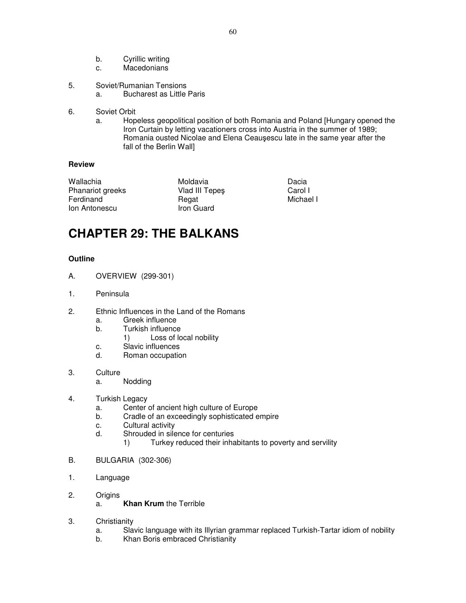- b. Cyrillic writing
- c. Macedonians
- 5. Soviet/Rumanian Tensions
	- a. Bucharest as Little Paris
- 6. Soviet Orbit
	- a. Hopeless geopolitical position of both Romania and Poland [Hungary opened the Iron Curtain by letting vacationers cross into Austria in the summer of 1989; Romania ousted Nicolae and Elena Ceauşescu late in the same year after the fall of the Berlin Wall]

Wallachia Moldavia Dacia Phanariot greeks Ferdinand Regat Regat Michael I **Ion Antonescu Iron Guard** 

## **CHAPTER 29: THE BALKANS**

- A. OVERVIEW (299-301)
- 1. Peninsula
- 2. Ethnic Influences in the Land of the Romans
	- a. Greek influence
	- b. Turkish influence
		- 1) Loss of local nobility
	- c. Slavic influences
	- d. Roman occupation
- 3. Culture
	- a. Nodding
- 4. Turkish Legacy
	- a. Center of ancient high culture of Europe
	- b. Cradle of an exceedingly sophisticated empire
	- c. Cultural activity
	- d. Shrouded in silence for centuries
		- 1) Turkey reduced their inhabitants to poverty and servility
- B. BULGARIA (302-306)
- 1. Language
- 2. Origins
	- a. **Khan Krum** the Terrible
- 3. Christianity
	- a. Slavic language with its Illyrian grammar replaced Turkish-Tartar idiom of nobility
	- b. Khan Boris embraced Christianity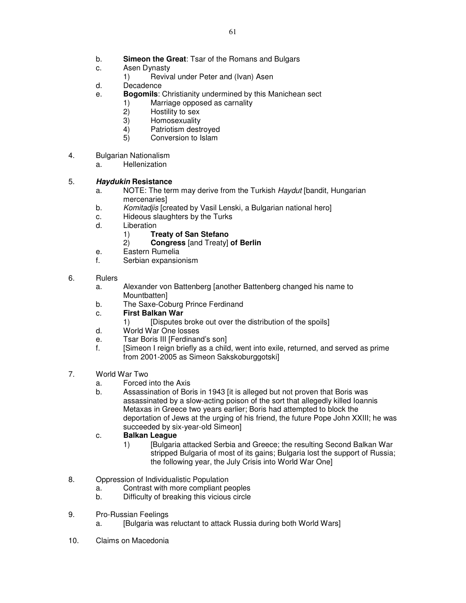- b. **Simeon the Great**: Tsar of the Romans and Bulgars
- c. Asen Dynasty
	- 1) Revival under Peter and (Ivan) Asen
- d. Decadence
- e. **Bogomils**: Christianity undermined by this Manichean sect
	- 1) Marriage opposed as carnality
	- 2) Hostility to sex
	- 3) Homosexuality
	- 4) Patriotism destroyed<br>5) Conversion to Islam
	- Conversion to Islam
- 4. Bulgarian Nationalism
	- a. Hellenization

## 5. **Haydukin Resistance**

- a. NOTE: The term may derive from the Turkish *Haydut* [bandit, Hungarian mercenaries]
- b. Komitadjis [created by Vasil Lenski, a Bulgarian national hero]
- c. Hideous slaughters by the Turks
- d. Liberation
	- 1) **Treaty of San Stefano**
	- 2) **Congress** [and Treaty] **of Berlin**
- e. Eastern Rumelia
- f. Serbian expansionism
- 6. Rulers
	- a. Alexander von Battenberg [another Battenberg changed his name to Mountbatten]
	- b. The Saxe-Coburg Prince Ferdinand
	- c. **First Balkan War**
		- 1) [Disputes broke out over the distribution of the spoils]
	- d. World War One losses
	- e. Tsar Boris III [Ferdinand's son]
	- f. [Simeon I reign briefly as a child, went into exile, returned, and served as prime from 2001-2005 as Simeon Sakskoburggotski]
- 7. World War Two
	- a. Forced into the Axis
	- b. Assassination of Boris in 1943 [it is alleged but not proven that Boris was assassinated by a slow-acting poison of the sort that allegedly killed Ioannis Metaxas in Greece two years earlier; Boris had attempted to block the deportation of Jews at the urging of his friend, the future Pope John XXIII; he was succeeded by six-year-old Simeon]

## c. **Balkan League**

- 1) [Bulgaria attacked Serbia and Greece; the resulting Second Balkan War stripped Bulgaria of most of its gains; Bulgaria lost the support of Russia; the following year, the July Crisis into World War One]
- 8. Oppression of Individualistic Population
	- a. Contrast with more compliant peoples
	- b. Difficulty of breaking this vicious circle
- 9. Pro-Russian Feelings
	- a. [Bulgaria was reluctant to attack Russia during both World Wars]
- 10. Claims on Macedonia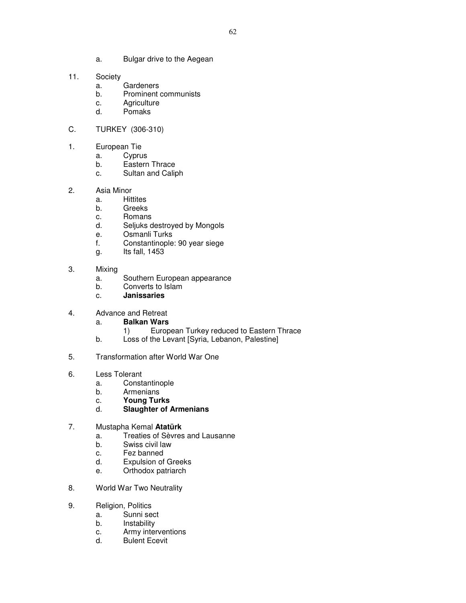- a. Bulgar drive to the Aegean
- 11. Society
	- a. Gardeners
	- b. Prominent communists
	- c. Agriculture
	- d. Pomaks
- C. TURKEY (306-310)
- 1. European Tie
	- a. Cyprus
		- b. Eastern Thrace
		- c. Sultan and Caliph
- 2. Asia Minor
	- a. Hittites
	- b. Greeks
	- c. Romans
	- d. Seljuks destroyed by Mongols
	- e. Osmanli Turks
	- f. Constantinople: 90 year siege
	- g. Its fall, 1453
- 3. Mixing
	- a. Southern European appearance
	- b. Converts to Islam
	- c. **Janissaries**

## 4. Advance and Retreat

- a. **Balkan Wars**
	- 1) European Turkey reduced to Eastern Thrace
- b. Loss of the Levant [Syria, Lebanon, Palestine]
- 5. Transformation after World War One
- 6. Less Tolerant
	- a. Constantinople
	- b. Armenians
	- c. **Young Turks**
	- d. **Slaughter of Armenians**

#### 7. Mustapha Kemal **Atatürk**

- a. Treaties of Sèvres and Lausanne
- b. Swiss civil law
- c. Fez banned
- d. Expulsion of Greeks
- e. Orthodox patriarch
- 8. World War Two Neutrality
- 9. Religion, Politics
	- a. Sunni sect
	- b. Instability
	- c. Army interventions
	- d. Bulent Ecevit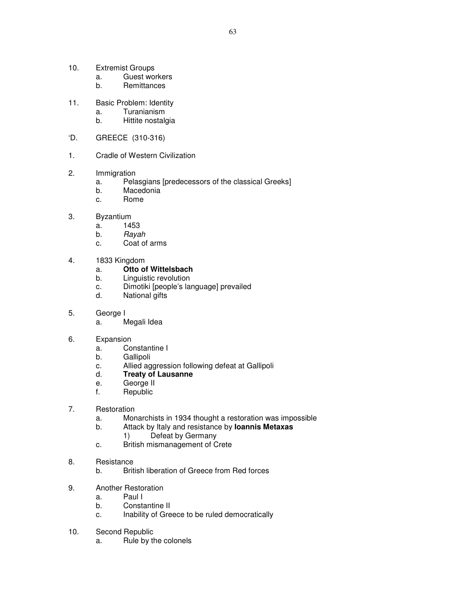- 10. Extremist Groups
	- a. Guest workers
	- b. Remittances
- 11. Basic Problem: Identity
	- a. Turanianism
	- b. Hittite nostalgia
- 'D. GREECE (310-316)
- 1. Cradle of Western Civilization
- 2. Immigration
	- a. Pelasgians [predecessors of the classical Greeks]
	- b. Macedonia
	- c. Rome
- 3. Byzantium
	- a. 1453
	- b. Rayah
	- c. Coat of arms
- 4. 1833 Kingdom
	- a. **Otto of Wittelsbach**
	- b. Linguistic revolution
	- c. Dimotiki [people's language] prevailed
	- d. National gifts
- 5. George I
	- a. Megali Idea
- 6. Expansion
	- a. Constantine I
	- b. Gallipoli
	- c. Allied aggression following defeat at Gallipoli
	- d. **Treaty of Lausanne**
	- e. George II
	- f. Republic
- 7. Restoration
	- a. Monarchists in 1934 thought a restoration was impossible
	- b. Attack by Italy and resistance by **Ioannis Metaxas** 
		- 1) Defeat by Germany
	- c. British mismanagement of Crete
- 8. Resistance
	- b. British liberation of Greece from Red forces
- 9. Another Restoration
	- a. Paul I
	- b. Constantine II
	- c. Inability of Greece to be ruled democratically
- 10. Second Republic
	- a. Rule by the colonels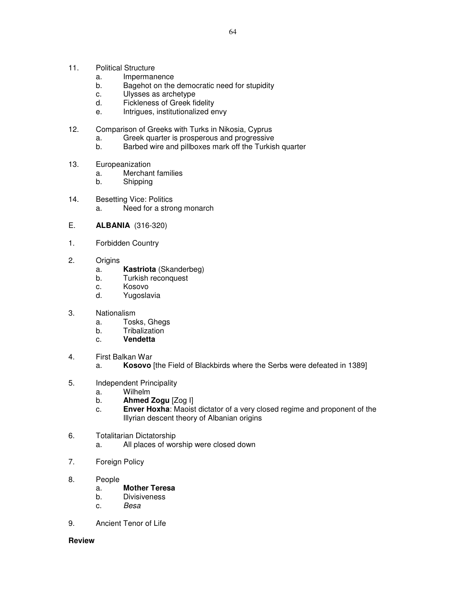- 11. Political Structure
	- a. Impermanence
	- b. Bagehot on the democratic need for stupidity
	- c. Ulysses as archetype
	- d. Fickleness of Greek fidelity
	- e. Intrigues, institutionalized envy
- 12. Comparison of Greeks with Turks in Nikosia, Cyprus
	- a. Greek quarter is prosperous and progressive
	- b. Barbed wire and pillboxes mark off the Turkish quarter
- 13. Europeanization
	- a. Merchant families
	- b. Shipping
- 14. Besetting Vice: Politics a. Need for a strong monarch
- E. **ALBANIA** (316-320)
- 1. Forbidden Country
- 2. Origins
	- a. **Kastriota** (Skanderbeg)
	- b. Turkish reconquest
	- c. Kosovo
	- d. Yugoslavia
- 3. Nationalism
	- a. Tosks, Ghegs
	- b. Tribalization
	- c. **Vendetta**
- 4. First Balkan War
	- a. **Kosovo** [the Field of Blackbirds where the Serbs were defeated in 1389]
- 5. Independent Principality
	- a. Wilhelm
	- b. **Ahmed Zogu** [Zog I]
	- c. **Enver Hoxha**: Maoist dictator of a very closed regime and proponent of the Illyrian descent theory of Albanian origins
- 6. Totalitarian Dictatorship
	- a. All places of worship were closed down
- 7. Foreign Policy
- 8. People
	- a. **Mother Teresa**
	- b. Divisiveness
	- c. Besa
- 9. Ancient Tenor of Life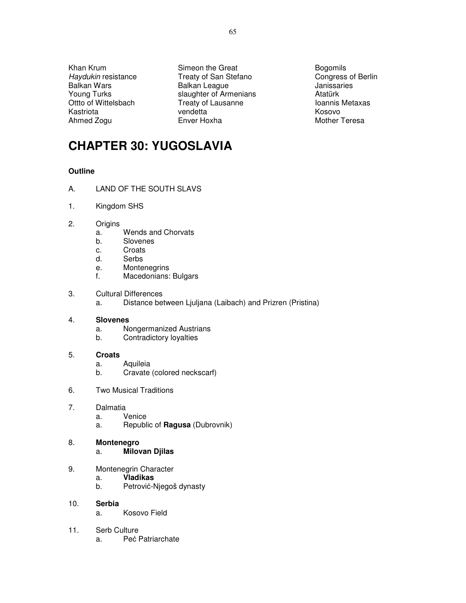Khan Krum Simeon the Great Bogomils Bogomils

Haydukin resistance Treaty of San Stefano<br>
Balkan Wars Congress of Berlin<br>
Balkan Ueague Congress Congress de Congress of Berlin Balkan League Young Turks **Slaughter of Armenians** Atatürk Ottto of Wittelsbach **Treaty of Lausanne Ioannis Metaxas** Kastriota **Kosovo** vendetta **Kosovo Kosovo** Ahmed Zogu **Enver Hoxha** Enver Hoxha Mother Teresa

## **CHAPTER 30: YUGOSLAVIA**

### **Outline**

- A. LAND OF THE SOUTH SLAVS
- 1. Kingdom SHS
- 2. Origins
	- a. Wends and Chorvats
	- b. Slovenes
	- c. Croats
	- d. Serbs
	- e. Montenegrins
	- f. Macedonians: Bulgars
- 3. Cultural Differences
	- a. Distance between Ljuljana (Laibach) and Prizren (Pristina)

#### 4. **Slovenes**

- a. Nongermanized Austrians
- b. Contradictory loyalties

#### 5. **Croats**

- a. Aquileia
- b. Cravate (colored neckscarf)
- 6. Two Musical Traditions
- 7. Dalmatia
	- a. Venice
	- a. Republic of **Ragusa** (Dubrovnik)

## 8. **Montenegro**

### a. **Milovan Djilas**

- 9. Montenegrin Character
	- a. **Vladikas**
	- b. Petrović-Njegoš dynasty
- 10. **Serbia**
	- a. Kosovo Field
- 11. Serb Culture
	- a. Peć Patriarchate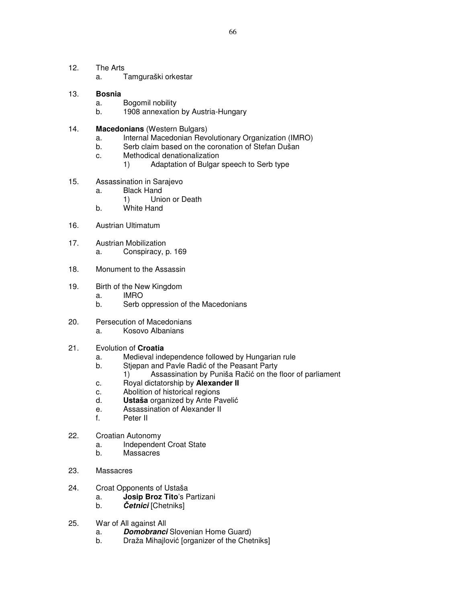- 12. The Arts
	- a. Tamguraški orkestar

#### 13. **Bosnia**

- a. Bogomil nobility
- b. 1908 annexation by Austria-Hungary
- 14. **Macedonians** (Western Bulgars)
	- a. Internal Macedonian Revolutionary Organization (IMRO)
	- b. Serb claim based on the coronation of Stefan Dušan
	- c. Methodical denationalization
		- 1) Adaptation of Bulgar speech to Serb type
- 15. Assassination in Sarajevo
	- a. Black Hand
		- 1) Union or Death
	- b. White Hand
- 16. Austrian Ultimatum
- 17. Austrian Mobilization
	- a. Conspiracy, p. 169
- 18. Monument to the Assassin
- 19. Birth of the New Kingdom
	- a. IMRO
	- b. Serb oppression of the Macedonians
- 20. Persecution of Macedonians a. Kosovo Albanians
- 21. Evolution of **Croatia** 
	- a. Medieval independence followed by Hungarian rule
	- b. Stjepan and Pavle Radić of the Peasant Party<br>1) Assassination by Puniša Račić on the
		- Assassination by Puniša Račić on the floor of parliament
	- c. Royal dictatorship by **Alexander II**
	- c. Abolition of historical regions
	- d. **Ustaša** organized by Ante Pavelić
	- e. Assassination of Alexander II
	- f. Peter II
- 22. Croatian Autonomy
	- a. Independent Croat State
	- b. Massacres
- 23. Massacres
- 24. Croat Opponents of Ustaša
	- a. **Josip Broz Tito**'s Partizani
	- b. Č**etnici** [Chetniks]
- 25. War of All against All
	- a. **Domobranci** Slovenian Home Guard)
	- b. Draža Mihajlović [organizer of the Chetniks]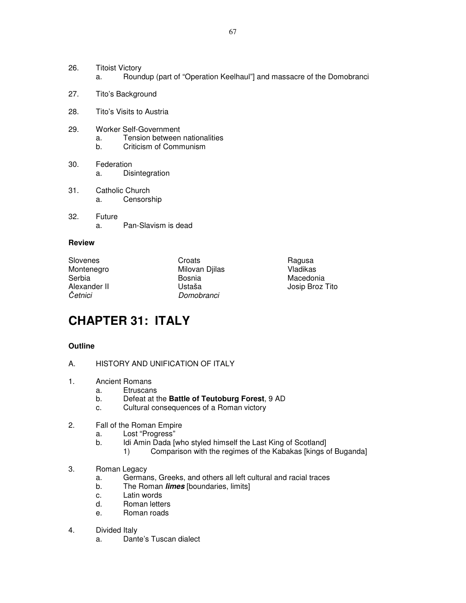- 26. Titoist Victory a. Roundup (part of "Operation Keelhaul"] and massacre of the Domobranci
- 27. Tito's Background
- 28. Tito's Visits to Austria
- 29. Worker Self-Government
	- a. Tension between nationalities
	- b. Criticism of Communism
- 30. Federation a. Disintegration
- 31. Catholic Church a. Censorship
- 32. Future a. Pan-Slavism is dead

Slovenes Croats Croats Croats Ragusa<br>
Montenegro Milovan Diilas Vladikas Montenegro Milovan Djilas<br>Serbia Vladikas Bosnia Serbia Bosnia Macedonia Četnici Domobranci

Ustaša Josip Broz Tito

## **CHAPTER 31: ITALY**

- A. HISTORY AND UNIFICATION OF ITALY
- 1. Ancient Romans
	- a. Etruscans
	- b. Defeat at the **Battle of Teutoburg Forest**, 9 AD
	- c. Cultural consequences of a Roman victory
- 2. Fall of the Roman Empire
	- a. Lost "Progress"
	- b. Idi Amin Dada [who styled himself the Last King of Scotland]
		- 1) Comparison with the regimes of the Kabakas [kings of Buganda]
- 3. Roman Legacy
	- a. Germans, Greeks, and others all left cultural and racial traces
	- b. The Roman **limes** [boundaries, limits]
	- c. Latin words
	- d. Roman letters
	- e. Roman roads
- 4. Divided Italy
	- a. Dante's Tuscan dialect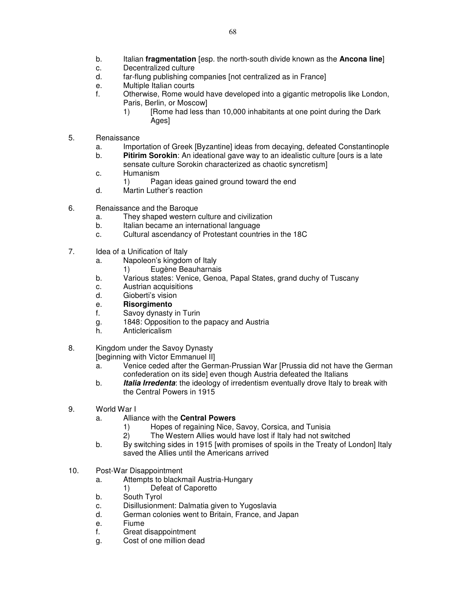- b. Italian **fragmentation** [esp. the north-south divide known as the **Ancona line**]
- c. Decentralized culture
- d. far-flung publishing companies [not centralized as in France]
- e. Multiple Italian courts
- f. Otherwise, Rome would have developed into a gigantic metropolis like London, Paris, Berlin, or Moscow]
	- 1) [Rome had less than 10,000 inhabitants at one point during the Dark Ages]
- 5. Renaissance
	- a. Importation of Greek [Byzantine] ideas from decaying, defeated Constantinople
	- b. **Pitirim Sorokin**: An ideational gave way to an idealistic culture [ours is a late sensate culture Sorokin characterized as chaotic syncretism]
	- c. Humanism
		- 1) Pagan ideas gained ground toward the end
	- d. Martin Luther's reaction
- 6. Renaissance and the Baroque
	- a. They shaped western culture and civilization
	- b. Italian became an international language
	- c. Cultural ascendancy of Protestant countries in the 18C
- 7. Idea of a Unification of Italy
	- a. Napoleon's kingdom of Italy
		- 1) Eugène Beauharnais
	- b. Various states: Venice, Genoa, Papal States, grand duchy of Tuscany
	- c. Austrian acquisitions
	- d. Gioberti's vision
	- e. **Risorgimento**
	- f. Savoy dynasty in Turin
	- g. 1848: Opposition to the papacy and Austria
	- h. Anticlericalism
- 8. Kingdom under the Savoy Dynasty

[beginning with Victor Emmanuel II]

- a. Venice ceded after the German-Prussian War [Prussia did not have the German confederation on its side] even though Austria defeated the Italians
- b. **Italia Irredenta**: the ideology of irredentism eventually drove Italy to break with the Central Powers in 1915
- 9. World War I
	- a. Alliance with the **Central Powers**
		- 1) Hopes of regaining Nice, Savoy, Corsica, and Tunisia
		- 2) The Western Allies would have lost if Italy had not switched
	- b. By switching sides in 1915 [with promises of spoils in the Treaty of London] Italy saved the Allies until the Americans arrived
- 10. Post-War Disappointment
	- a. Attempts to blackmail Austria-Hungary
	- 1) Defeat of Caporetto
	- b. South Tyrol
	- c. Disillusionment: Dalmatia given to Yugoslavia
	- d. German colonies went to Britain, France, and Japan
	- e. Fiume
	- f. Great disappointment
	- g. Cost of one million dead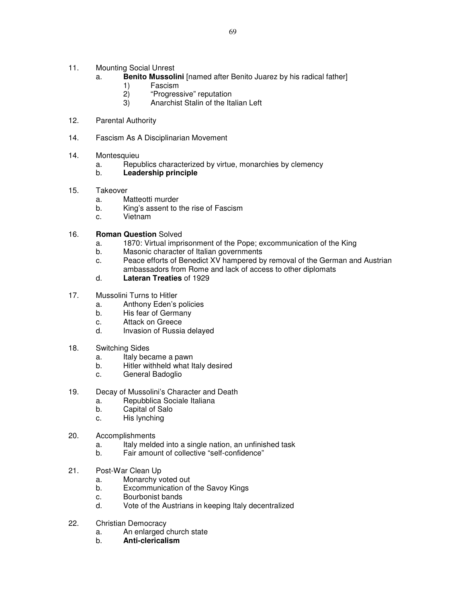- 11. Mounting Social Unrest
	- a. **Benito Mussolini** [named after Benito Juarez by his radical father]
		- 1) Fascism
		- 2) "Progressive" reputation
		- 3) Anarchist Stalin of the Italian Left
- 12. Parental Authority
- 14. Fascism As A Disciplinarian Movement
- 14. Montesquieu
	- a. Republics characterized by virtue, monarchies by clemency

## b. **Leadership principle**

- 15. Takeover
	- a. Matteotti murder
	- b. King's assent to the rise of Fascism
	- c. Vietnam

### 16. **Roman Question** Solved

- a. 1870: Virtual imprisonment of the Pope; excommunication of the King
- b. Masonic character of Italian governments
- c. Peace efforts of Benedict XV hampered by removal of the German and Austrian ambassadors from Rome and lack of access to other diplomats
- d. **Lateran Treaties** of 1929
- 17. Mussolini Turns to Hitler
	- a. Anthony Eden's policies
	- b. His fear of Germany
	- c. Attack on Greece
	- d. Invasion of Russia delayed
- 18. Switching Sides
	- a. Italy became a pawn
	- b. Hitler withheld what Italy desired
	- c. General Badoglio
- 19. Decay of Mussolini's Character and Death
	- a. Repubblica Sociale Italiana
	- b. Capital of Salo
	- c. His lynching
- 20. Accomplishments
	- a. Italy melded into a single nation, an unfinished task
	- b. Fair amount of collective "self-confidence"
- 21. Post-War Clean Up
	- a. Monarchy voted out
	- b. Excommunication of the Savoy Kings
	- c. Bourbonist bands
	- d. Vote of the Austrians in keeping Italy decentralized
- 22. Christian Democracy
	- a. An enlarged church state
	- b. **Anti-clericalism**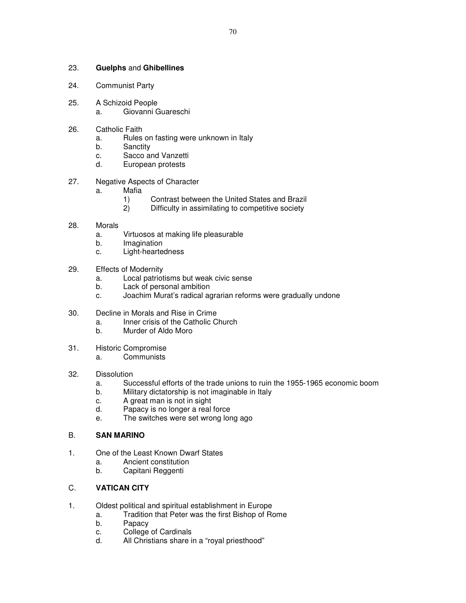#### 23. **Guelphs** and **Ghibellines**

- 24. Communist Party
- 25. A Schizoid People
	- a. Giovanni Guareschi
- 26. Catholic Faith
	- a. Rules on fasting were unknown in Italy
	- b. Sanctity
	- c. Sacco and Vanzetti
	- d. European protests
- 27. Negative Aspects of Character
	- a. Mafia
		- 1) Contrast between the United States and Brazil
		- 2) Difficulty in assimilating to competitive society
- 28. Morals
	- a. Virtuosos at making life pleasurable
	- b. Imagination
	- c. Light-heartedness
- 29. Effects of Modernity
	- a. Local patriotisms but weak civic sense
	- b. Lack of personal ambition
	- c. Joachim Murat's radical agrarian reforms were gradually undone
- 30. Decline in Morals and Rise in Crime
	- a. Inner crisis of the Catholic Church
	- b. Murder of Aldo Moro
- 31. Historic Compromise
	- a. Communists
- 32. Dissolution
	- a. Successful efforts of the trade unions to ruin the 1955-1965 economic boom
	- b. Military dictatorship is not imaginable in Italy
	- c. A great man is not in sight
	- d. Papacy is no longer a real force
	- e. The switches were set wrong long ago

## B. **SAN MARINO**

- 1. One of the Least Known Dwarf States
	- a. Ancient constitution
	- b. Capitani Reggenti

## C. **VATICAN CITY**

- 1. Oldest political and spiritual establishment in Europe
	- a. Tradition that Peter was the first Bishop of Rome
	- b. Papacy
	- c. College of Cardinals
	- d. All Christians share in a "royal priesthood"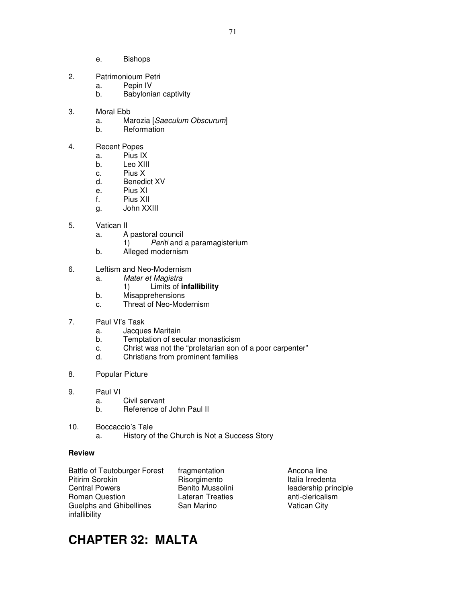- e. Bishops
- 2. Patrimonioum Petri
	- a. Pepin IV
		- b. Babylonian captivity
- 3. Moral Ebb
	- a. Marozia [Saeculum Obscurum]
	- b. Reformation
- 4. Recent Popes
	- a. Pius IX
	- b. Leo XIII
	- c. Pius X
	- d. Benedict XV
	- e. Pius XI
	- f. Pius XII
	- g. John XXIII
- 5. Vatican II
	- a. A pastoral council
		- 1) Periti and a paramagisterium
	- b. Alleged modernism
- 6. Leftism and Neo-Modernism
	- a. Mater et Magistra
		- 1) Limits of **infallibility**
	- b. Misapprehensions
	- c. Threat of Neo-Modernism
- 7. Paul VI's Task
	- a. Jacques Maritain
	- b. Temptation of secular monasticism
	- c. Christ was not the "proletarian son of a poor carpenter"
	- d. Christians from prominent families
- 8. Popular Picture
- 9. Paul VI
	- a. Civil servant
	- b. Reference of John Paul II
- 10. Boccaccio's Tale
	- a. History of the Church is Not a Success Story

Battle of Teutoburger Forest fragmentation **Ancona line**<br>Pitirim Sorokin **Ancona Risorgimento** Hitalia Irreden Central Powers **Benito Mussolini** leadership principle Roman Question **Lateran Treaties anti-clericalism CO** Guelphs and Ghibellines San Marino San Marino Vatican City infallibility

Risorgimento Italia Irredenta

# **CHAPTER 32: MALTA**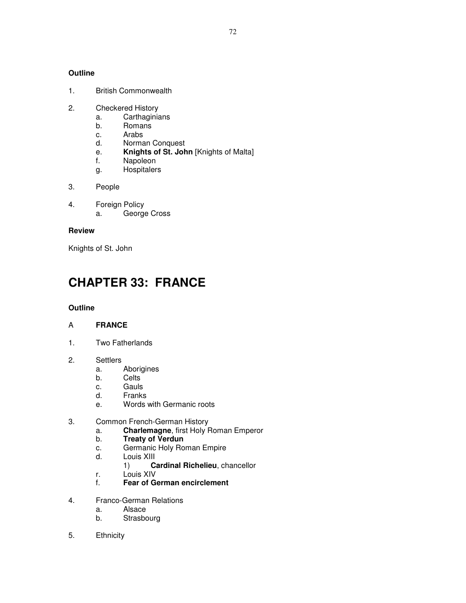### **Outline**

- 1. British Commonwealth
- 2. Checkered History
	- a. Carthaginians
	- b. Romans
	- c. Arabs
	- d. Norman Conquest
	- e. **Knights of St. John** [Knights of Malta]
	- f. Napoleon
	- g. Hospitalers
- 3. People
- 4. Foreign Policy a. George Cross

#### **Review**

Knights of St. John

## **CHAPTER 33: FRANCE**

### **Outline**

### A **FRANCE**

- 1. Two Fatherlands
- 2. Settlers
	- a. Aborigines
	- b. Celts
	- c. Gauls
	- d. Franks
	- e. Words with Germanic roots
- 3. Common French-German History
	- a. **Charlemagne**, first Holy Roman Emperor
	- b. **Treaty of Verdun**
	- c. Germanic Holy Roman Empire
	- d. Louis XIII
		- 1) **Cardinal Richelieu**, chancellor
	- r. Louis XIV
	- f. **Fear of German encirclement**
- 4. Franco-German Relations
	- a. Alsace
	- b. Strasbourg
- 5. Ethnicity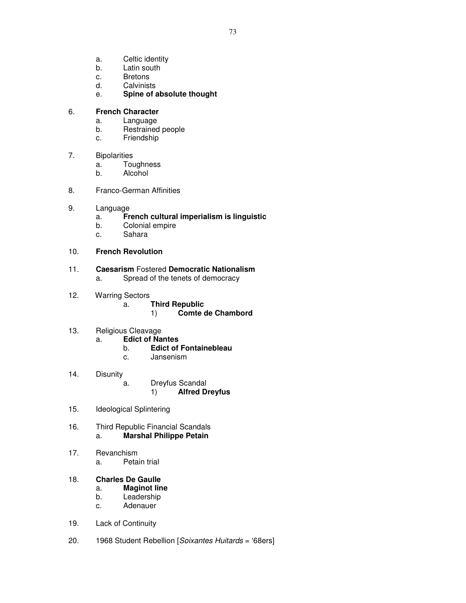- a. Celtic identity
- b. Latin south
- c. Bretons
- d. Calvinists
- e. **Spine of absolute thought**

### 6. **French Character**

- a. Language
- b. Restrained people
- c. Friendship

#### 7. Bipolarities

- a. Toughness
- b. Alcohol
- 8. Franco-German Affinities
- 9. Language
	- a. **French cultural imperialism is linguistic**
	- b. Colonial empire
	- c. Sahara

### 10. **French Revolution**

#### 11. **Caesarism** Fostered **Democratic Nationalism** a. Spread of the tenets of democracy

- 
- 12. Warring Sectors
	- a. **Third Republic**
		- 1) **Comte de Chambord**
- 13. Religious Cleavage
	- a. **Edict of Nantes**
		- b. **Edict of Fontainebleau**
		- c. Jansenism
- 14. Disunity a. Dreyfus Scandal 1) **Alfred Dreyfus**
- 15. Ideological Splintering
- 16. Third Republic Financial Scandals a. **Marshal Philippe Petain**
- 17. Revanchism
	- a. Petain trial

### 18. **Charles De Gaulle**

- a. **Maginot line**
- b. Leadership
- c. Adenauer
- 19. Lack of Continuity
- 20. 1968 Student Rebellion [Soixantes Huitards = '68ers]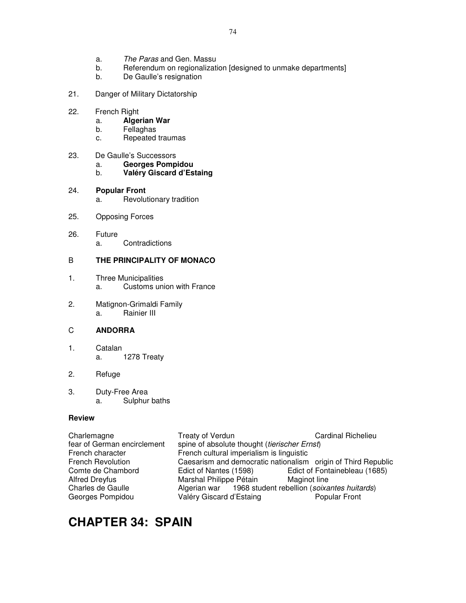- a. The Paras and Gen. Massu
- b. Referendum on regionalization [designed to unmake departments]
- b. De Gaulle's resignation
- 21. Danger of Military Dictatorship
- 22. French Right
	- a. **Algerian War**
	- b. Fellaghas
	- c. Repeated traumas
- 23. De Gaulle's Successors
	- a. **Georges Pompidou**
	- b. **Valéry Giscard d'Estaing**
- 24. **Popular Front** a. Revolutionary tradition
- 25. Opposing Forces
- 26. Future a. Contradictions

### B **THE PRINCIPALITY OF MONACO**

- 1. Three Municipalities a. Customs union with France
- 2. Matignon-Grimaldi Family a. Rainier III

### C **ANDORRA**

1. Catalan a. 1278 Treaty

### 2. Refuge

3. Duty-Free Area a. Sulphur baths

#### **Review**

| Charlemagne                 | Treaty of Verdun                                              | <b>Cardinal Richelieu</b>     |  |
|-----------------------------|---------------------------------------------------------------|-------------------------------|--|
| fear of German encirclement | spine of absolute thought (tierischer Ernst)                  |                               |  |
| French character            | French cultural imperialism is linguistic                     |                               |  |
| <b>French Revolution</b>    | Caesarism and democratic nationalism origin of Third Republic |                               |  |
| Comte de Chambord           | Edict of Nantes (1598)                                        | Edict of Fontainebleau (1685) |  |
| Alfred Dreyfus              | Marshal Philippe Pétain                                       | Maginot line                  |  |
| Charles de Gaulle           | Algerian war 1968 student rebellion (soixantes huitards)      |                               |  |
| Georges Pompidou            | Valéry Giscard d'Estaing                                      | <b>Popular Front</b>          |  |
|                             |                                                               |                               |  |

## **CHAPTER 34: SPAIN**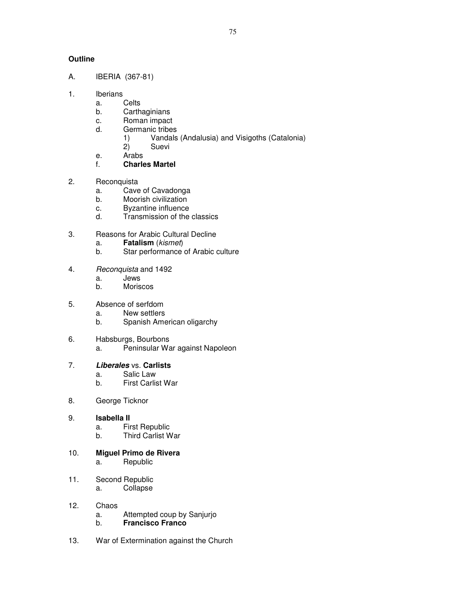75

### **Outline**

- A. IBERIA (367-81)
- 1. Iberians
	- a. Celts
	- b. Carthaginians
	- c. Roman impact
	- d. Germanic tribes
		- 1) Vandals (Andalusia) and Visigoths (Catalonia)
		- 2) Suevi
	- e. Arabs<br>f. **Charle**
	- f. **Charles Martel**
- 2. Reconquista
	- a. Cave of Cavadonga
	- b. Moorish civilization
	- c. Byzantine influence
	- d. Transmission of the classics
- 3. Reasons for Arabic Cultural Decline
	- a. **Fatalism** (kismet)
	- b. Star performance of Arabic culture
- 4. Reconquista and 1492
	- a. Jews
	- b. Moriscos
- 5. Absence of serfdom
	- a. New settlers
	- b. Spanish American oligarchy
- 6. Habsburgs, Bourbons
	- a. Peninsular War against Napoleon

### 7. **Liberales** vs. **Carlists**

- a. Salic Law
- b. First Carlist War
- 8. George Ticknor
- 9. **Isabella II** 
	- a. First Republic
	- b. Third Carlist War
- 10. **Miguel Primo de Rivera**
	- a. Republic
- 11. Second Republic a. Collapse
- 12. Chaos
	- a. Attempted coup by Sanjurjo
	- b. **Francisco Franco**
- 13. War of Extermination against the Church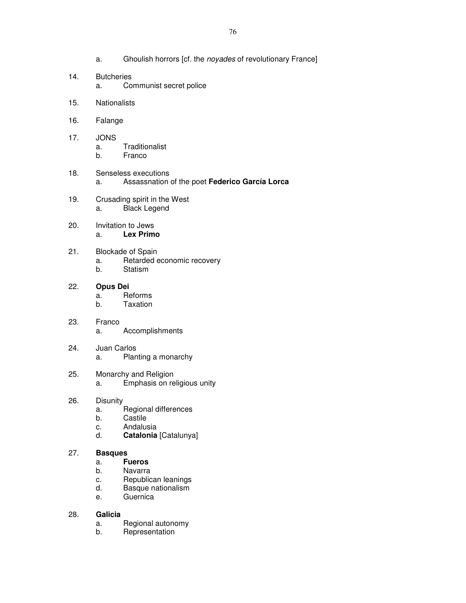- a. Ghoulish horrors [cf. the noyades of revolutionary France]
- 14. Butcheries a. Communist secret police
- 15. Nationalists
- 16. Falange
- 17. JONS
	- a. Traditionalist
	- b. Franco
- 18. Senseless executions a. Assassnation of the poet **Federico García Lorca**
- 19. Crusading spirit in the West a. Black Legend
- 20. Invitation to Jews a. **Lex Primo**
- 21. Blockade of Spain a. Retarded economic recovery
	- b. Statism
- 22. **Opus Dei** a. Reforms
	- b. Taxation
- 23. Franco a. Accomplishments
- 24. Juan Carlos a. Planting a monarchy
- 25. Monarchy and Religion a. Emphasis on religious unity
- 26. Disunity
	- a. Regional differences
	- b. Castile
	- c. Andalusia
	- d. **Catalonia** [Catalunya]

### 27. **Basques**

- a. **Fueros**
- b. Navarra
- c. Republican leanings
- d. Basque nationalism
- e. Guernica

### 28. **Galicia**

- a. Regional autonomy<br>b. Representation
- **Representation**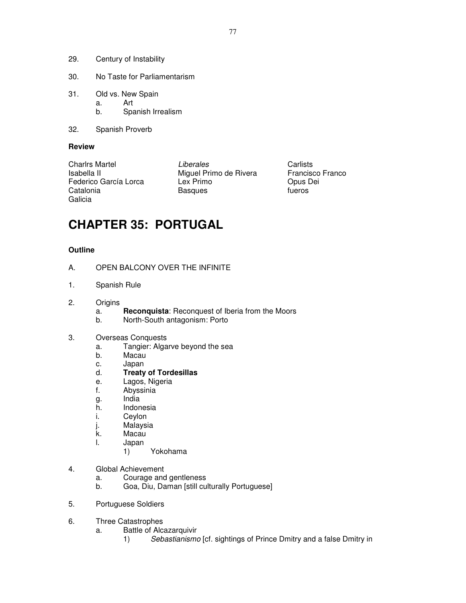- 29. Century of Instability
- 30. No Taste for Parliamentarism
- 31. Old vs. New Spain a. Art
	- b. Spanish Irrealism
- 32. Spanish Proverb

### **Review**

Catalonia **Basques** Galicia

Charlrs Martel **Charlists** Carlists Carlists Isabella II Miguel Primo de Rivera Francisco Franco<br>
Federico García Lorca Lex Primo de Rivera Opus Dei Federico García Lorca Lex Primo de Corto de Corto de Corto Dous I<br>Catalonia Catalonia Basques de Corto de Corto de Corto de Corto de Corto de Corto de Corto de Corto de Corto d

# **CHAPTER 35: PORTUGAL**

### **Outline**

- A. OPEN BALCONY OVER THE INFINITE
- 1. Spanish Rule
- 2. Origins
	- a. **Reconquista**: Reconquest of Iberia from the Moors
	- b. North-South antagonism: Porto
- 3. Overseas Conquests
	- a. Tangier: Algarve beyond the sea
	- b. Macau
	- c. Japan
	- d. **Treaty of Tordesillas**
	- e. Lagos, Nigeria
	- f. Abyssinia
	- g. India
	- h. Indonesia
	- i. Ceylon
	- j. Malaysia
	- k. Macau
	- l. Japan
		- 1) Yokohama
- 4. Global Achievement
	- a. Courage and gentleness
	- b. Goa, Diu, Daman [still culturally Portuguese]
- 5. Portuguese Soldiers
- 6. Three Catastrophes
	- a. Battle of Alcazarquivir
		- 1) Sebastianismo [cf. sightings of Prince Dmitry and a false Dmitry in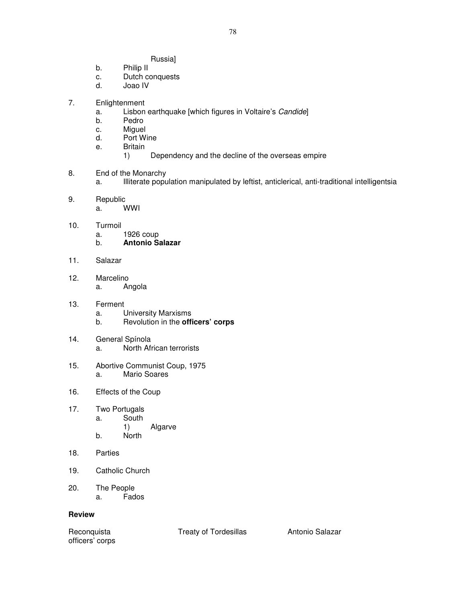- Russia]
- b. Philip II
- c. Dutch conquests
- d. Joao IV
- 7. Enlightenment
	- a. Lisbon earthquake [which figures in Voltaire's Candide]
	- b. Pedro
	- c. Miguel<br>d. Port W
	- Port Wine
	- e. Britain
		- 1) Dependency and the decline of the overseas empire
- 8. End of the Monarchy
	- a. Illiterate population manipulated by leftist, anticlerical, anti-traditional intelligentsia
- 9. Republic a. WWI
- 10. Turmoil
	- a. 1926 coup
	- b. **Antonio Salazar**
- 11. Salazar
- 12. Marcelino a. Angola
- 13. Ferment
	- a. University Marxisms
	- b. Revolution in the **officers' corps**
- 14. General Spínola a. North African terrorists
- 15. Abortive Communist Coup, 1975 a. Mario Soares
- 16. Effects of the Coup
- 17. Two Portugals a. South 1) Algarve b. North
- 18. Parties
- 19. Catholic Church
- 20. The People a. Fados

#### **Review**

officers' corps

Reconquista Treaty of Tordesillas Antonio Salazar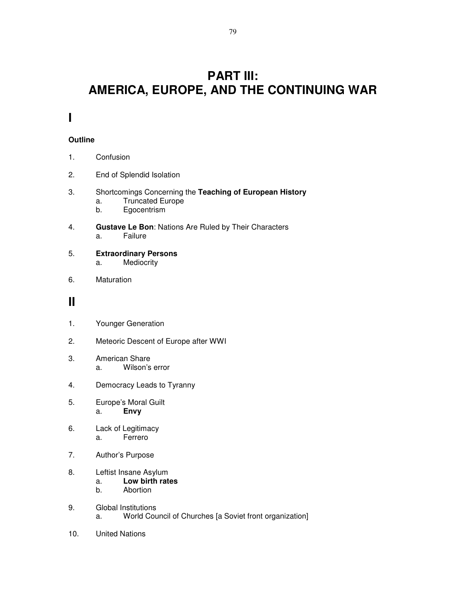## **PART III: AMERICA, EUROPE, AND THE CONTINUING WAR**

### **I**

### **Outline**

- 1. Confusion
- 2. End of Splendid Isolation
- 3. Shortcomings Concerning the **Teaching of European History**
	- a. Truncated Europe
	- b. Egocentrism
- 4. **Gustave Le Bon**: Nations Are Ruled by Their Characters a. Failure
- 5. **Extraordinary Persons** a. Mediocrity
- 6. Maturation

### **II**

- 1. Younger Generation
- 2. Meteoric Descent of Europe after WWI
- 3. American Share a. Wilson's error
- 4. Democracy Leads to Tyranny
- 5. 5. Europe's Moral Guilt a. **Envy**
- 6. Lack of Legitimacy a. Ferrero
- 7. Author's Purpose

#### 8. Leftist Insane Asylum

- a. **Low birth rates**
- b. Abortion
- 9. Global Institutions a. World Council of Churches [a Soviet front organization]
- 10. United Nations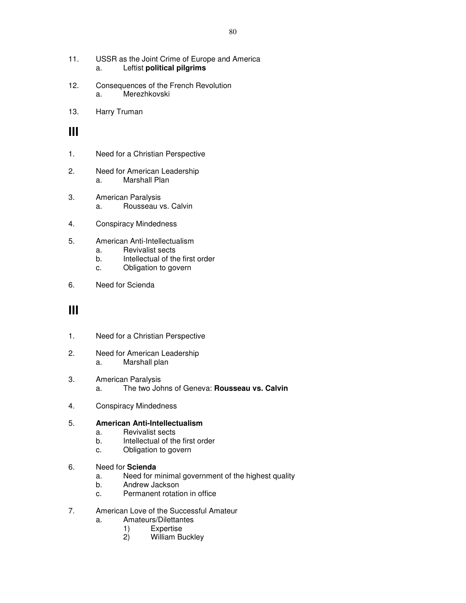- 11. USSR as the Joint Crime of Europe and America a. Leftist **political pilgrims**
- 12. Consequences of the French Revolution a. Merezhkovski
- 13. Harry Truman

### **III**

- 1. Need for a Christian Perspective
- 2. Need for American Leadership a. Marshall Plan
- 3. American Paralysis a. Rousseau vs. Calvin
- 4. Conspiracy Mindedness
- 5. 5. American Anti-Intellectualism
	- a. Revivalist sects
	- b. Intellectual of the first order
	- c. Obligation to govern
- 6. Need for Scienda

### **III**

- 1. Need for a Christian Perspective
- 2. Need for American Leadership a. Marshall plan
- 3. American Paralysis a. The two Johns of Geneva: **Rousseau vs. Calvin**
- 4. Conspiracy Mindedness

### 5. **American Anti-Intellectualism**

- a. Revivalist sects
- b. Intellectual of the first order
- c. Obligation to govern
- 6. Need for **Scienda**
	- a. Need for minimal government of the highest quality
	- b. Andrew Jackson
	- c. Permanent rotation in office
- 7. American Love of the Successful Amateur
	- a. Amateurs/Dilettantes
		- 1) Expertise
		- 2) William Buckley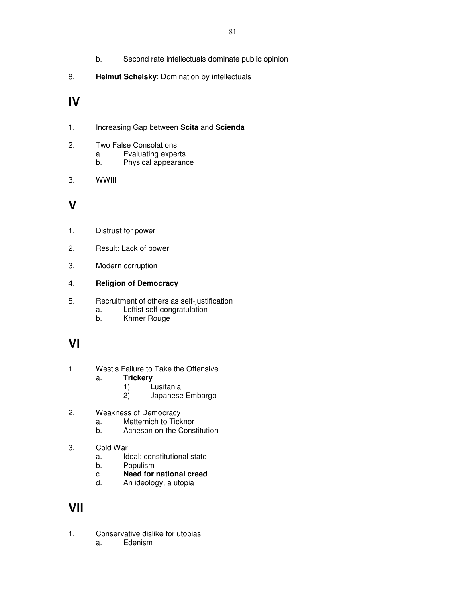- b. Second rate intellectuals dominate public opinion
- 8. **Helmut Schelsky**: Domination by intellectuals

### **IV**

- 1. Increasing Gap between **Scita** and **Scienda**
- 2. Two False Consolations
	- a. Evaluating experts
	- b. Physical appearance
- 3. WWIII

## **V**

- 1. Distrust for power
- 2. Result: Lack of power
- 3. Modern corruption

### 4. **Religion of Democracy**

- 5. Recruitment of others as self-justification
	- a. Leftist self-congratulation<br>b. Khmer Rouge
	- Khmer Rouge

# **VI**

- 1. West's Failure to Take the Offensive a. **Trickery**
	-
	- 1) Lusitania<br>2) Japanese 2) Japanese Embargo
- 2. Weakness of Democracy
	- a. Metternich to Ticknor
	- b. Acheson on the Constitution
- 3. Cold War
	- a. Ideal: constitutional state
	- b. Populism
	- c. **Need for national creed**
	- d. An ideology, a utopia

### **VII**

- 1. Conservative dislike for utopias
	- a. Edenism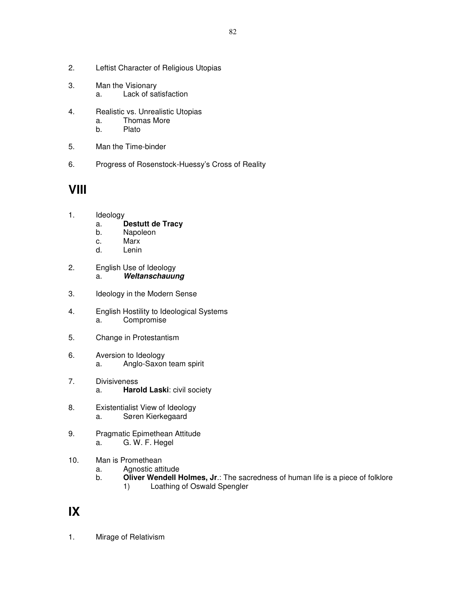- 2. Leftist Character of Religious Utopias
- 3. Man the Visionary a. Lack of satisfaction
- 4. Realistic vs. Unrealistic Utopias
	- a. Thomas More
	- b. Plato
- 5. Man the Time-binder
- 6. Progress of Rosenstock-Huessy's Cross of Reality

## **VIII**

- 1. Ideology
	- a. **Destutt de Tracy**
	- b. Napoleon
	- c. Marx
	- d. Lenin
- 2. English Use of Ideology a. **Weltanschauung**
- 3. Ideology in the Modern Sense
- 4. English Hostility to Ideological Systems a. Compromise
- 5. Change in Protestantism
- 6. Aversion to Ideology a. Anglo-Saxon team spirit
- 7. Divisiveness a. **Harold Laski**: civil society
- 8. Existentialist View of Ideology a. Søren Kierkegaard
- 9. Pragmatic Epimethean Attitude a. G. W. F. Hegel
- 10. Man is Promethean
	- a. Agnostic attitude
	- b. **Oliver Wendell Holmes, Jr**.: The sacredness of human life is a piece of folklore 1) Loathing of Oswald Spengler

### **IX**

1. Mirage of Relativism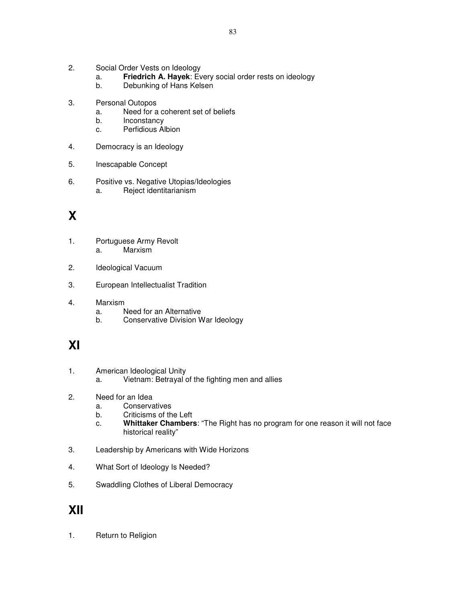- 2. Social Order Vests on Ideology
	- a. **Friedrich A. Hayek**: Every social order rests on ideology
	- b. Debunking of Hans Kelsen
- 3. Personal Outopos
	- a. Need for a coherent set of beliefs
	- b. Inconstancy
	- c. Perfidious Albion
- 4. Democracy is an Ideology
- 5. Inescapable Concept
- 6. Positive vs. Negative Utopias/Ideologies a. Reject identitarianism

# **X**

- 1. Portuguese Army Revolt a. Marxism
- 2. Ideological Vacuum
- 3. European Intellectualist Tradition
- 4. Marxism
	- a. Need for an Alternative
	- b. Conservative Division War Ideology

## **XI**

- 1. American Ideological Unity
	- a. Vietnam: Betrayal of the fighting men and allies
- 2. Need for an Idea
	- a. Conservatives
	- b. Criticisms of the Left
	- c. **Whittaker Chambers**: "The Right has no program for one reason it will not face historical reality"
- 3. Leadership by Americans with Wide Horizons
- 4. What Sort of Ideology Is Needed?
- 5. Swaddling Clothes of Liberal Democracy

### **XII**

1. Return to Religion